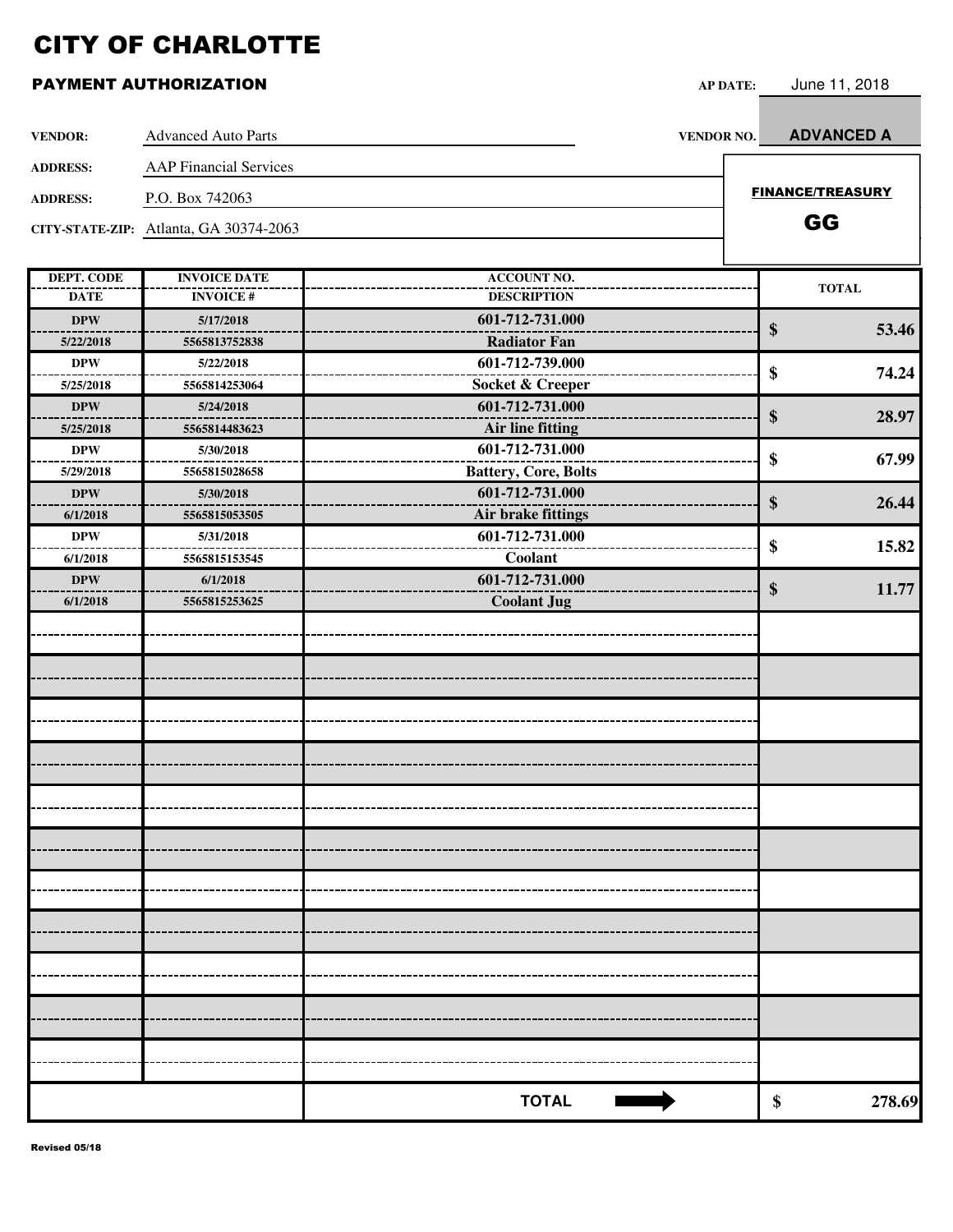| <b>VENDOR:</b>    | <b>Advanced Auto Parts</b>             | <b>VENDOR NO.</b>           | <b>ADVANCED A</b>       |
|-------------------|----------------------------------------|-----------------------------|-------------------------|
| <b>ADDRESS:</b>   | <b>AAP Financial Services</b>          |                             |                         |
| <b>ADDRESS:</b>   | P.O. Box 742063                        |                             | <b>FINANCE/TREASURY</b> |
|                   | CITY-STATE-ZIP: Atlanta, GA 30374-2063 |                             | GG                      |
|                   |                                        |                             |                         |
| <b>DEPT. CODE</b> | <b>INVOICE DATE</b>                    | <b>ACCOUNT NO.</b>          |                         |
| <b>DATE</b>       | <b>INVOICE#</b>                        | <b>DESCRIPTION</b>          | <b>TOTAL</b>            |
| <b>DPW</b>        | 5/17/2018                              | 601-712-731.000             | \$<br>53.46             |
| 5/22/2018         | 5565813752838                          | <b>Radiator Fan</b>         |                         |
| <b>DPW</b>        | 5/22/2018                              | 601-712-739.000             | \$<br>74.24             |
| 5/25/2018         | 5565814253064                          | Socket & Creeper            |                         |
| <b>DPW</b>        | 5/24/2018                              | 601-712-731.000             | \$<br>28.97             |
| 5/25/2018         | 5565814483623                          | Air line fitting            |                         |
| <b>DPW</b>        | 5/30/2018                              | 601-712-731.000             | \$<br>67.99             |
| 5/29/2018         | 5565815028658                          | <b>Battery, Core, Bolts</b> |                         |
| <b>DPW</b>        | 5/30/2018                              | 601-712-731.000             | \$<br>26.44             |
| 6/1/2018          | 5565815053505                          | Air brake fittings          |                         |
| DPW               | 5/31/2018                              | 601-712-731.000             | \$<br>15.82             |
| 6/1/2018          | 5565815153545                          | Coolant                     |                         |
| <b>DPW</b>        | 6/1/2018                               | 601-712-731.000             | \$<br>11.77             |
| 6/1/2018          | 5565815253625                          | <b>Coolant Jug</b>          |                         |
|                   |                                        |                             |                         |
|                   |                                        |                             |                         |
|                   |                                        |                             |                         |
|                   |                                        |                             |                         |
|                   |                                        |                             |                         |
|                   |                                        |                             |                         |
|                   |                                        |                             |                         |
|                   |                                        |                             |                         |
|                   |                                        |                             |                         |
|                   |                                        |                             |                         |
|                   |                                        |                             |                         |
|                   |                                        |                             |                         |
|                   |                                        |                             |                         |
|                   |                                        |                             |                         |
|                   |                                        |                             |                         |
|                   |                                        |                             |                         |
|                   |                                        |                             |                         |
|                   |                                        |                             |                         |
|                   |                                        |                             |                         |
|                   |                                        |                             |                         |
|                   |                                        |                             |                         |
|                   |                                        |                             |                         |
|                   |                                        | <b>TOTAL</b>                | 278.69<br>\$            |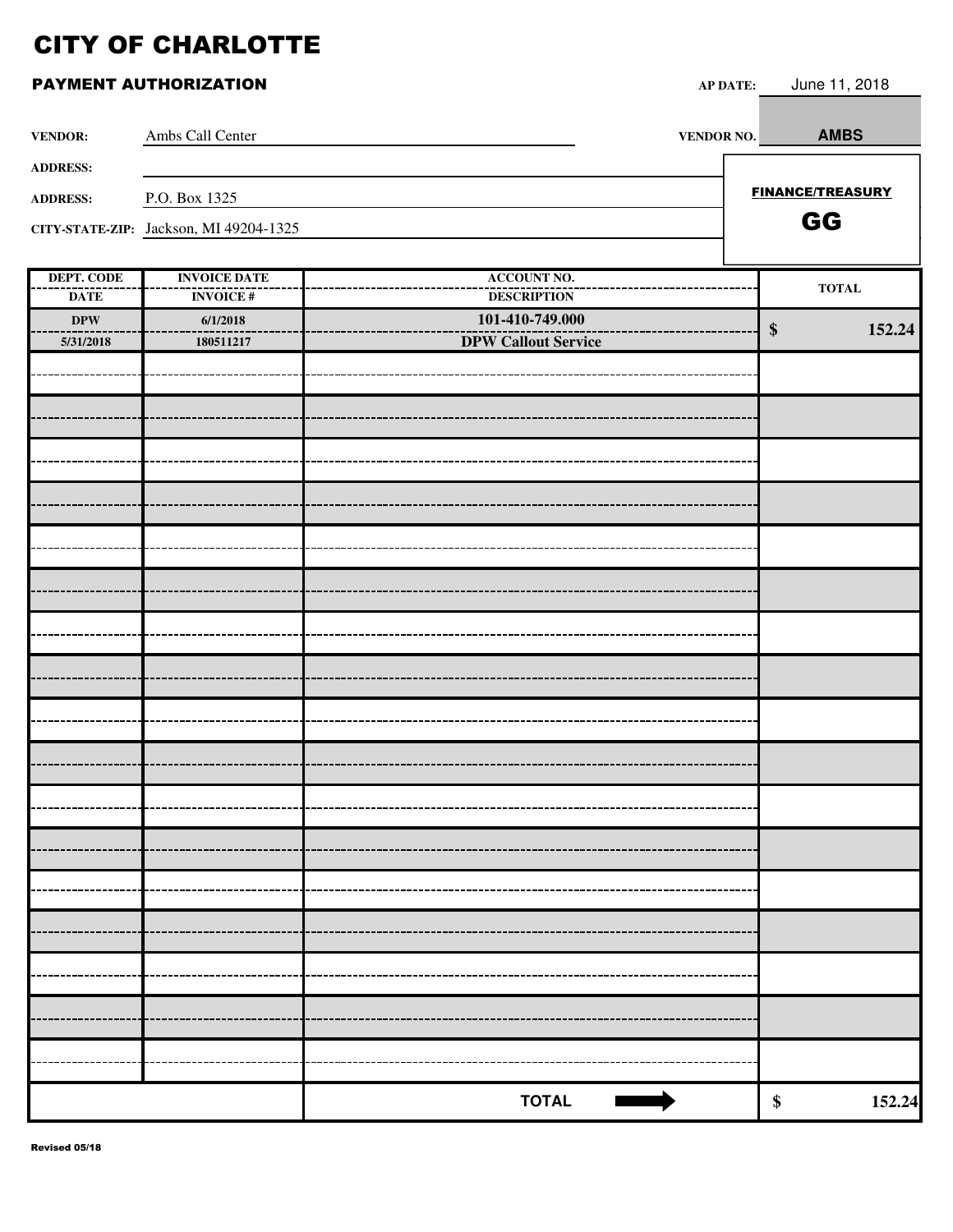|                           |                                        | $\mathbf{M}$ $\mathbf{D}$ $\mathbf{M}$   |                             |
|---------------------------|----------------------------------------|------------------------------------------|-----------------------------|
| <b>VENDOR:</b>            | Ambs Call Center                       | <b>VENDOR NO.</b>                        | <b>AMBS</b>                 |
| <b>ADDRESS:</b>           |                                        |                                          |                             |
| <b>ADDRESS:</b>           | P.O. Box 1325                          |                                          | <b>FINANCE/TREASURY</b>     |
|                           | CITY-STATE-ZIP: Jackson, MI 49204-1325 |                                          | GG                          |
|                           |                                        |                                          |                             |
| DEPT. CODE<br><b>DATE</b> | <b>INVOICE DATE</b><br><b>INVOICE#</b> | <b>ACCOUNT NO.</b><br><b>DESCRIPTION</b> | <b>TOTAL</b>                |
| $\bf DPW$                 | 6/1/2018                               | 101-410-749.000                          | $\boldsymbol{\$}$<br>152.24 |
| 5/31/2018                 | 180511217                              | <b>DPW Callout Service</b>               |                             |
|                           |                                        |                                          |                             |
|                           |                                        |                                          |                             |
|                           |                                        |                                          |                             |
|                           |                                        |                                          |                             |
|                           |                                        |                                          |                             |
|                           |                                        |                                          |                             |
|                           |                                        |                                          |                             |
|                           |                                        |                                          |                             |
|                           |                                        |                                          |                             |
|                           |                                        |                                          |                             |
|                           |                                        |                                          |                             |
|                           |                                        |                                          |                             |
|                           |                                        |                                          |                             |
|                           |                                        |                                          |                             |
|                           |                                        |                                          |                             |
|                           |                                        |                                          |                             |
|                           |                                        |                                          |                             |
|                           |                                        |                                          |                             |
|                           |                                        |                                          |                             |
|                           |                                        |                                          |                             |
|                           |                                        | <b>TOTAL</b>                             | 152.24<br>\$                |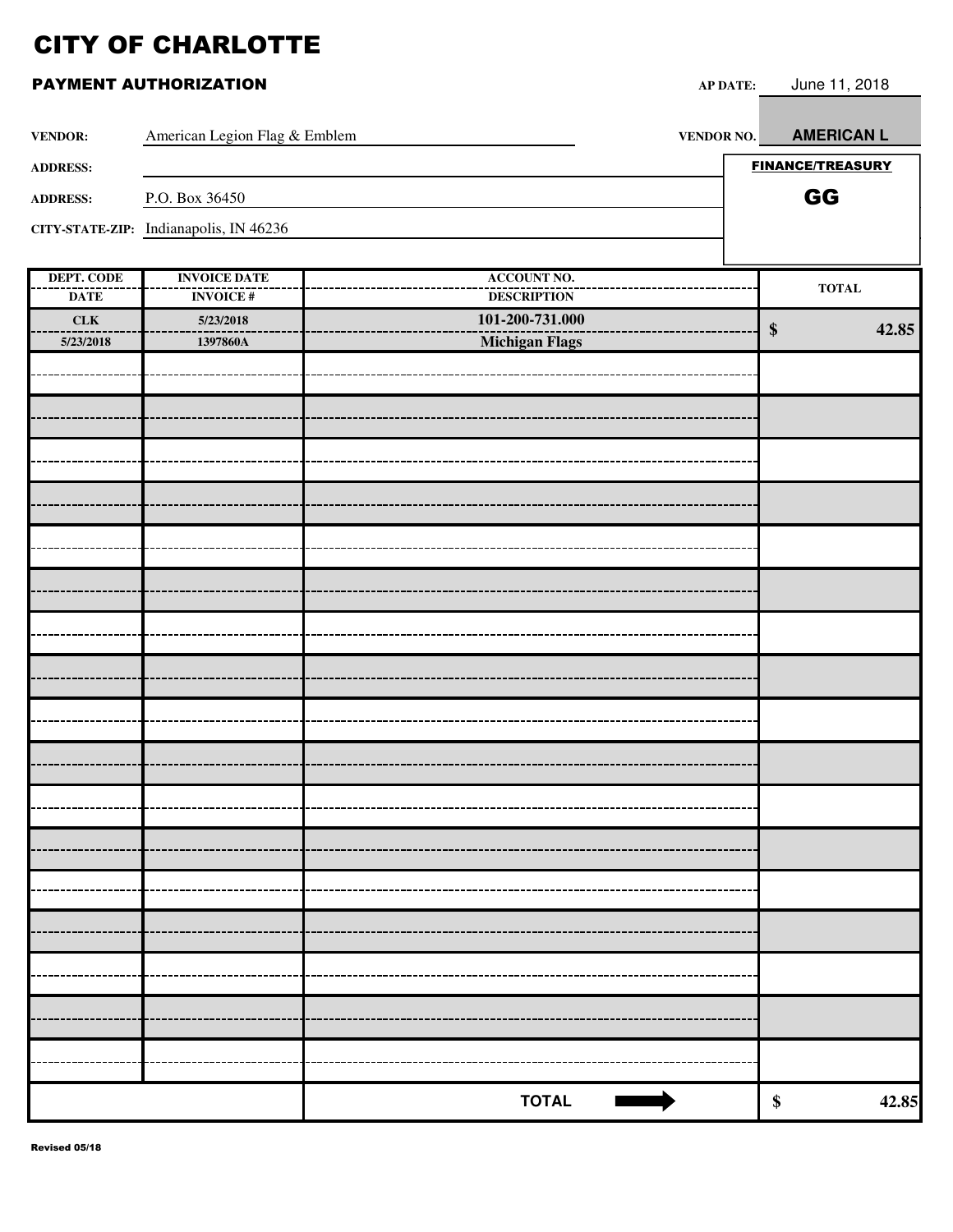| <b>VENDOR:</b>                 | American Legion Flag & Emblem          | <b>VENDOR NO.</b>                     |                   | <b>AMERICAN L</b>       |
|--------------------------------|----------------------------------------|---------------------------------------|-------------------|-------------------------|
| <b>ADDRESS:</b>                |                                        |                                       |                   | <b>FINANCE/TREASURY</b> |
| <b>ADDRESS:</b>                | P.O. Box 36450                         |                                       |                   | GG                      |
|                                | CITY-STATE-ZIP: Indianapolis, IN 46236 |                                       |                   |                         |
|                                |                                        |                                       |                   |                         |
| <b>DEPT. CODE</b>              | <b>INVOICE DATE</b>                    | <b>ACCOUNT NO.</b>                    |                   | <b>TOTAL</b>            |
| <b>DATE</b><br>${\rm \bf CLK}$ | <b>INVOICE#</b><br>5/23/2018           | <b>DESCRIPTION</b><br>101-200-731.000 |                   |                         |
| 5/23/2018                      | 1397860A                               | <b>Michigan Flags</b>                 | $\boldsymbol{\$}$ | 42.85                   |
|                                |                                        |                                       |                   |                         |
|                                |                                        |                                       |                   |                         |
|                                |                                        |                                       |                   |                         |
|                                |                                        |                                       |                   |                         |
|                                |                                        |                                       |                   |                         |
|                                |                                        |                                       |                   |                         |
|                                |                                        |                                       |                   |                         |
|                                |                                        |                                       |                   |                         |
|                                |                                        |                                       |                   |                         |
|                                |                                        |                                       |                   |                         |
|                                |                                        |                                       |                   |                         |
|                                |                                        |                                       |                   |                         |
|                                |                                        |                                       |                   |                         |
|                                |                                        |                                       |                   |                         |
|                                |                                        |                                       |                   |                         |
|                                |                                        |                                       |                   |                         |
|                                |                                        |                                       |                   |                         |
|                                |                                        |                                       |                   |                         |
|                                |                                        |                                       |                   |                         |
|                                |                                        |                                       |                   |                         |
|                                |                                        |                                       |                   |                         |
|                                |                                        | <b>TOTAL</b>                          | \$                | 42.85                   |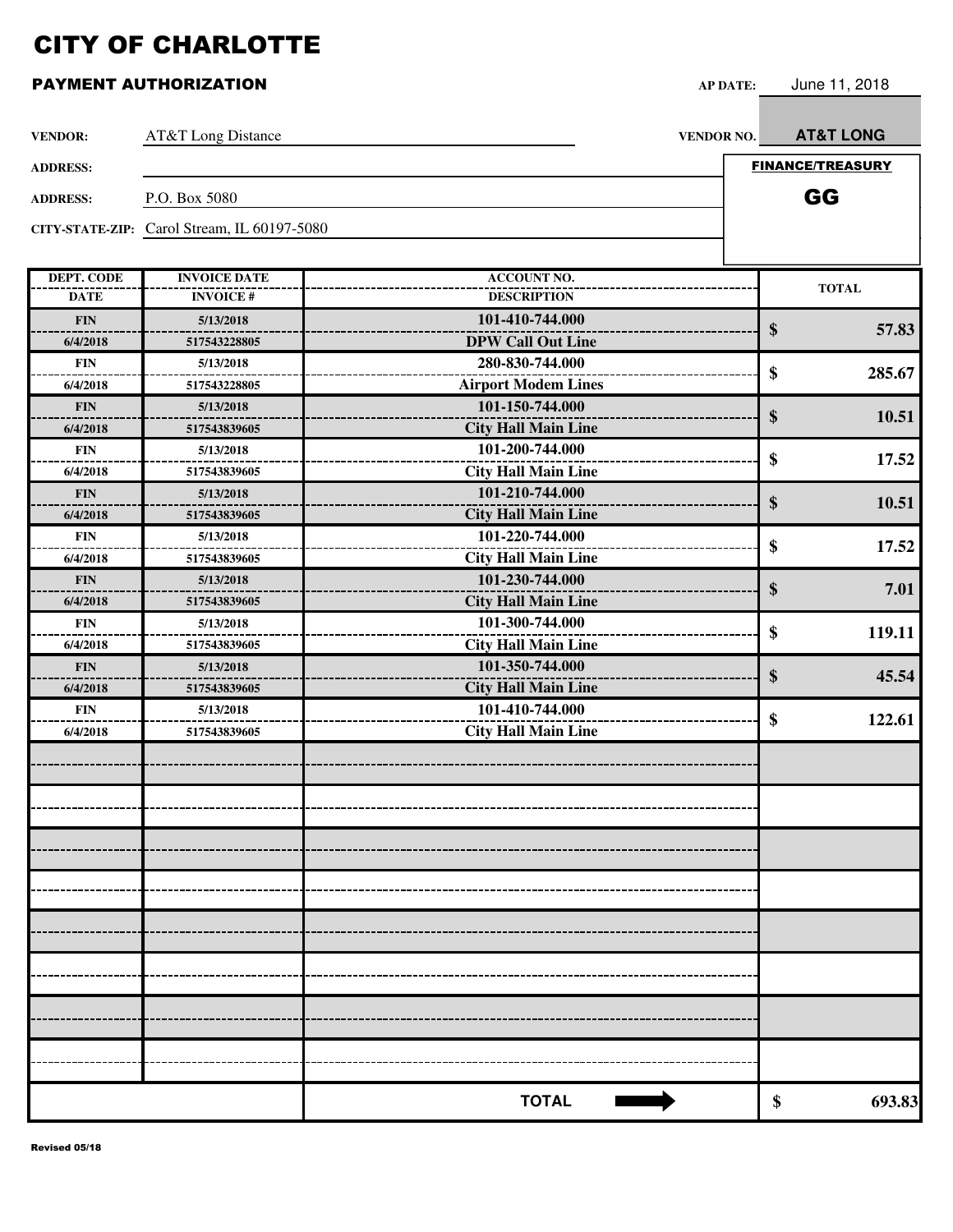| <b>VENDOR:</b>    | AT&T Long Distance                          | <b>VENDOR NO.</b>          | <b>AT&amp;T LONG</b>    |
|-------------------|---------------------------------------------|----------------------------|-------------------------|
| <b>ADDRESS:</b>   |                                             |                            | <b>FINANCE/TREASURY</b> |
|                   |                                             |                            |                         |
| <b>ADDRESS:</b>   | P.O. Box 5080                               |                            | GG                      |
|                   | CITY-STATE-ZIP: Carol Stream, IL 60197-5080 |                            |                         |
|                   |                                             |                            |                         |
| <b>DEPT. CODE</b> | <b>INVOICE DATE</b>                         | <b>ACCOUNT NO.</b>         | <b>TOTAL</b>            |
| <b>DATE</b>       | <b>INVOICE#</b>                             | <b>DESCRIPTION</b>         |                         |
| <b>FIN</b>        | 5/13/2018                                   | 101-410-744.000            | \$<br>57.83             |
| 6/4/2018          | 517543228805                                | <b>DPW Call Out Line</b>   |                         |
| <b>FIN</b>        | 5/13/2018                                   | 280-830-744.000            | \$<br>285.67            |
| 6/4/2018          | 517543228805                                | <b>Airport Modem Lines</b> |                         |
| <b>FIN</b>        | 5/13/2018                                   | 101-150-744.000            | \$<br>10.51             |
| 6/4/2018          | 517543839605                                | <b>City Hall Main Line</b> |                         |
| <b>FIN</b>        | 5/13/2018                                   | 101-200-744.000            | \$<br>17.52             |
| 6/4/2018          | 517543839605                                | <b>City Hall Main Line</b> |                         |
| <b>FIN</b>        | 5/13/2018                                   | 101-210-744.000            | \$<br>10.51             |
| 6/4/2018          | 517543839605                                | <b>City Hall Main Line</b> |                         |
| <b>FIN</b>        | 5/13/2018                                   | 101-220-744.000            | \$<br>17.52             |
| 6/4/2018          | 517543839605                                | <b>City Hall Main Line</b> |                         |
| <b>FIN</b>        | 5/13/2018                                   | 101-230-744.000            | \$<br>7.01              |
| 6/4/2018          | 517543839605                                | <b>City Hall Main Line</b> |                         |
| <b>FIN</b>        | 5/13/2018                                   | 101-300-744.000            | \$<br>119.11            |
| 6/4/2018          | 517543839605                                | <b>City Hall Main Line</b> |                         |
| <b>FIN</b>        | 5/13/2018                                   | 101-350-744.000            | \$<br>45.54             |
| 6/4/2018          | 517543839605                                | <b>City Hall Main Line</b> |                         |
| <b>FIN</b>        | 5/13/2018                                   | 101-410-744.000            | \$<br>122.61            |
| 6/4/2018          | 517543839605                                | <b>City Hall Main Line</b> |                         |
|                   |                                             |                            |                         |
|                   |                                             |                            |                         |
|                   |                                             |                            |                         |
|                   |                                             |                            |                         |
|                   |                                             |                            |                         |
|                   |                                             |                            |                         |
|                   |                                             |                            |                         |
|                   |                                             |                            |                         |
|                   |                                             |                            |                         |
|                   |                                             |                            |                         |
|                   |                                             |                            |                         |
|                   |                                             | <b>TOTAL</b>               | \$<br>693.83            |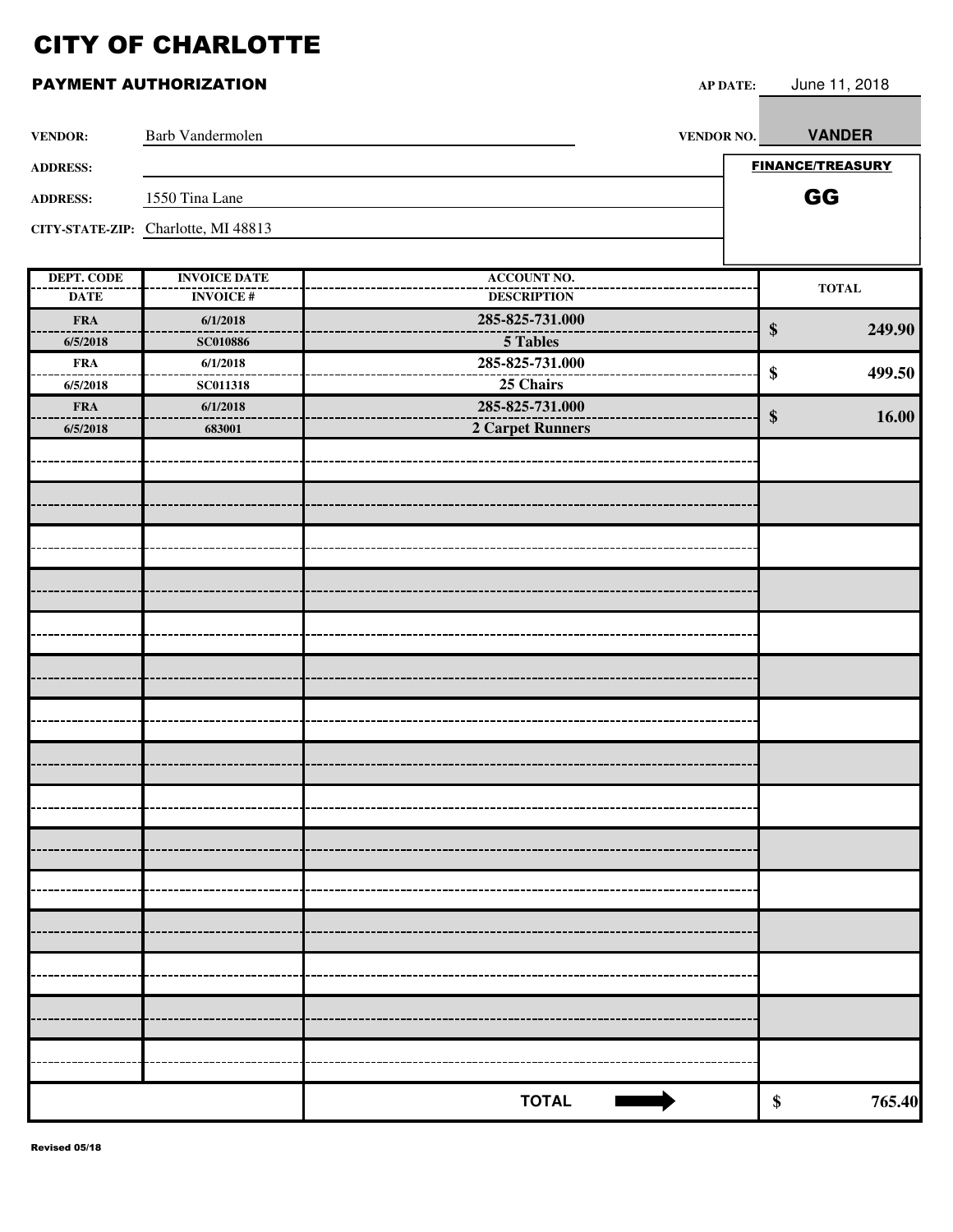| <b>VENDOR:</b>    | <b>Barb Vandermolen</b>             | VENDOR NO.              | <b>VANDER</b>               |
|-------------------|-------------------------------------|-------------------------|-----------------------------|
| <b>ADDRESS:</b>   |                                     |                         | <b>FINANCE/TREASURY</b>     |
| <b>ADDRESS:</b>   | 1550 Tina Lane                      |                         | GG                          |
|                   | CITY-STATE-ZIP: Charlotte, MI 48813 |                         |                             |
|                   |                                     |                         |                             |
| <b>DEPT. CODE</b> | <b>INVOICE DATE</b>                 | <b>ACCOUNT NO.</b>      | $\bf TOTAL$                 |
| <b>DATE</b>       | <b>INVOICE#</b>                     | <b>DESCRIPTION</b>      |                             |
| <b>FRA</b>        | 6/1/2018                            | 285-825-731.000         | $\boldsymbol{\$}$<br>249.90 |
| 6/5/2018          | <b>SC010886</b>                     | 5 Tables                |                             |
| <b>FRA</b>        | 6/1/2018                            | 285-825-731.000         | \$<br>499.50                |
| 6/5/2018          | <b>SC011318</b>                     | 25 Chairs               |                             |
| <b>FRA</b>        | 6/1/2018                            | 285-825-731.000         | $\$\$<br>16.00              |
| 6/5/2018          | 683001                              | <b>2 Carpet Runners</b> |                             |
|                   |                                     |                         |                             |
|                   |                                     |                         |                             |
|                   |                                     |                         |                             |
|                   |                                     |                         |                             |
|                   |                                     |                         |                             |
|                   |                                     |                         |                             |
|                   |                                     |                         |                             |
|                   |                                     |                         |                             |
|                   |                                     |                         |                             |
|                   |                                     |                         |                             |
|                   |                                     |                         |                             |
|                   |                                     |                         |                             |
|                   |                                     |                         |                             |
|                   |                                     |                         |                             |
|                   |                                     |                         |                             |
|                   |                                     |                         |                             |
|                   |                                     |                         |                             |
|                   |                                     |                         |                             |
|                   |                                     |                         |                             |
|                   |                                     |                         |                             |
|                   |                                     |                         |                             |
|                   |                                     |                         |                             |
|                   |                                     |                         |                             |
|                   |                                     |                         |                             |
|                   |                                     |                         |                             |
|                   |                                     |                         |                             |
|                   |                                     |                         |                             |
|                   |                                     | <b>TOTAL</b>            | \$<br>765.40                |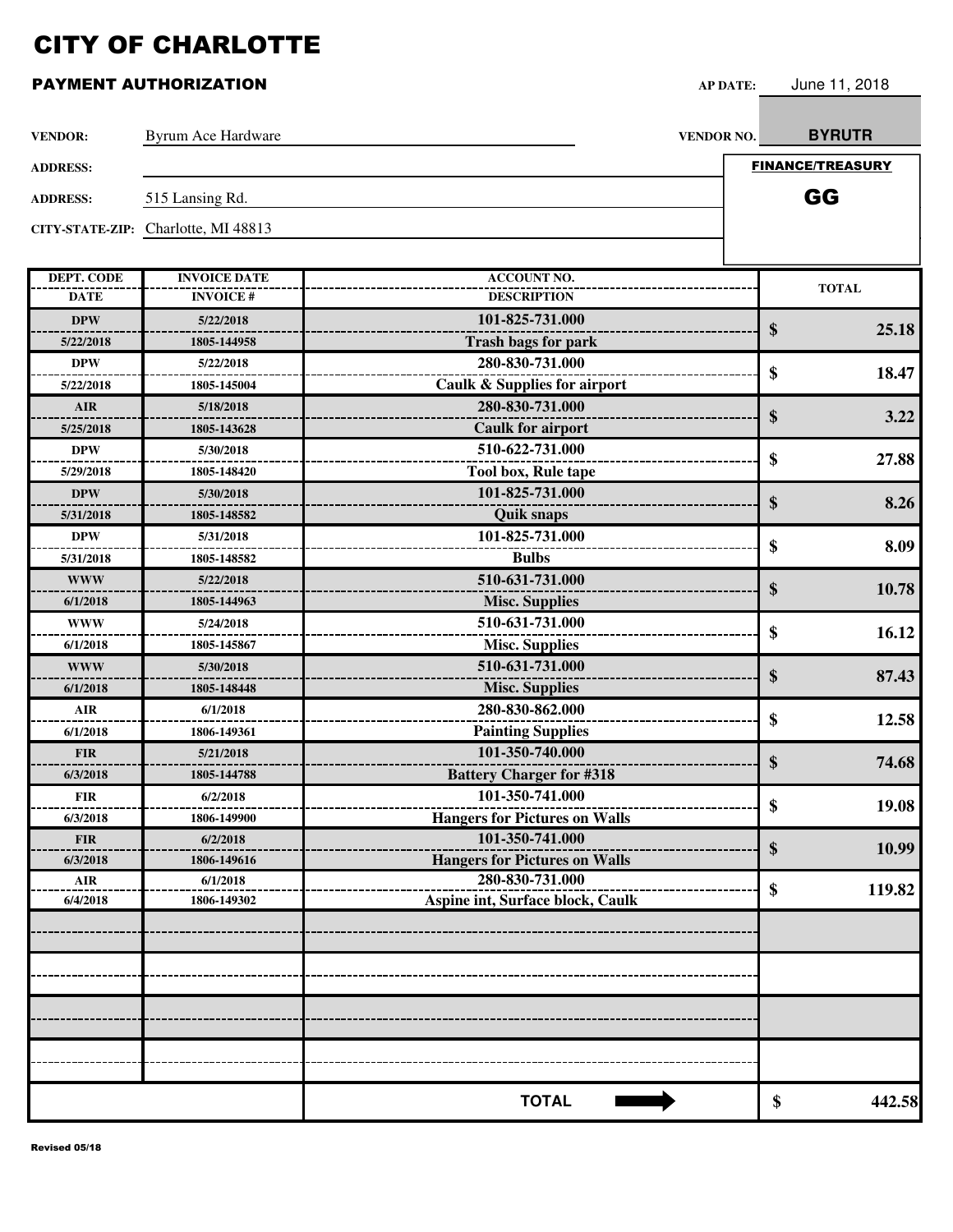| <b>VENDOR:</b>    | Byrum Ace Hardware                  | VENDOR NO.                              | <b>BYRUTR</b>           |
|-------------------|-------------------------------------|-----------------------------------------|-------------------------|
| <b>ADDRESS:</b>   |                                     |                                         | <b>FINANCE/TREASURY</b> |
|                   |                                     |                                         | GG                      |
| <b>ADDRESS:</b>   | 515 Lansing Rd.                     |                                         |                         |
|                   | CITY-STATE-ZIP: Charlotte, MI 48813 |                                         |                         |
|                   |                                     |                                         |                         |
| <b>DEPT. CODE</b> | <b>INVOICE DATE</b>                 | <b>ACCOUNT NO.</b>                      | <b>TOTAL</b>            |
| <b>DATE</b>       | <b>INVOICE#</b>                     | <b>DESCRIPTION</b>                      |                         |
| <b>DPW</b>        | 5/22/2018                           | 101-825-731.000                         | \$<br>25.18             |
| 5/22/2018         | 1805-144958                         | <b>Trash bags for park</b>              |                         |
| <b>DPW</b>        | 5/22/2018                           | 280-830-731.000                         | \$<br>18.47             |
| 5/22/2018         | 1805-145004                         | <b>Caulk &amp; Supplies for airport</b> |                         |
| <b>AIR</b>        | 5/18/2018                           | 280-830-731.000                         | \$<br>3.22              |
| 5/25/2018         | 1805-143628                         | <b>Caulk for airport</b>                |                         |
| <b>DPW</b>        | 5/30/2018                           | 510-622-731.000                         | \$<br>27.88             |
| 5/29/2018         | 1805-148420                         | <b>Tool box, Rule tape</b>              |                         |
| <b>DPW</b>        | 5/30/2018                           | 101-825-731.000                         | \$<br>8.26              |
| 5/31/2018         | 1805-148582                         | <b>Quik snaps</b>                       |                         |
| <b>DPW</b>        | 5/31/2018                           | 101-825-731.000                         | \$<br>8.09              |
| 5/31/2018         | 1805-148582                         | <b>Bulbs</b>                            |                         |
| <b>WWW</b>        | 5/22/2018                           | 510-631-731.000                         | \$<br>10.78             |
| 6/1/2018          | 1805-144963                         | <b>Misc. Supplies</b>                   |                         |
| <b>WWW</b>        | 5/24/2018                           | 510-631-731.000                         | \$<br>16.12             |
| 6/1/2018          | 1805-145867                         | <b>Misc. Supplies</b>                   |                         |
| <b>WWW</b>        | 5/30/2018                           | 510-631-731.000                         | \$<br>87.43             |
| 6/1/2018          | 1805-148448                         | <b>Misc. Supplies</b>                   |                         |
| <b>AIR</b>        | 6/1/2018                            | 280-830-862.000                         | \$<br>12.58             |
| 6/1/2018          | 1806-149361                         | <b>Painting Supplies</b>                |                         |
| <b>FIR</b>        | 5/21/2018                           | 101-350-740.000                         | \$<br>74.68             |
| 6/3/2018          | 1805-144788                         | <b>Battery Charger for #318</b>         |                         |
| <b>FIR</b>        | 6/2/2018                            | 101-350-741.000                         | \$<br>19.08             |
| 6/3/2018          | 1806-149900                         | <b>Hangers for Pictures on Walls</b>    |                         |
| <b>FIR</b>        | 6/2/2018                            | 101-350-741.000                         | \$<br>10.99             |
| 6/3/2018          | 1806-149616                         | <b>Hangers for Pictures on Walls</b>    |                         |
| AIR               | 6/1/2018                            | 280-830-731.000                         | \$<br>119.82            |
| 6/4/2018          | 1806-149302                         | Aspine int, Surface block, Caulk        |                         |
|                   |                                     |                                         |                         |
|                   |                                     |                                         |                         |
|                   |                                     |                                         |                         |
|                   |                                     |                                         |                         |
|                   |                                     |                                         |                         |
|                   |                                     |                                         |                         |
|                   |                                     | <b>TOTAL</b>                            | 442.58<br>\$            |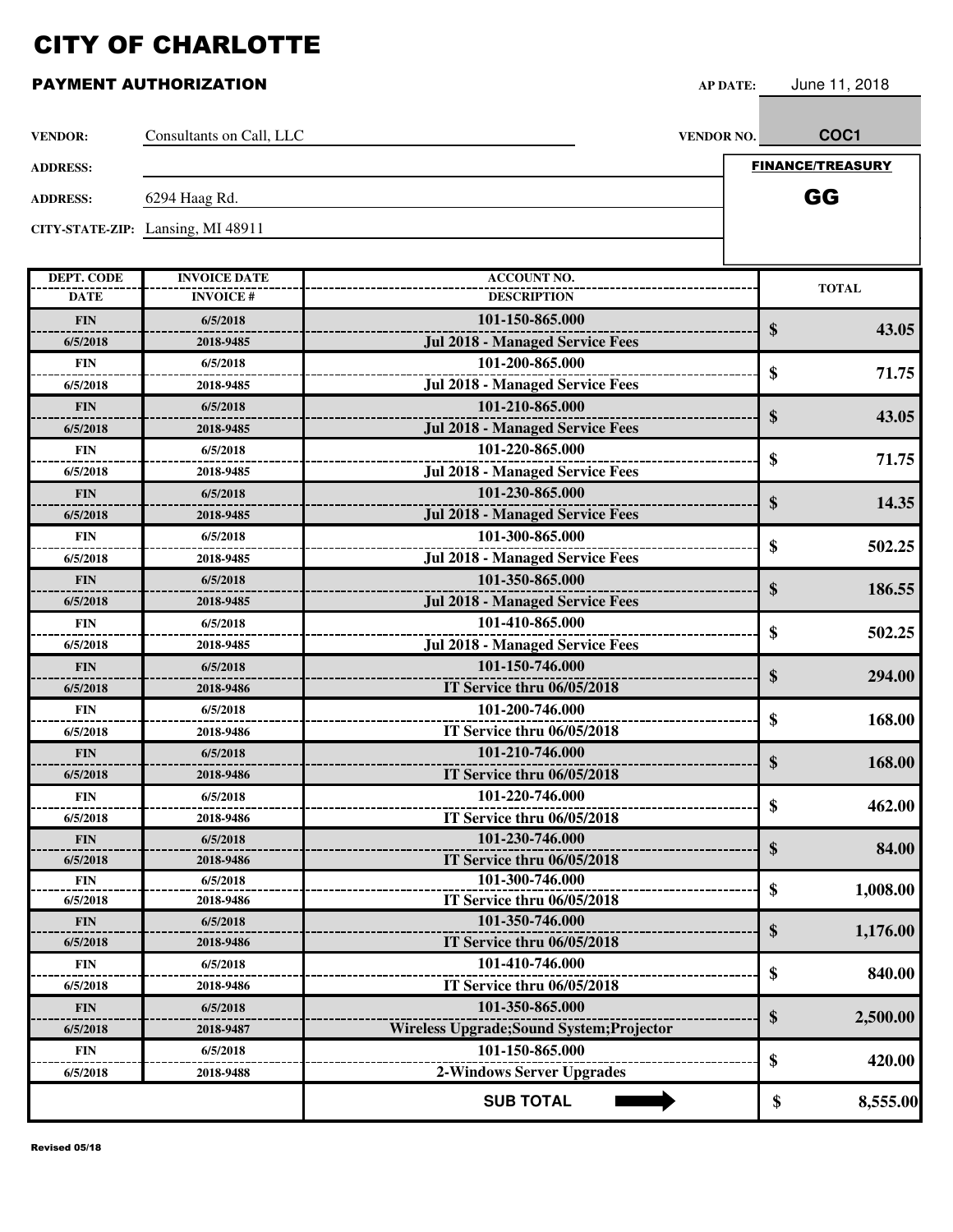| <b>VENDOR:</b>    | Consultants on Call, LLC          |                                                  | VENDOR NO. | COC <sub>1</sub>        |
|-------------------|-----------------------------------|--------------------------------------------------|------------|-------------------------|
| <b>ADDRESS:</b>   |                                   |                                                  |            | <b>FINANCE/TREASURY</b> |
|                   |                                   |                                                  |            |                         |
| <b>ADDRESS:</b>   | 6294 Haag Rd.                     |                                                  |            | GG                      |
|                   | CITY-STATE-ZIP: Lansing, MI 48911 |                                                  |            |                         |
|                   |                                   |                                                  |            |                         |
| <b>DEPT. CODE</b> | <b>INVOICE DATE</b>               | <b>ACCOUNT NO.</b>                               |            | <b>TOTAL</b>            |
| <b>DATE</b>       | <b>INVOICE#</b>                   | <b>DESCRIPTION</b>                               |            |                         |
| <b>FIN</b>        | 6/5/2018                          | 101-150-865.000                                  |            | \$<br>43.05             |
| 6/5/2018          | 2018-9485                         | <b>Jul 2018 - Managed Service Fees</b>           |            |                         |
| <b>FIN</b>        | 6/5/2018                          | 101-200-865.000                                  |            | \$<br>71.75             |
| 6/5/2018          | 2018-9485                         | <b>Jul 2018 - Managed Service Fees</b>           |            |                         |
| <b>FIN</b>        | 6/5/2018                          | 101-210-865.000                                  |            | \$<br>43.05             |
| 6/5/2018          | 2018-9485                         | <b>Jul 2018 - Managed Service Fees</b>           |            |                         |
| <b>FIN</b>        | 6/5/2018                          | 101-220-865.000                                  |            | \$<br>71.75             |
| 6/5/2018          | 2018-9485                         | <b>Jul 2018 - Managed Service Fees</b>           |            |                         |
| <b>FIN</b>        | 6/5/2018                          | 101-230-865.000                                  |            |                         |
| 6/5/2018          | 2018-9485                         | <b>Jul 2018 - Managed Service Fees</b>           |            | \$<br>14.35             |
| <b>FIN</b>        | 6/5/2018                          | 101-300-865.000                                  |            |                         |
| 6/5/2018          | 2018-9485                         | <b>Jul 2018 - Managed Service Fees</b>           |            | \$<br>502.25            |
| <b>FIN</b>        | 6/5/2018                          | 101-350-865.000                                  |            |                         |
| 6/5/2018          | 2018-9485                         | <b>Jul 2018 - Managed Service Fees</b>           |            | \$<br>186.55            |
| <b>FIN</b>        | 6/5/2018                          | 101-410-865.000                                  |            |                         |
| 6/5/2018          | 2018-9485                         | <b>Jul 2018 - Managed Service Fees</b>           |            | \$<br>502.25            |
| <b>FIN</b>        | 6/5/2018                          | 101-150-746.000                                  |            |                         |
| 6/5/2018          | 2018-9486                         | IT Service thru 06/05/2018                       |            | \$<br>294.00            |
| <b>FIN</b>        | 6/5/2018                          | 101-200-746.000                                  |            |                         |
| 6/5/2018          | 2018-9486                         | IT Service thru 06/05/2018                       |            | \$<br>168.00            |
| <b>FIN</b>        | 6/5/2018                          | 101-210-746.000                                  |            |                         |
| 6/5/2018          | 2018-9486                         | IT Service thru 06/05/2018                       |            | \$<br>168.00            |
| <b>FIN</b>        | 6/5/2018                          | 101-220-746.000                                  |            |                         |
| 6/5/2018          | 2018-9486                         | IT Service thru 06/05/2018                       |            | 462.00<br>S             |
| <b>FIN</b>        | 6/5/2018                          | 101-230-746.000                                  |            |                         |
| 6/5/2018          | 2018-9486                         | IT Service thru 06/05/2018                       |            | \$<br>84.00             |
| FIN               | 6/5/2018                          | 101-300-746.000                                  |            |                         |
| 6/5/2018          | 2018-9486                         | IT Service thru 06/05/2018                       |            | \$<br>1,008.00          |
| <b>FIN</b>        | 6/5/2018                          | 101-350-746.000                                  |            |                         |
| 6/5/2018          | 2018-9486                         | IT Service thru 06/05/2018                       |            | \$<br>1,176.00          |
| FIN               | 6/5/2018                          | 101-410-746.000                                  |            | \$<br>840.00            |
| 6/5/2018          | 2018-9486                         | IT Service thru 06/05/2018                       |            |                         |
| <b>FIN</b>        | 6/5/2018                          | 101-350-865.000                                  |            |                         |
| 6/5/2018          | 2018-9487                         | <b>Wireless Upgrade; Sound System; Projector</b> |            | \$<br>2,500.00          |
| FIN               | 6/5/2018                          | 101-150-865.000                                  |            |                         |
| 6/5/2018          | 2018-9488                         | <b>2-Windows Server Upgrades</b>                 |            | \$<br>420.00            |
|                   |                                   | <b>SUB TOTAL</b>                                 |            | \$<br>8,555.00          |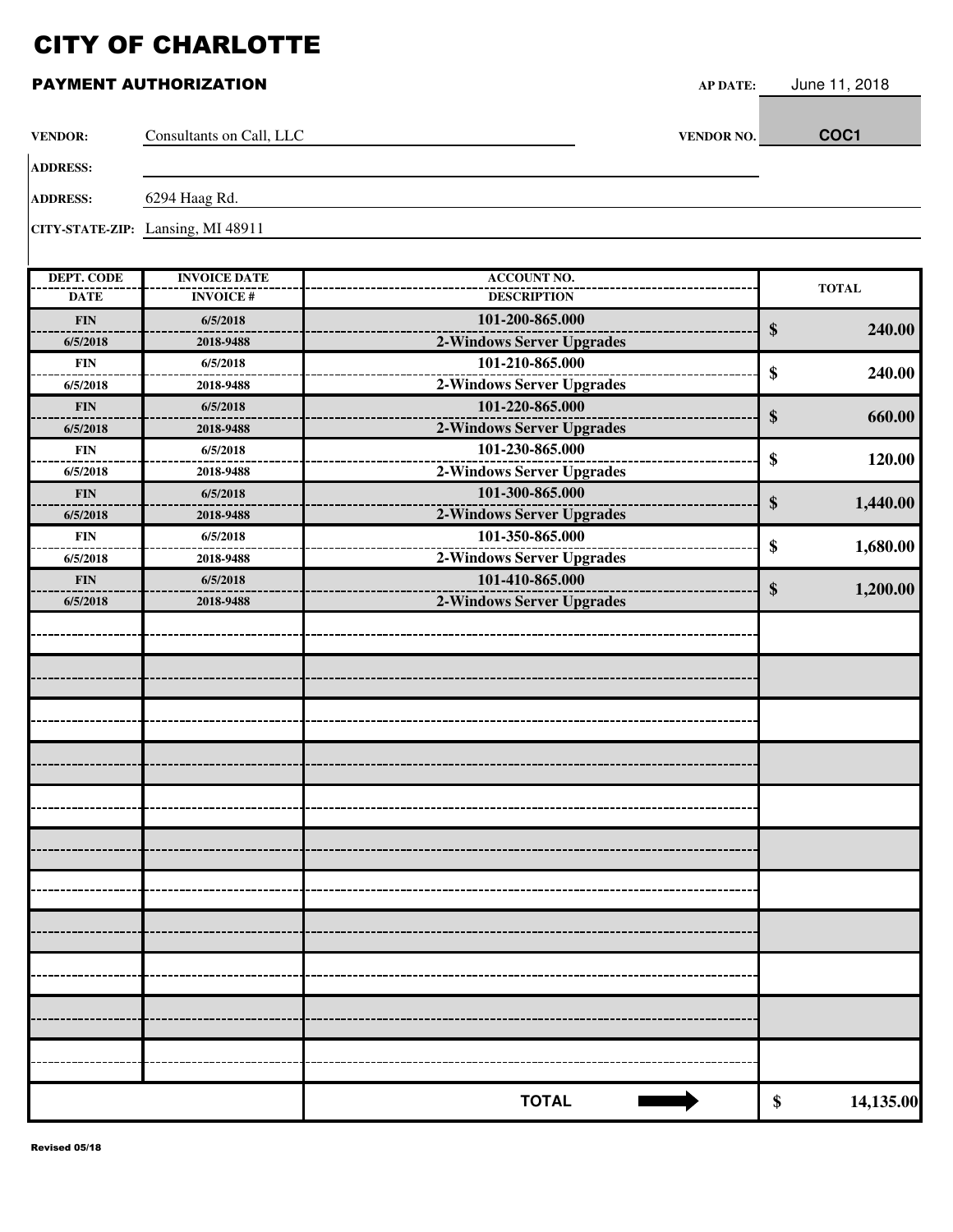| <b>VENDOR:</b>    | Consultants on Call, LLC          | VENDOR NO.                | COC1            |
|-------------------|-----------------------------------|---------------------------|-----------------|
| <b>ADDRESS:</b>   |                                   |                           |                 |
| <b>ADDRESS:</b>   | 6294 Haag Rd.                     |                           |                 |
|                   | CITY-STATE-ZIP: Lansing, MI 48911 |                           |                 |
| <b>DEPT. CODE</b> | <b>INVOICE DATE</b>               | <b>ACCOUNT NO.</b>        | <b>TOTAL</b>    |
| <b>DATE</b>       | <b>INVOICE#</b>                   | <b>DESCRIPTION</b>        |                 |
| <b>FIN</b>        | 6/5/2018                          | 101-200-865.000           | \$<br>240.00    |
| 6/5/2018          | 2018-9488                         | 2-Windows Server Upgrades |                 |
| <b>FIN</b>        | 6/5/2018                          | 101-210-865.000           | \$<br>240.00    |
| 6/5/2018          | 2018-9488                         | 2-Windows Server Upgrades |                 |
| <b>FIN</b>        | 6/5/2018                          | 101-220-865.000           | \$<br>660.00    |
| 6/5/2018          | 2018-9488                         | 2-Windows Server Upgrades |                 |
| <b>FIN</b>        | 6/5/2018                          | 101-230-865.000           | \$<br>120.00    |
| 6/5/2018          | 2018-9488                         | 2-Windows Server Upgrades |                 |
| <b>FIN</b>        | 6/5/2018                          | 101-300-865.000           | \$<br>1,440.00  |
| 6/5/2018          | 2018-9488                         | 2-Windows Server Upgrades |                 |
| <b>FIN</b>        | 6/5/2018                          | 101-350-865.000           | \$<br>1,680.00  |
| 6/5/2018          | 2018-9488                         | 2-Windows Server Upgrades |                 |
| ${\bf FIN}$       | 6/5/2018                          | 101-410-865.000           | \$<br>1,200.00  |
| 6/5/2018          | 2018-9488                         | 2-Windows Server Upgrades |                 |
|                   |                                   |                           |                 |
|                   |                                   |                           |                 |
|                   |                                   |                           |                 |
|                   |                                   |                           |                 |
|                   |                                   |                           |                 |
|                   |                                   |                           |                 |
|                   |                                   |                           |                 |
|                   |                                   |                           |                 |
|                   |                                   |                           |                 |
|                   |                                   |                           |                 |
|                   |                                   |                           |                 |
|                   |                                   |                           |                 |
|                   |                                   |                           |                 |
|                   |                                   |                           |                 |
|                   |                                   |                           |                 |
|                   |                                   |                           |                 |
|                   |                                   |                           |                 |
|                   |                                   |                           |                 |
|                   |                                   |                           |                 |
|                   |                                   |                           |                 |
|                   |                                   |                           |                 |
|                   |                                   |                           |                 |
|                   |                                   | <b>TOTAL</b>              | \$<br>14,135.00 |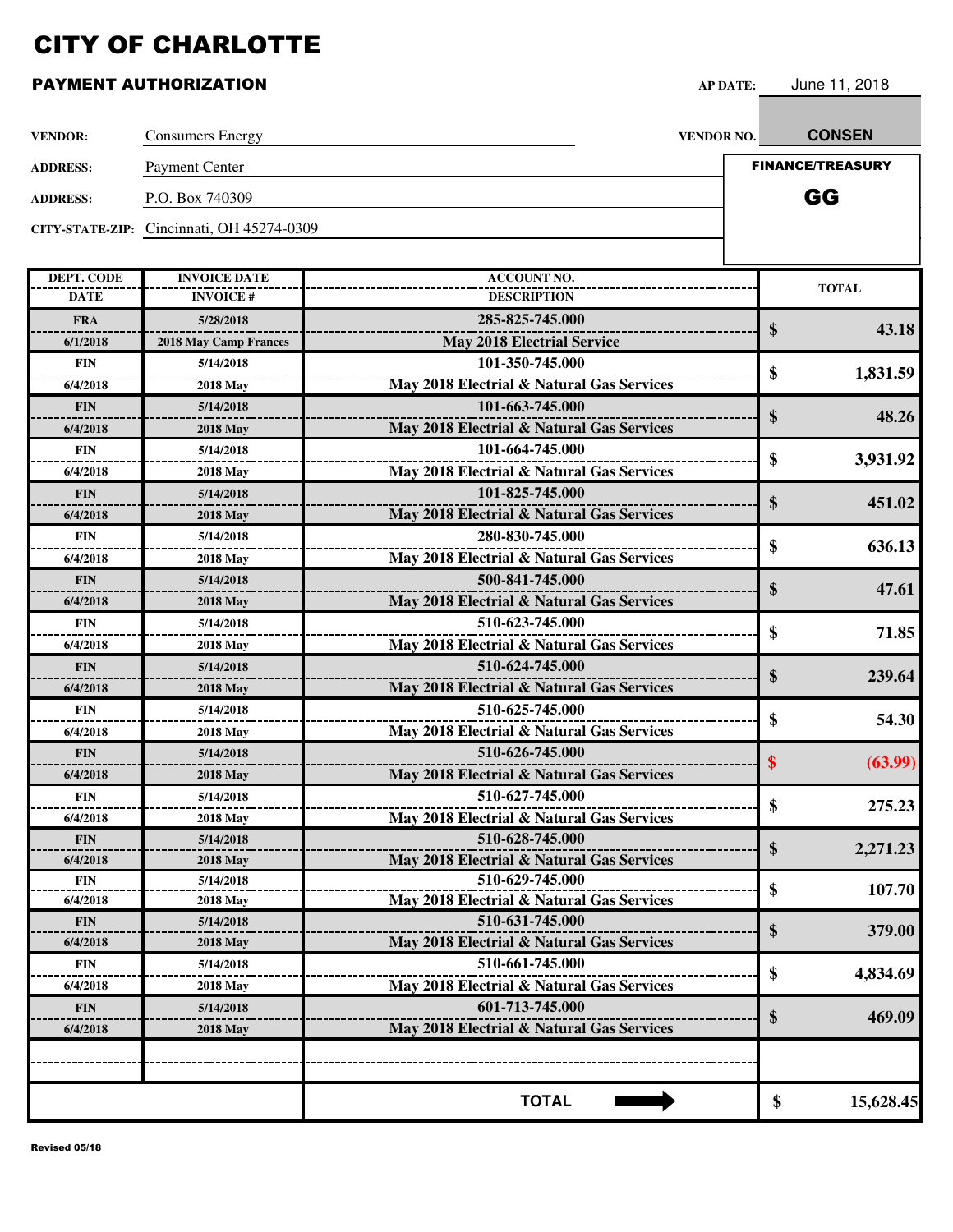#### PAYMENT AUTHORIZATION **AP DATE:** June 11, 2018

| <b>VENDOR:</b>  | <b>Consumers Energy</b>                   | VENDOR NO.                                | <b>CONSEN</b>  |
|-----------------|-------------------------------------------|-------------------------------------------|----------------|
| <b>ADDRESS:</b> | <b>Payment Center</b>                     | <b>FINANCE/TREASURY</b>                   |                |
| <b>ADDRESS:</b> | P.O. Box 740309                           |                                           | GG             |
|                 | CITY-STATE-ZIP: Cincinnati, OH 45274-0309 |                                           |                |
|                 |                                           |                                           |                |
| DEPT. CODE      | <b>INVOICE DATE</b>                       | <b>ACCOUNT NO.</b>                        | <b>TOTAL</b>   |
| <b>DATE</b>     | <b>INVOICE#</b>                           | <b>DESCRIPTION</b>                        |                |
| <b>FRA</b>      | 5/28/2018                                 | 285-825-745.000                           | \$<br>43.18    |
| 6/1/2018        | <b>2018 May Camp Frances</b>              | <b>May 2018 Electrial Service</b>         |                |
| <b>FIN</b>      | 5/14/2018                                 | 101-350-745.000                           | \$<br>1,831.59 |
| 6/4/2018        | <b>2018 May</b>                           | May 2018 Electrial & Natural Gas Services |                |
| <b>FIN</b>      | 5/14/2018                                 | 101-663-745.000                           |                |
| 6/4/2018        | <b>2018 May</b>                           | May 2018 Electrial & Natural Gas Services | \$<br>48.26    |
| <b>FIN</b>      | 5/14/2018                                 | 101-664-745.000                           |                |
| 6/4/2018        | <b>2018 May</b>                           | May 2018 Electrial & Natural Gas Services | \$<br>3,931.92 |
| <b>FIN</b>      | 5/14/2018                                 | 101-825-745.000                           |                |
| 6/4/2018        | <b>2018 May</b>                           | May 2018 Electrial & Natural Gas Services | \$<br>451.02   |
| <b>FIN</b>      | 5/14/2018                                 | 280-830-745.000                           |                |
| 6/4/2018        | <b>2018 May</b>                           | May 2018 Electrial & Natural Gas Services | \$<br>636.13   |
| <b>FIN</b>      | 5/14/2018                                 | 500-841-745.000                           |                |
| 6/4/2018        | <b>2018 May</b>                           | May 2018 Electrial & Natural Gas Services | \$<br>47.61    |
| <b>FIN</b>      | 5/14/2018                                 | 510-623-745.000                           |                |
| 6/4/2018        | <b>2018 May</b>                           | May 2018 Electrial & Natural Gas Services | \$<br>71.85    |
| <b>FIN</b>      | 5/14/2018                                 | 510-624-745.000                           |                |
| 6/4/2018        | <b>2018 May</b>                           | May 2018 Electrial & Natural Gas Services | \$<br>239.64   |
| <b>FIN</b>      | 5/14/2018                                 | 510-625-745.000                           |                |
| 6/4/2018        | <b>2018 May</b>                           | May 2018 Electrial & Natural Gas Services | \$<br>54.30    |
| <b>FIN</b>      | 5/14/2018                                 | 510-626-745.000                           |                |
| 6/4/2018        | <b>2018 May</b>                           | May 2018 Electrial & Natural Gas Services | \$<br>(63.99)  |
| <b>FIN</b>      | 5/14/2018                                 | 510-627-745.000                           |                |
| 6/4/2018        | <b>2018 May</b>                           | May 2018 Electrial & Natural Gas Services | \$<br>275.23   |
| <b>FIN</b>      | 5/14/2018                                 | 510-628-745.000                           |                |
| 6/4/2018        | <b>2018 May</b>                           | May 2018 Electrial & Natural Gas Services | \$<br>2,271.23 |
| <b>FIN</b>      | 5/14/2018                                 | 510-629-745.000                           |                |
| 6/4/2018        | <b>2018 May</b>                           | May 2018 Electrial & Natural Gas Services | \$<br>107.70   |

**510-631-745.000 \$ 379.00 May 2018 Electrial & Natural Gas Services**

| 4,834.69  | ₼ | 510-661-745.000                           | 5/14/2018       | <b>FIN</b> |
|-----------|---|-------------------------------------------|-----------------|------------|
|           | Ю | May 2018 Electrial & Natural Gas Services | <b>2018 May</b> | 6/4/2018   |
| 469.09    |   | 601-713-745.000                           | 5/14/2018       | <b>FIN</b> |
|           |   | May 2018 Electrial & Natural Gas Services | <b>2018 May</b> | 6/4/2018   |
|           |   |                                           |                 |            |
|           |   |                                           |                 |            |
| 15,628.45 | Φ | <b>TOTAL</b>                              |                 |            |
|           |   |                                           |                 |            |
|           |   |                                           |                 |            |

**6/4/2018 2018 May FIN 5/14/2018 6/4/2018 2018 May FIN 5/14/2018**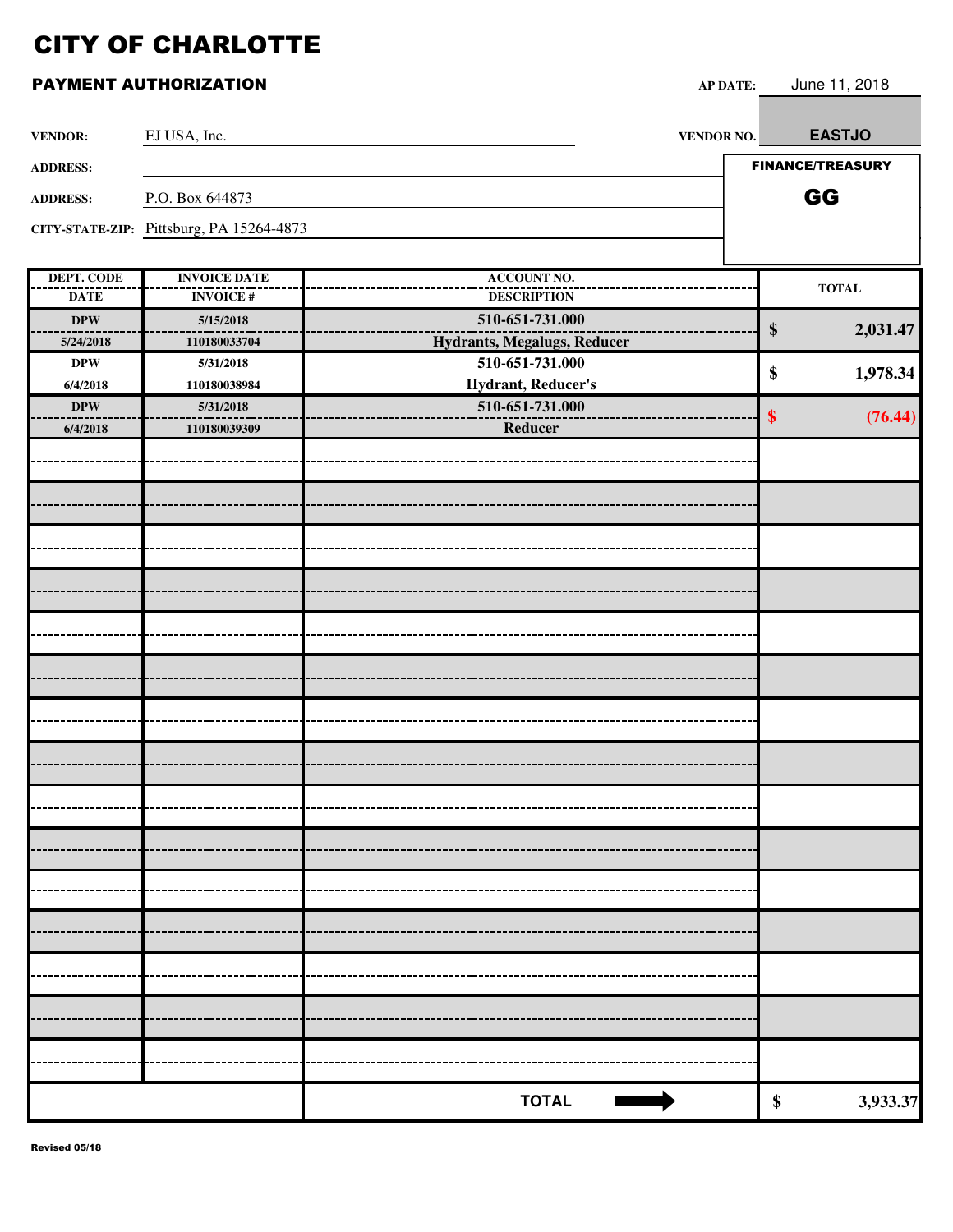| <b>VENDOR:</b>    | EJ USA, Inc.                             | VENDOR NO.                         | <b>EASTJO</b>           |
|-------------------|------------------------------------------|------------------------------------|-------------------------|
| <b>ADDRESS:</b>   |                                          |                                    | <b>FINANCE/TREASURY</b> |
| <b>ADDRESS:</b>   | P.O. Box 644873                          |                                    | GG                      |
|                   | CITY-STATE-ZIP: Pittsburg, PA 15264-4873 |                                    |                         |
|                   |                                          |                                    |                         |
| <b>DEPT. CODE</b> | <b>INVOICE DATE</b>                      | <b>ACCOUNT NO.</b>                 | <b>TOTAL</b>            |
| <b>DATE</b>       | <b>INVOICE#</b>                          | <b>DESCRIPTION</b>                 |                         |
| <b>DPW</b>        | 5/15/2018                                | 510-651-731.000                    | \$<br>2,031.47          |
| 5/24/2018         | 110180033704                             | <b>Hydrants, Megalugs, Reducer</b> |                         |
| <b>DPW</b>        | 5/31/2018                                | 510-651-731.000                    | \$<br>1,978.34          |
| 6/4/2018          | 110180038984                             | Hydrant, Reducer's                 |                         |
| <b>DPW</b>        | 5/31/2018                                | 510-651-731.000                    | \$<br>(76.44)           |
| 6/4/2018          | 110180039309                             | Reducer                            |                         |
|                   |                                          |                                    |                         |
|                   |                                          |                                    |                         |
|                   |                                          |                                    |                         |
|                   |                                          |                                    |                         |
|                   |                                          |                                    |                         |
|                   |                                          |                                    |                         |
|                   |                                          |                                    |                         |
|                   |                                          |                                    |                         |
|                   |                                          |                                    |                         |
|                   |                                          |                                    |                         |
|                   |                                          |                                    |                         |
|                   |                                          |                                    |                         |
|                   |                                          |                                    |                         |
|                   |                                          |                                    |                         |
|                   |                                          |                                    |                         |
|                   |                                          |                                    |                         |
|                   |                                          |                                    |                         |
|                   |                                          |                                    |                         |
|                   |                                          |                                    |                         |
|                   |                                          |                                    |                         |
|                   |                                          |                                    |                         |
|                   |                                          |                                    |                         |
|                   |                                          |                                    |                         |
|                   |                                          |                                    |                         |
|                   |                                          | <b>TOTAL</b>                       | \$<br>3,933.37          |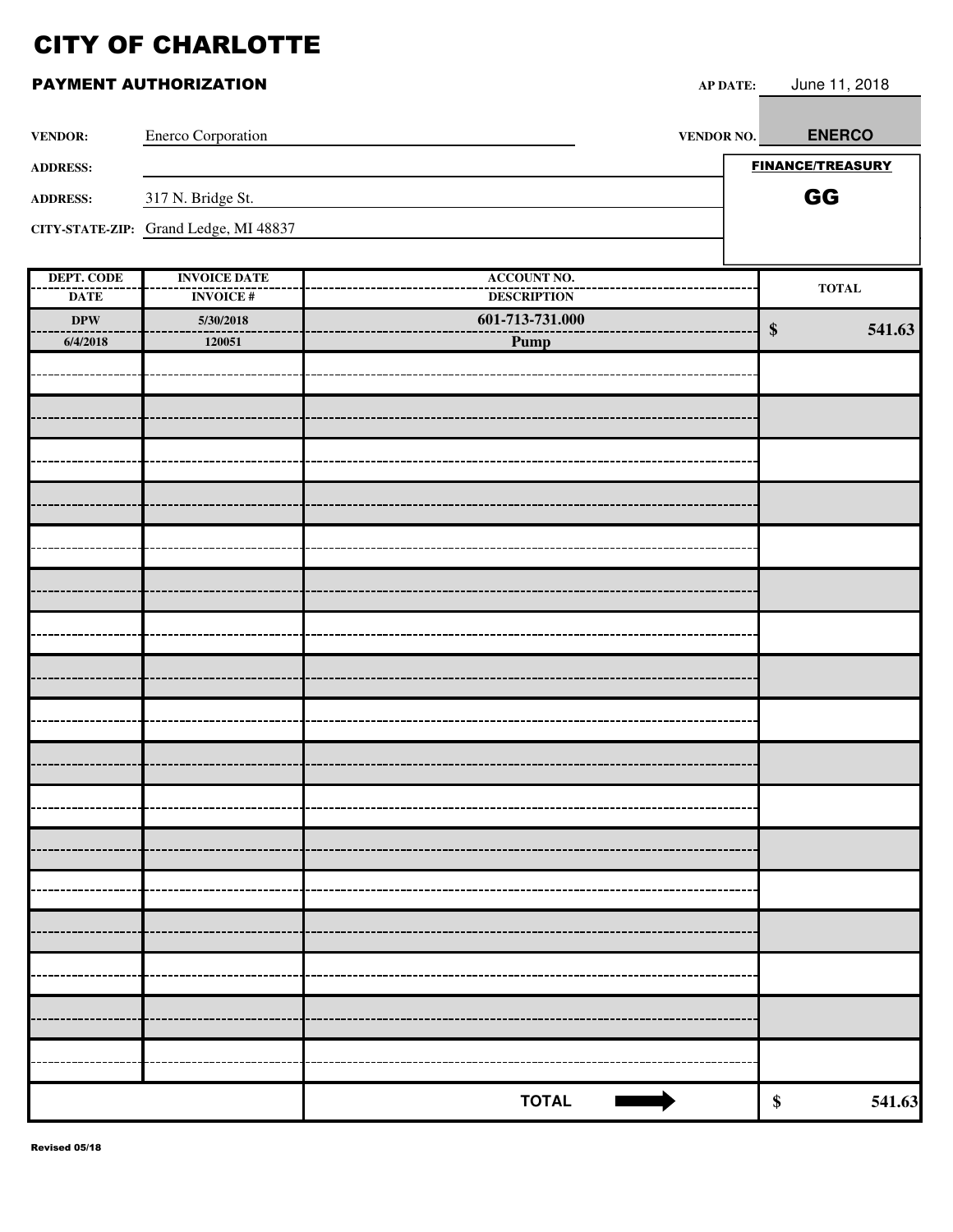|                                  | PAYMENT AUTHORIZATION                  | <b>AP DATE:</b>                                                                                                                                                                                                                                      | June 11, 2018               |
|----------------------------------|----------------------------------------|------------------------------------------------------------------------------------------------------------------------------------------------------------------------------------------------------------------------------------------------------|-----------------------------|
| <b>VENDOR:</b>                   | Enerco Corporation                     | VENDOR NO.                                                                                                                                                                                                                                           | <b>ENERCO</b>               |
| <b>ADDRESS:</b>                  |                                        |                                                                                                                                                                                                                                                      | <b>FINANCE/TREASURY</b>     |
| <b>ADDRESS:</b>                  | 317 N. Bridge St.                      |                                                                                                                                                                                                                                                      | GG                          |
|                                  | CITY-STATE-ZIP: Grand Ledge, MI 48837  |                                                                                                                                                                                                                                                      |                             |
| <b>DEPT. CODE</b><br><b>DATE</b> | <b>INVOICE DATE</b><br><b>INVOICE#</b> | <b>ACCOUNT NO.</b><br><b>DESCRIPTION</b>                                                                                                                                                                                                             | <b>TOTAL</b>                |
| $\bf DPW$                        | 5/30/2018                              | 601-713-731.000                                                                                                                                                                                                                                      | 541.63<br>$\boldsymbol{\$}$ |
| 6/4/2018                         | 120051                                 | Pump                                                                                                                                                                                                                                                 |                             |
|                                  |                                        |                                                                                                                                                                                                                                                      |                             |
|                                  |                                        |                                                                                                                                                                                                                                                      |                             |
|                                  |                                        |                                                                                                                                                                                                                                                      |                             |
|                                  |                                        |                                                                                                                                                                                                                                                      |                             |
|                                  |                                        |                                                                                                                                                                                                                                                      |                             |
|                                  |                                        |                                                                                                                                                                                                                                                      |                             |
|                                  |                                        |                                                                                                                                                                                                                                                      |                             |
|                                  |                                        |                                                                                                                                                                                                                                                      |                             |
|                                  |                                        |                                                                                                                                                                                                                                                      |                             |
|                                  |                                        |                                                                                                                                                                                                                                                      |                             |
|                                  |                                        |                                                                                                                                                                                                                                                      |                             |
|                                  |                                        |                                                                                                                                                                                                                                                      |                             |
|                                  |                                        |                                                                                                                                                                                                                                                      |                             |
|                                  |                                        |                                                                                                                                                                                                                                                      |                             |
|                                  |                                        |                                                                                                                                                                                                                                                      |                             |
|                                  |                                        |                                                                                                                                                                                                                                                      |                             |
|                                  |                                        |                                                                                                                                                                                                                                                      |                             |
|                                  |                                        |                                                                                                                                                                                                                                                      |                             |
|                                  |                                        |                                                                                                                                                                                                                                                      |                             |
|                                  |                                        |                                                                                                                                                                                                                                                      |                             |
|                                  |                                        | <b>TOTAL</b><br><u> The Company of the Company of the Company of the Company of the Company of the Company of the Company of the Company of the Company of the Company of the Company of the Company of the Company of the Company of the Compan</u> | \$<br>541.63                |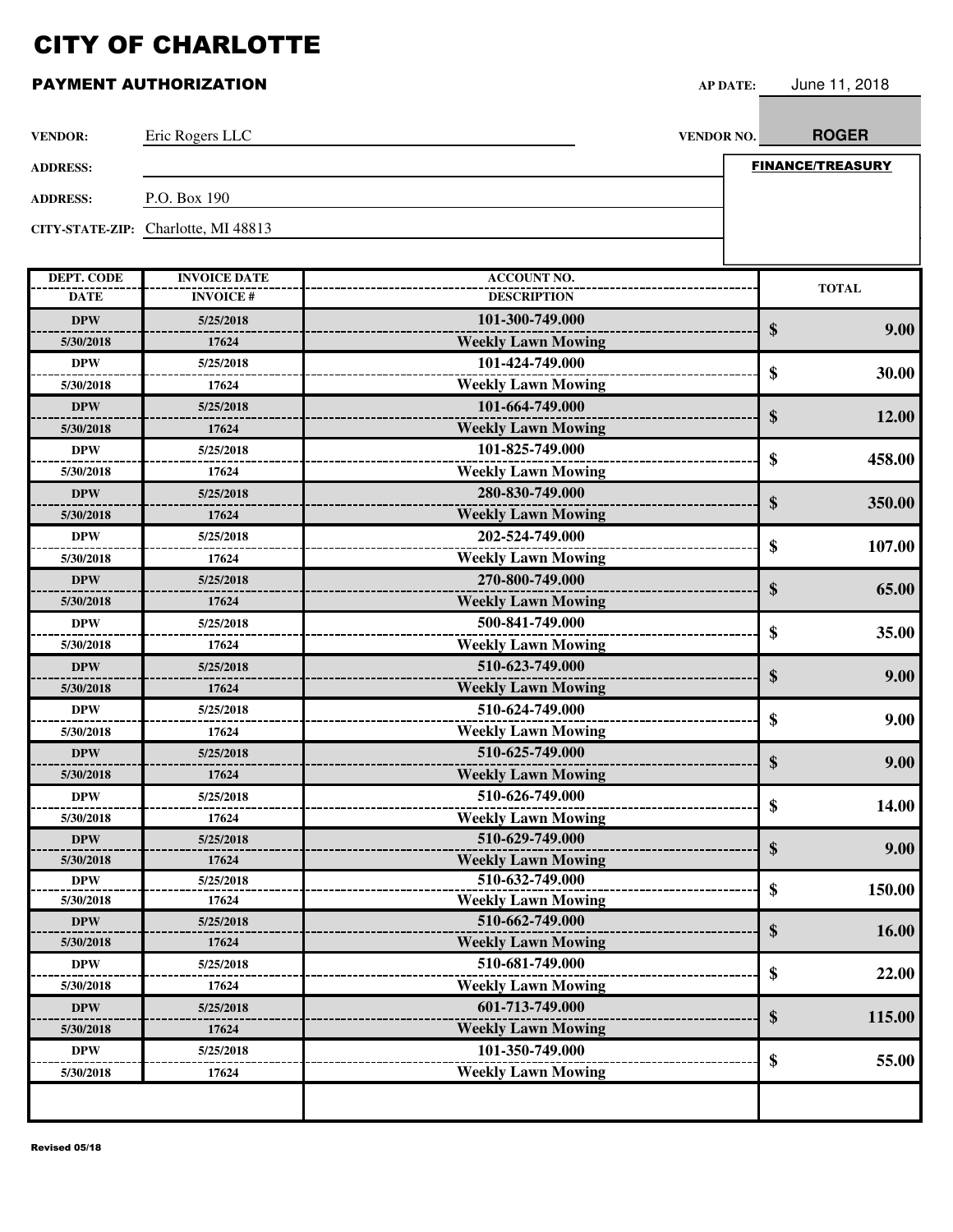### **PAYMENT AUTHORIZATION AP**

|  | <b>PDATE:</b> | June 11, 2018 |  |
|--|---------------|---------------|--|
|--|---------------|---------------|--|

| <b>VENDOR:</b>  | Eric Rogers LLC<br><b>VENDOR NO.</b> | <b>ROGER</b>            |
|-----------------|--------------------------------------|-------------------------|
| <b>ADDRESS:</b> |                                      | <b>FINANCE/TREASURY</b> |
| <b>ADDRESS:</b> | P.O. Box 190                         |                         |
|                 | CITY-STATE-ZIP: Charlotte, MI 48813  |                         |

| <b>DEPT. CODE</b> | <b>INVOICE DATE</b> | <b>ACCOUNT NO.</b>        |              |
|-------------------|---------------------|---------------------------|--------------|
| <b>DATE</b>       | <b>INVOICE#</b>     | <b>DESCRIPTION</b>        | <b>TOTAL</b> |
| <b>DPW</b>        | 5/25/2018           | 101-300-749.000           | 9.00         |
| 5/30/2018         | 17624               | <b>Weekly Lawn Mowing</b> | \$           |
| <b>DPW</b>        | 5/25/2018           | 101-424-749.000           |              |
| 5/30/2018         | 17624               | <b>Weekly Lawn Mowing</b> | \$<br>30.00  |
| <b>DPW</b>        | 5/25/2018           | 101-664-749.000           |              |
| 5/30/2018         | 17624               | <b>Weekly Lawn Mowing</b> | \$<br>12.00  |
| <b>DPW</b>        | 5/25/2018           | 101-825-749.000           |              |
| 5/30/2018         | 17624               | <b>Weekly Lawn Mowing</b> | \$<br>458.00 |
| <b>DPW</b>        | 5/25/2018           | 280-830-749.000           |              |
| 5/30/2018         | 17624               | <b>Weekly Lawn Mowing</b> | \$<br>350.00 |
| <b>DPW</b>        | 5/25/2018           | 202-524-749.000           |              |
| 5/30/2018         | 17624               | <b>Weekly Lawn Mowing</b> | \$<br>107.00 |
| <b>DPW</b>        | 5/25/2018           | 270-800-749.000           |              |
| 5/30/2018         | 17624               | <b>Weekly Lawn Mowing</b> | \$<br>65.00  |
| <b>DPW</b>        | 5/25/2018           | 500-841-749.000           |              |
| 5/30/2018         | 17624               | <b>Weekly Lawn Mowing</b> | \$<br>35.00  |
| <b>DPW</b>        | 5/25/2018           | 510-623-749.000           |              |
| 5/30/2018         | 17624               | <b>Weekly Lawn Mowing</b> | \$<br>9.00   |
| <b>DPW</b>        | 5/25/2018           | 510-624-749.000           |              |
| 5/30/2018         | 17624               | <b>Weekly Lawn Mowing</b> | \$<br>9.00   |
| <b>DPW</b>        | 5/25/2018           | 510-625-749.000           |              |
| 5/30/2018         | 17624               | <b>Weekly Lawn Mowing</b> | \$<br>9.00   |
| <b>DPW</b>        | 5/25/2018           | 510-626-749.000           |              |
| 5/30/2018         | 17624               | <b>Weekly Lawn Mowing</b> | \$<br>14.00  |
| <b>DPW</b>        | 5/25/2018           | 510-629-749.000           |              |
| 5/30/2018         | 17624               | <b>Weekly Lawn Mowing</b> | \$<br>9.00   |
| <b>DPW</b>        | 5/25/2018           | 510-632-749.000           | \$<br>150.00 |
| 5/30/2018         | 17624               | <b>Weekly Lawn Mowing</b> |              |
| <b>DPW</b>        | 5/25/2018           | 510-662-749.000           | \$<br>16.00  |
| 5/30/2018         | 17624               | <b>Weekly Lawn Mowing</b> |              |
| <b>DPW</b>        | 5/25/2018           | 510-681-749.000           | \$<br>22.00  |
| 5/30/2018         | 17624               | <b>Weekly Lawn Mowing</b> |              |
| <b>DPW</b>        | 5/25/2018           | 601-713-749.000           | \$<br>115.00 |
| 5/30/2018         | 17624               | <b>Weekly Lawn Mowing</b> |              |
| <b>DPW</b>        | 5/25/2018           | 101-350-749.000           | \$<br>55.00  |
| 5/30/2018         | 17624               | <b>Weekly Lawn Mowing</b> |              |
|                   |                     |                           |              |
|                   |                     |                           |              |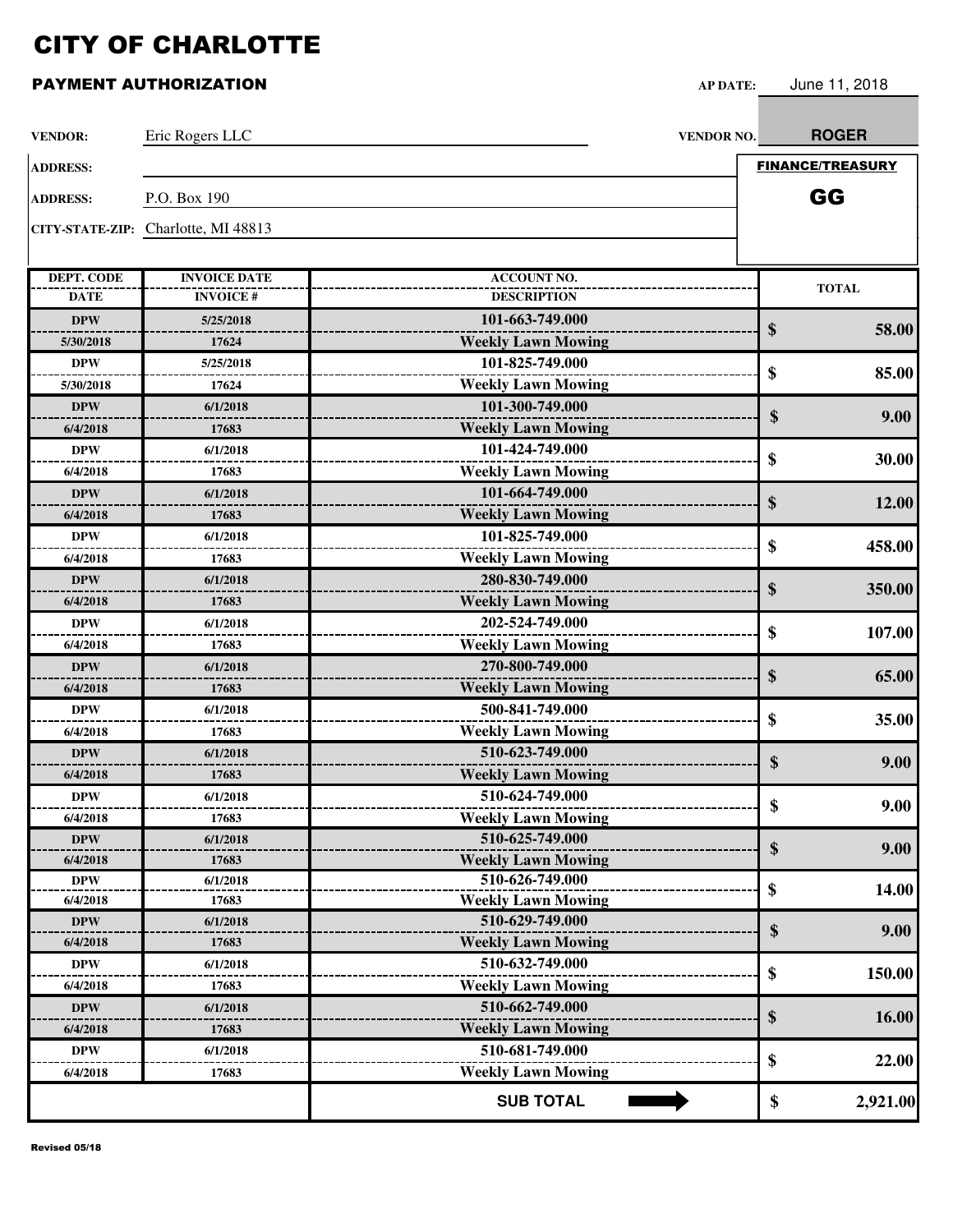| <b>VENDOR:</b>    | Eric Rogers LLC                     | VENDOR NO.                | <b>ROGER</b>            |
|-------------------|-------------------------------------|---------------------------|-------------------------|
| <b>ADDRESS:</b>   |                                     |                           | <b>FINANCE/TREASURY</b> |
| <b>ADDRESS:</b>   | P.O. Box 190                        |                           | GG                      |
|                   |                                     |                           |                         |
|                   | CITY-STATE-ZIP: Charlotte, MI 48813 |                           |                         |
|                   |                                     |                           |                         |
| <b>DEPT. CODE</b> | <b>INVOICE DATE</b>                 | <b>ACCOUNT NO.</b>        | <b>TOTAL</b>            |
| <b>DATE</b>       | <b>INVOICE#</b>                     | <b>DESCRIPTION</b>        |                         |
| <b>DPW</b>        | 5/25/2018                           | 101-663-749.000           | \$<br>58.00             |
| 5/30/2018         | 17624                               | <b>Weekly Lawn Mowing</b> |                         |
| <b>DPW</b>        | 5/25/2018                           | 101-825-749.000           | \$<br>85.00             |
| 5/30/2018         | 17624                               | <b>Weekly Lawn Mowing</b> |                         |
| <b>DPW</b>        | 6/1/2018                            | 101-300-749.000           | \$<br>9.00              |
| 6/4/2018          | 17683                               | <b>Weekly Lawn Mowing</b> |                         |
| <b>DPW</b>        | 6/1/2018                            | 101-424-749.000           | \$<br>30.00             |
| 6/4/2018          | 17683                               | <b>Weekly Lawn Mowing</b> |                         |
| <b>DPW</b>        | 6/1/2018                            | 101-664-749.000           |                         |
| 6/4/2018          | 17683                               | <b>Weekly Lawn Mowing</b> | \$<br>12.00             |
| <b>DPW</b>        | 6/1/2018                            | 101-825-749.000           |                         |
| 6/4/2018          | 17683                               | <b>Weekly Lawn Mowing</b> | \$<br>458.00            |
| <b>DPW</b>        | 6/1/2018                            | 280-830-749.000           |                         |
| 6/4/2018          | 17683                               | <b>Weekly Lawn Mowing</b> | \$<br>350.00            |
| <b>DPW</b>        | 6/1/2018                            | 202-524-749.000           |                         |
| 6/4/2018          | 17683                               | <b>Weekly Lawn Mowing</b> | \$<br>107.00            |
| <b>DPW</b>        | 6/1/2018                            | 270-800-749.000           |                         |
| 6/4/2018          | 17683                               | <b>Weekly Lawn Mowing</b> | \$<br>65.00             |
| <b>DPW</b>        | 6/1/2018                            | 500-841-749.000           |                         |
| 6/4/2018          | 17683                               | <b>Weekly Lawn Mowing</b> | \$<br>35.00             |
| <b>DPW</b>        | 6/1/2018                            | 510-623-749.000           |                         |
| 6/4/2018          | 17683                               | <b>Weekly Lawn Mowing</b> | \$<br>9.00              |
| <b>DPW</b>        | 6/1/2018                            | 510-624-749.000           |                         |
| 6/4/2018          | 17683                               | <b>Weekly Lawn Mowing</b> | \$<br>9.00              |
| <b>DPW</b>        | 6/1/2018                            | 510-625-749.000           |                         |
| 6/4/2018          | 17683                               | <b>Weekly Lawn Mowing</b> | \$<br>9.00              |
| <b>DPW</b>        | 6/1/2018                            | 510-626-749.000           |                         |
| 6/4/2018          | 17683                               | <b>Weekly Lawn Mowing</b> | \$<br>14.00             |
| <b>DPW</b>        | 6/1/2018                            | 510-629-749.000           | \$                      |
| 6/4/2018          | 17683                               | <b>Weekly Lawn Mowing</b> | 9.00                    |
| <b>DPW</b>        | 6/1/2018                            | 510-632-749.000           |                         |
| 6/4/2018          | 17683                               | <b>Weekly Lawn Mowing</b> | \$<br>150.00            |
| <b>DPW</b>        | 6/1/2018                            | 510-662-749.000           |                         |
| 6/4/2018          | 17683                               | <b>Weekly Lawn Mowing</b> | \$<br>16.00             |
| <b>DPW</b>        | 6/1/2018                            | 510-681-749.000           |                         |
| 6/4/2018          | 17683                               | <b>Weekly Lawn Mowing</b> | \$<br>22.00             |
|                   |                                     | <b>SUB TOTAL</b>          | \$<br>2,921.00          |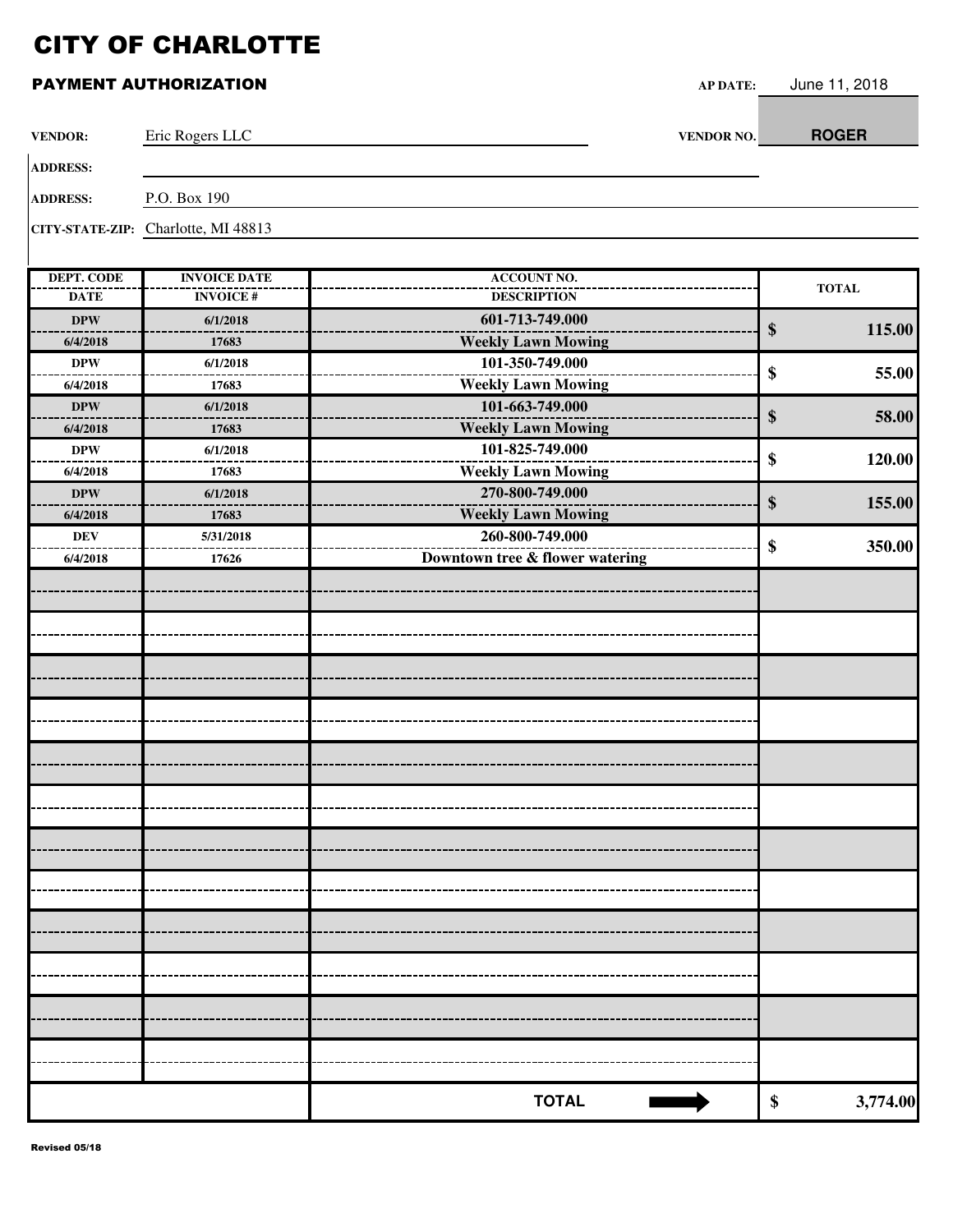| <b>VENDOR:</b>    | Eric Rogers LLC                     | VENDOR NO.                      | <b>ROGER</b>                |
|-------------------|-------------------------------------|---------------------------------|-----------------------------|
| <b>ADDRESS:</b>   |                                     |                                 |                             |
| <b>ADDRESS:</b>   | P.O. Box 190                        |                                 |                             |
|                   | CITY-STATE-ZIP: Charlotte, MI 48813 |                                 |                             |
| <b>DEPT. CODE</b> | <b>INVOICE DATE</b>                 | <b>ACCOUNT NO.</b>              |                             |
| <b>DATE</b>       | <b>INVOICE#</b>                     | <b>DESCRIPTION</b>              | <b>TOTAL</b>                |
| <b>DPW</b>        | 6/1/2018                            | 601-713-749.000                 | $\boldsymbol{\$}$<br>115.00 |
| 6/4/2018          | 17683                               | <b>Weekly Lawn Mowing</b>       |                             |
| <b>DPW</b>        | 6/1/2018                            | 101-350-749.000                 | \$<br>55.00                 |
| 6/4/2018          | 17683                               | <b>Weekly Lawn Mowing</b>       |                             |
| <b>DPW</b>        | 6/1/2018                            | 101-663-749.000                 | \$<br>58.00                 |
| 6/4/2018          | 17683                               | <b>Weekly Lawn Mowing</b>       |                             |
| <b>DPW</b>        | 6/1/2018                            | 101-825-749.000                 | \$<br>120.00                |
| 6/4/2018          | 17683                               | <b>Weekly Lawn Mowing</b>       |                             |
| <b>DPW</b>        | 6/1/2018                            | 270-800-749.000                 | \$<br>155.00                |
| 6/4/2018          | 17683                               | <b>Weekly Lawn Mowing</b>       |                             |
| <b>DEV</b>        | 5/31/2018                           | 260-800-749.000                 | \$<br>350.00                |
| 6/4/2018          | 17626                               | Downtown tree & flower watering |                             |
|                   |                                     |                                 |                             |
|                   |                                     |                                 |                             |
|                   |                                     |                                 |                             |
|                   |                                     |                                 |                             |
|                   |                                     |                                 |                             |
|                   |                                     |                                 |                             |
|                   |                                     |                                 |                             |
|                   |                                     |                                 |                             |
|                   |                                     |                                 |                             |
|                   |                                     |                                 |                             |
|                   |                                     |                                 |                             |
|                   |                                     |                                 |                             |
|                   |                                     |                                 |                             |
|                   |                                     |                                 |                             |
|                   |                                     |                                 |                             |
|                   |                                     |                                 |                             |
|                   |                                     |                                 |                             |
|                   |                                     |                                 |                             |
|                   |                                     |                                 |                             |
|                   |                                     |                                 |                             |
|                   |                                     |                                 |                             |
|                   |                                     |                                 |                             |
|                   |                                     |                                 |                             |
|                   |                                     | <b>TOTAL</b>                    | \$<br>3,774.00              |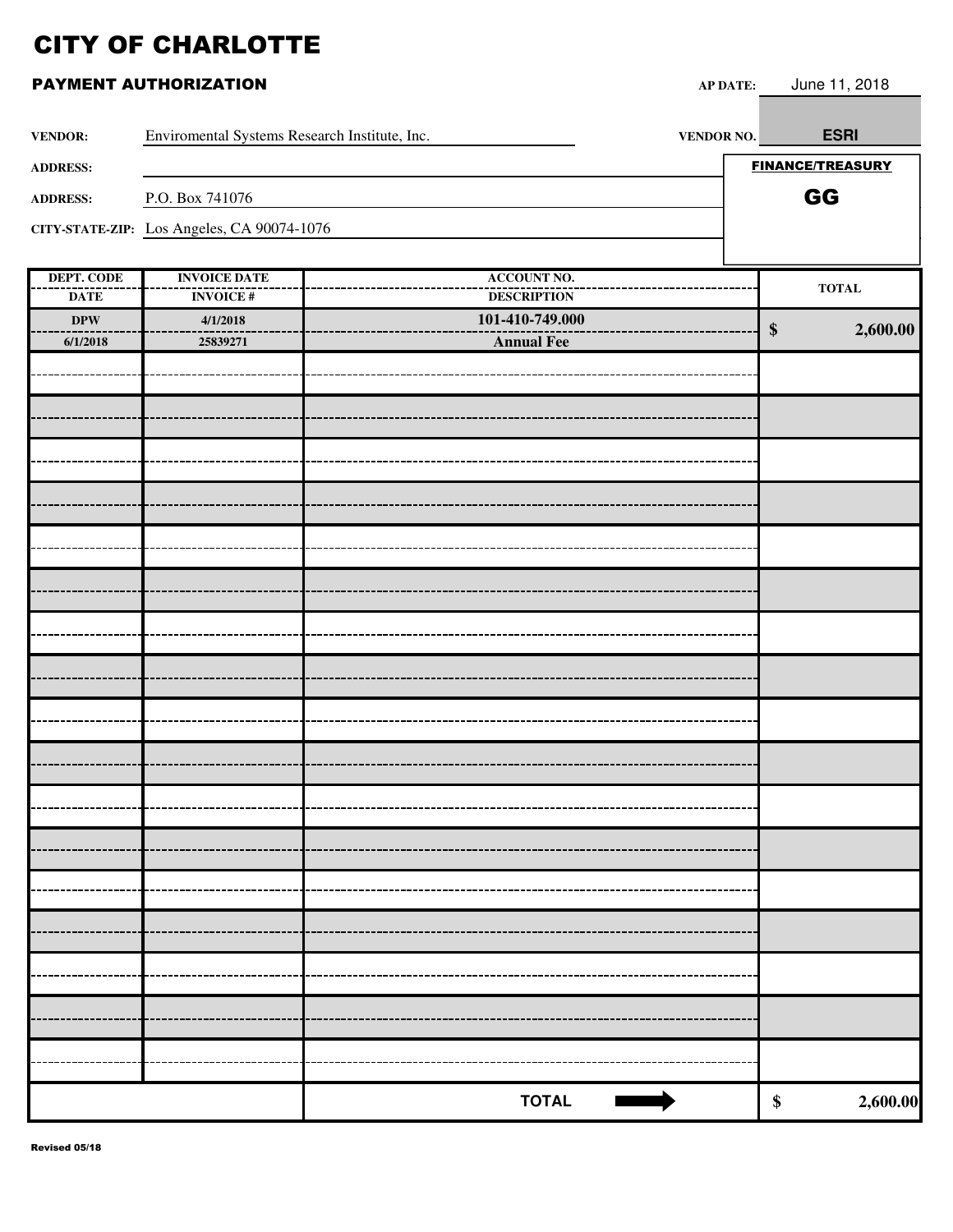|                           | PAYMENT AUTHORIZATION                         | <b>AP DATE:</b>                          | June 11, 2018           |
|---------------------------|-----------------------------------------------|------------------------------------------|-------------------------|
| <b>VENDOR:</b>            | Enviromental Systems Research Institute, Inc. | <b>VENDOR NO.</b>                        | <b>ESRI</b>             |
| <b>ADDRESS:</b>           |                                               |                                          | <b>FINANCE/TREASURY</b> |
| <b>ADDRESS:</b>           | P.O. Box 741076                               |                                          | GG                      |
|                           | CITY-STATE-ZIP: Los Angeles, CA 90074-1076    |                                          |                         |
|                           |                                               |                                          |                         |
| DEPT. CODE<br><b>DATE</b> | <b>INVOICE DATE</b><br><b>INVOICE#</b>        | <b>ACCOUNT NO.</b><br><b>DESCRIPTION</b> | <b>TOTAL</b>            |
| $\bf DPW$                 | 4/1/2018                                      | 101-410-749.000                          |                         |
| 6/1/2018                  | 25839271                                      | <b>Annual Fee</b>                        | $\$\$<br>2,600.00       |
|                           |                                               |                                          |                         |
|                           |                                               |                                          |                         |
|                           |                                               |                                          |                         |
|                           |                                               |                                          |                         |
|                           |                                               |                                          |                         |
|                           |                                               |                                          |                         |
|                           |                                               |                                          |                         |
|                           |                                               |                                          |                         |
|                           |                                               |                                          |                         |
|                           |                                               |                                          |                         |
|                           |                                               |                                          |                         |
|                           |                                               |                                          |                         |
|                           |                                               |                                          |                         |
|                           |                                               |                                          |                         |
|                           |                                               |                                          |                         |
|                           |                                               |                                          |                         |
|                           |                                               |                                          |                         |
|                           |                                               |                                          |                         |
|                           |                                               |                                          |                         |
|                           |                                               |                                          |                         |
|                           |                                               |                                          |                         |
|                           |                                               |                                          |                         |
|                           |                                               |                                          |                         |
|                           |                                               |                                          |                         |
|                           |                                               |                                          |                         |
|                           |                                               | <b>TOTAL</b>                             | \$<br>2,600.00          |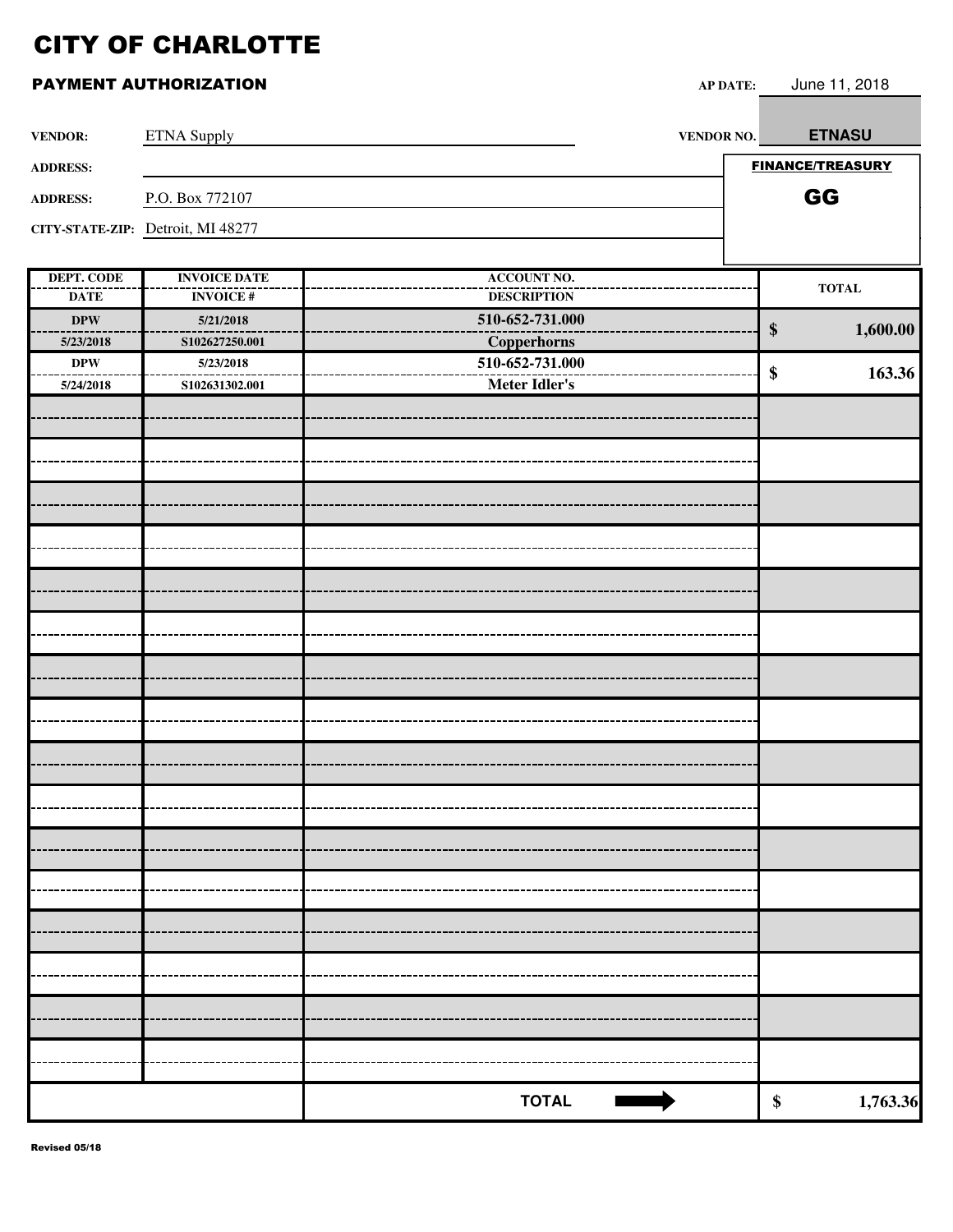| <b>VENDOR:</b>            | <b>ETNA Supply</b>                     | VENDOR NO.                               | <b>ETNASU</b>                   |
|---------------------------|----------------------------------------|------------------------------------------|---------------------------------|
| <b>ADDRESS:</b>           |                                        |                                          | <b>FINANCE/TREASURY</b>         |
| <b>ADDRESS:</b>           | P.O. Box 772107                        |                                          | GG                              |
|                           | CITY-STATE-ZIP: Detroit, MI 48277      |                                          |                                 |
|                           |                                        |                                          |                                 |
| DEPT. CODE<br><b>DATE</b> | <b>INVOICE DATE</b><br><b>INVOICE#</b> | <b>ACCOUNT NO.</b><br><b>DESCRIPTION</b> | $\operatorname{\mathbf{TOTAL}}$ |
| $\bf DPW$                 | 5/21/2018                              | 510-652-731.000                          |                                 |
| 5/23/2018                 | S102627250.001                         | Copperhorns                              | $\boldsymbol{\$}$<br>1,600.00   |
| <b>DPW</b>                | 5/23/2018                              | 510-652-731.000                          |                                 |
| 5/24/2018                 | S102631302.001                         | Meter Idler's                            | 163.36<br>\$                    |
|                           |                                        |                                          |                                 |
|                           |                                        |                                          |                                 |
|                           |                                        |                                          |                                 |
|                           |                                        |                                          |                                 |
|                           |                                        |                                          |                                 |
|                           |                                        |                                          |                                 |
|                           |                                        |                                          |                                 |
|                           |                                        |                                          |                                 |
|                           |                                        |                                          |                                 |
|                           |                                        |                                          |                                 |
|                           |                                        |                                          |                                 |
|                           |                                        |                                          |                                 |
|                           |                                        |                                          |                                 |
|                           |                                        |                                          |                                 |
|                           |                                        |                                          |                                 |
|                           |                                        |                                          |                                 |
|                           |                                        |                                          |                                 |
|                           |                                        |                                          |                                 |
|                           |                                        |                                          |                                 |
|                           |                                        | <b>TOTAL</b>                             | 1,763.36<br>\$                  |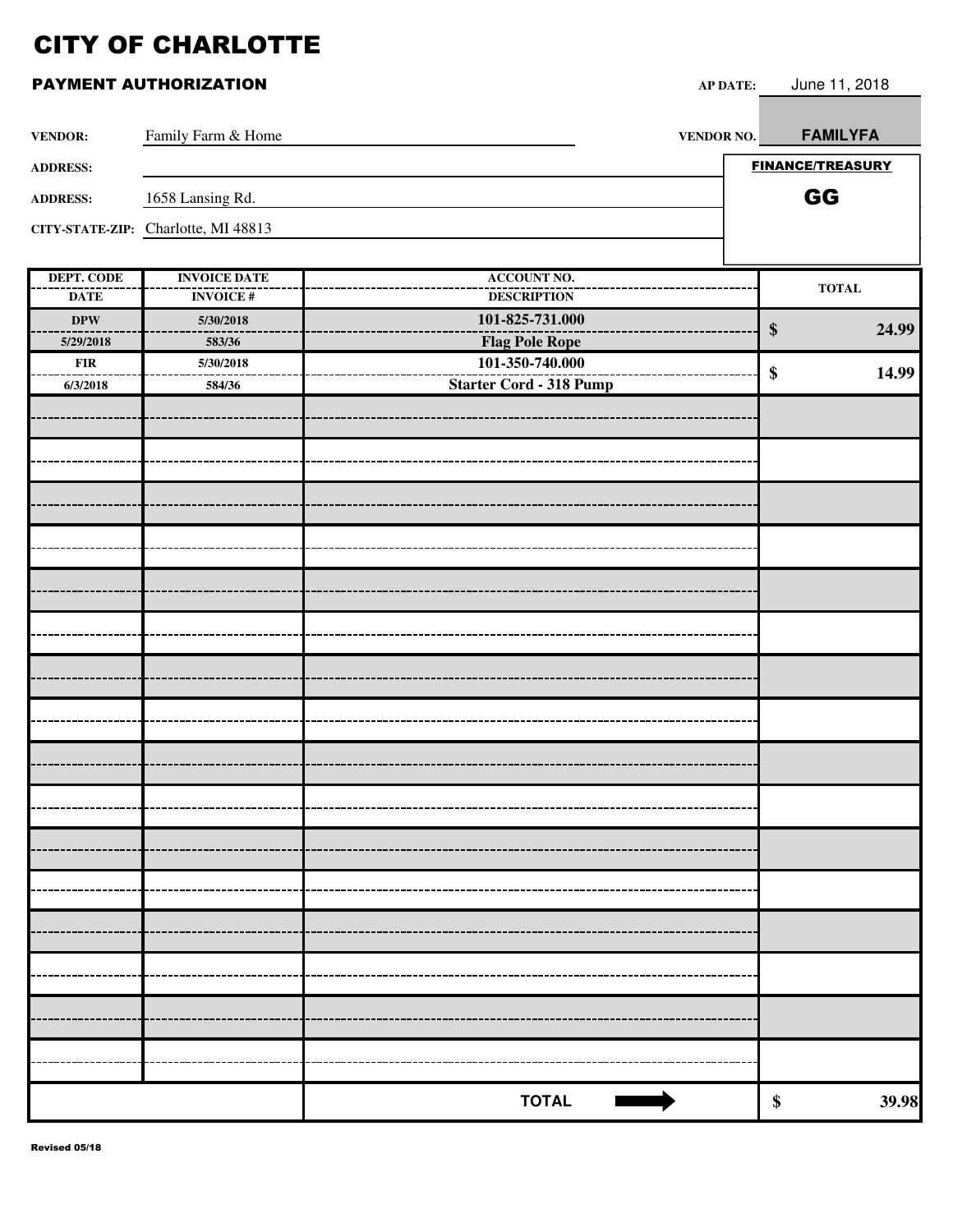| <b>VENDOR:</b>    | Family Farm & Home                  | <b>VENDOR NO.</b>              | <b>FAMILYFA</b>         |       |
|-------------------|-------------------------------------|--------------------------------|-------------------------|-------|
| <b>ADDRESS:</b>   |                                     |                                | <b>FINANCE/TREASURY</b> |       |
| <b>ADDRESS:</b>   | 1658 Lansing Rd.                    |                                | GG                      |       |
|                   | CITY-STATE-ZIP: Charlotte, MI 48813 |                                |                         |       |
|                   |                                     |                                |                         |       |
| <b>DEPT. CODE</b> | <b>INVOICE DATE</b>                 | <b>ACCOUNT NO.</b>             | <b>TOTAL</b>            |       |
| <b>DATE</b>       | <b>INVOICE#</b>                     | <b>DESCRIPTION</b>             |                         |       |
| $\bf DPW$         | 5/30/2018                           | 101-825-731.000                | \$                      | 24.99 |
| 5/29/2018         | 583/36                              | <b>Flag Pole Rope</b>          |                         |       |
| ${\bf FIR}$       | 5/30/2018                           | 101-350-740.000                | \$                      | 14.99 |
| 6/3/2018          | 584/36                              | <b>Starter Cord - 318 Pump</b> |                         |       |
|                   |                                     |                                |                         |       |
|                   |                                     |                                |                         |       |
|                   |                                     |                                |                         |       |
|                   |                                     |                                |                         |       |
|                   |                                     |                                |                         |       |
|                   |                                     |                                |                         |       |
|                   |                                     |                                |                         |       |
|                   |                                     |                                |                         |       |
|                   |                                     |                                |                         |       |
|                   |                                     |                                |                         |       |
|                   |                                     |                                |                         |       |
|                   |                                     |                                |                         |       |
|                   |                                     |                                |                         |       |
|                   |                                     |                                |                         |       |
|                   |                                     |                                |                         |       |
|                   |                                     |                                |                         |       |
|                   |                                     |                                |                         |       |
|                   |                                     |                                |                         |       |
|                   |                                     |                                |                         |       |
|                   |                                     |                                |                         |       |
|                   |                                     |                                |                         |       |
|                   |                                     |                                |                         |       |
|                   |                                     |                                |                         |       |
|                   |                                     |                                |                         |       |
|                   |                                     |                                |                         |       |
|                   |                                     |                                |                         |       |
|                   |                                     |                                |                         |       |
|                   |                                     |                                |                         |       |
|                   |                                     |                                |                         |       |
|                   |                                     |                                |                         |       |
|                   |                                     | <b>TOTAL</b>                   | $\pmb{\$}$              | 39.98 |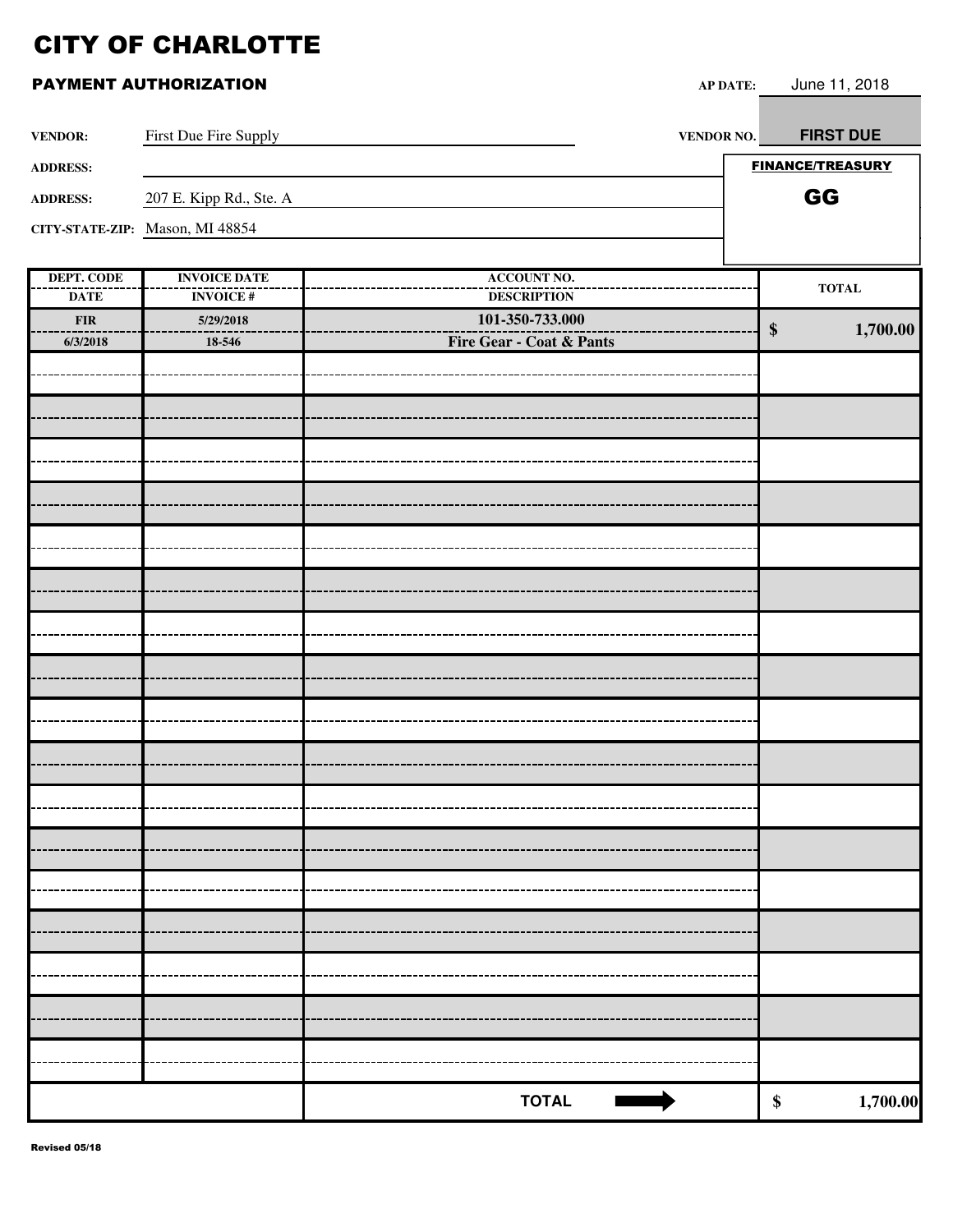|  | PAYMENT AUTHORIZATION |
|--|-----------------------|
|--|-----------------------|

|                                  | PAYMENT AUTHORIZATION                  | AP DATE:                                 | June 11, 2018           |
|----------------------------------|----------------------------------------|------------------------------------------|-------------------------|
| <b>VENDOR:</b>                   | First Due Fire Supply                  | <b>VENDOR NO.</b>                        | <b>FIRST DUE</b>        |
| <b>ADDRESS:</b>                  |                                        |                                          | <b>FINANCE/TREASURY</b> |
| <b>ADDRESS:</b>                  | 207 E. Kipp Rd., Ste. A                |                                          | GG                      |
|                                  | CITY-STATE-ZIP: Mason, MI 48854        |                                          |                         |
|                                  |                                        |                                          |                         |
| <b>DEPT. CODE</b><br><b>DATE</b> | <b>INVOICE DATE</b><br><b>INVOICE#</b> | <b>ACCOUNT NO.</b><br><b>DESCRIPTION</b> | <b>TOTAL</b>            |
| <b>FIR</b>                       | 5/29/2018                              | 101-350-733.000                          |                         |
| 6/3/2018                         | 18-546                                 | Fire Gear - Coat & Pants                 | 1,700.00<br>\$          |
|                                  |                                        |                                          |                         |
|                                  |                                        |                                          |                         |
|                                  |                                        |                                          |                         |
|                                  |                                        |                                          |                         |
|                                  |                                        |                                          |                         |
|                                  |                                        |                                          |                         |
|                                  |                                        |                                          |                         |
|                                  |                                        |                                          |                         |
|                                  |                                        |                                          |                         |
|                                  |                                        |                                          |                         |
|                                  |                                        |                                          |                         |
|                                  |                                        |                                          |                         |
|                                  |                                        |                                          |                         |
|                                  |                                        |                                          |                         |
|                                  |                                        |                                          |                         |
|                                  |                                        |                                          |                         |
|                                  |                                        |                                          |                         |
|                                  |                                        |                                          |                         |
|                                  |                                        |                                          |                         |
|                                  |                                        |                                          |                         |
|                                  |                                        |                                          |                         |
|                                  |                                        |                                          |                         |
|                                  |                                        |                                          |                         |
|                                  |                                        |                                          |                         |
|                                  |                                        | <b>TOTAL</b>                             | $\pmb{\$}$              |
|                                  |                                        |                                          | 1,700.00                |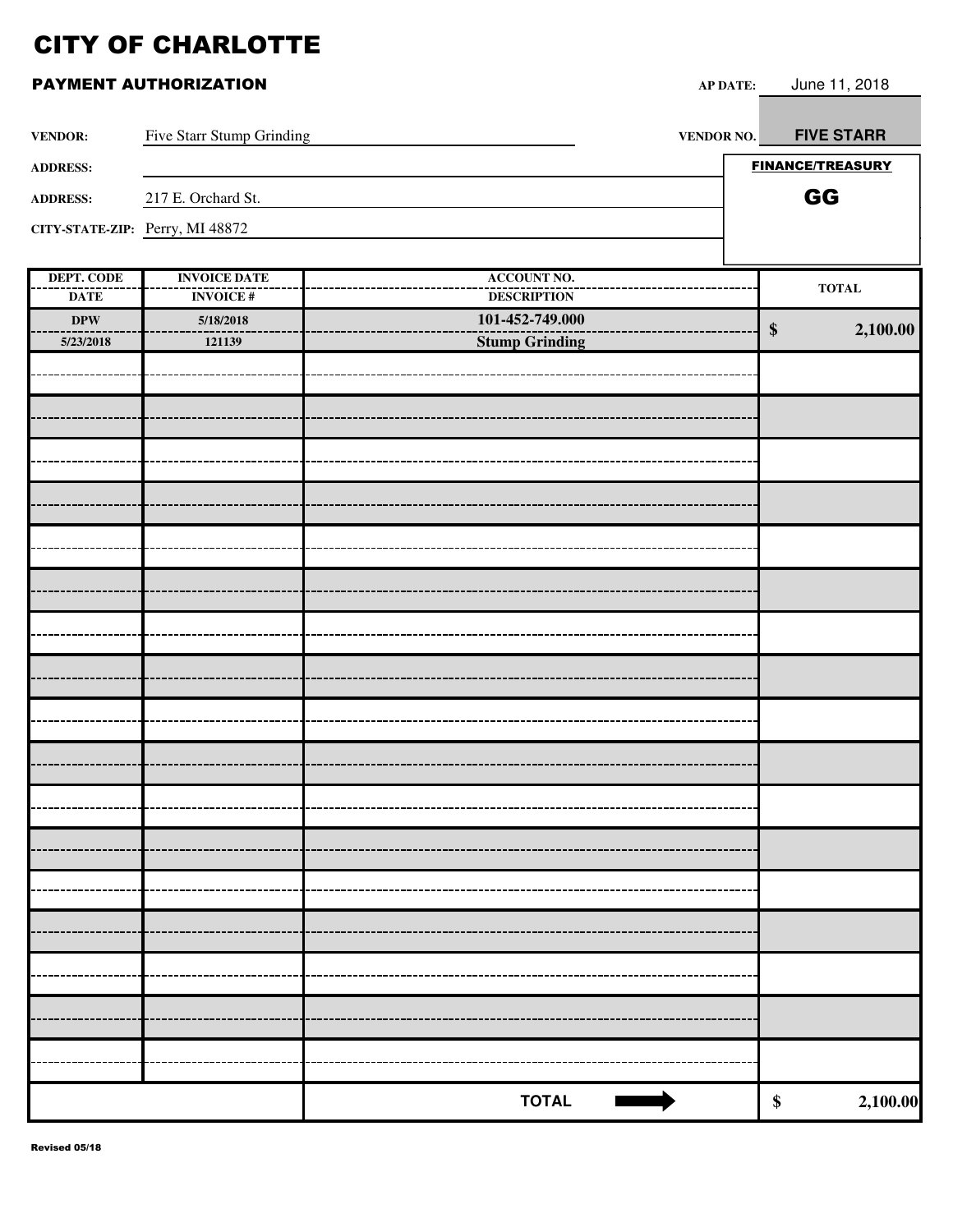|                                       | <b>PAYMENT AUTHORIZATION</b>     | <b>AP DATE:</b>                          | June 11, 2018                 |
|---------------------------------------|----------------------------------|------------------------------------------|-------------------------------|
| <b>VENDOR:</b>                        | <b>Five Starr Stump Grinding</b> | VENDOR NO.                               | <b>FIVE STARR</b>             |
| <b>ADDRESS:</b>                       |                                  |                                          | <b>FINANCE/TREASURY</b>       |
| 217 E. Orchard St.<br><b>ADDRESS:</b> |                                  |                                          | GG                            |
|                                       | CITY-STATE-ZIP: Perry, MI 48872  |                                          |                               |
| <b>DEPT. CODE</b>                     | <b>INVOICE DATE</b>              | <b>ACCOUNT NO.</b>                       | <b>TOTAL</b>                  |
| <b>DATE</b>                           | <b>INVOICE#</b>                  | <b>DESCRIPTION</b>                       |                               |
| <b>DPW</b><br>5/23/2018               | 5/18/2018<br>121139              | 101-452-749.000<br><b>Stump Grinding</b> | $\boldsymbol{\$}$<br>2,100.00 |
|                                       |                                  |                                          |                               |
|                                       |                                  |                                          |                               |
|                                       |                                  |                                          |                               |
|                                       |                                  |                                          |                               |
|                                       |                                  |                                          |                               |
|                                       |                                  |                                          |                               |
|                                       |                                  |                                          |                               |
|                                       |                                  |                                          |                               |
|                                       |                                  |                                          |                               |
|                                       |                                  |                                          |                               |
|                                       |                                  |                                          |                               |
|                                       |                                  |                                          |                               |
|                                       |                                  |                                          |                               |
|                                       |                                  |                                          |                               |
|                                       |                                  |                                          |                               |
|                                       |                                  |                                          |                               |
|                                       |                                  |                                          |                               |
|                                       |                                  |                                          |                               |
|                                       |                                  |                                          |                               |
|                                       |                                  | <b>TOTAL</b><br><b>Record</b>            | $\boldsymbol{\$}$<br>2,100.00 |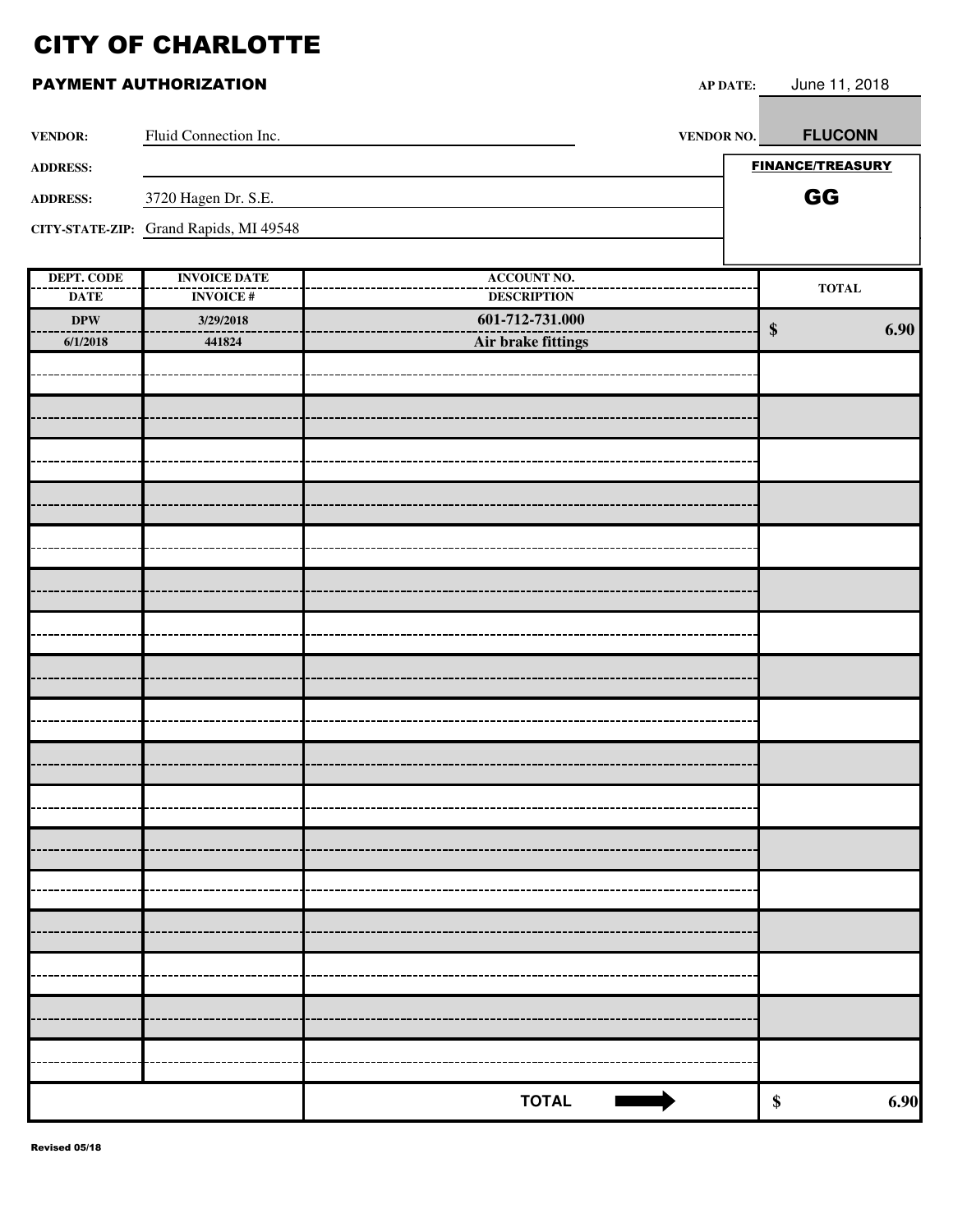|                   | <b>PAYMENT AUTHORIZATION</b>           | <b>AP DATE:</b>    |        | June 11, 2018           |
|-------------------|----------------------------------------|--------------------|--------|-------------------------|
| <b>VENDOR:</b>    | Fluid Connection Inc.                  | VENDOR NO.         |        | <b>FLUCONN</b>          |
| <b>ADDRESS:</b>   |                                        |                    |        | <b>FINANCE/TREASURY</b> |
| <b>ADDRESS:</b>   | 3720 Hagen Dr. S.E.                    |                    |        | GG                      |
|                   | CITY-STATE-ZIP: Grand Rapids, MI 49548 |                    |        |                         |
| <b>DEPT. CODE</b> | <b>INVOICE DATE</b>                    | <b>ACCOUNT NO.</b> |        |                         |
| <b>DATE</b>       | <b>INVOICE#</b>                        | <b>DESCRIPTION</b> |        | <b>TOTAL</b>            |
| $\bf DPW$         | 3/29/2018                              | 601-712-731.000    | $\$\,$ | 6.90                    |
| 6/1/2018          | 441824                                 | Air brake fittings |        |                         |
|                   |                                        |                    |        |                         |
|                   |                                        |                    |        |                         |
|                   |                                        |                    |        |                         |
|                   |                                        |                    |        |                         |
|                   |                                        |                    |        |                         |
|                   |                                        |                    |        |                         |
|                   |                                        |                    |        |                         |
|                   |                                        |                    |        |                         |
|                   |                                        |                    |        |                         |
|                   |                                        |                    |        |                         |
|                   |                                        |                    |        |                         |
|                   |                                        |                    |        |                         |
|                   |                                        |                    |        |                         |
|                   |                                        |                    |        |                         |
|                   |                                        |                    |        |                         |
|                   |                                        | <b>TOTAL</b>       | \$     | 6.90                    |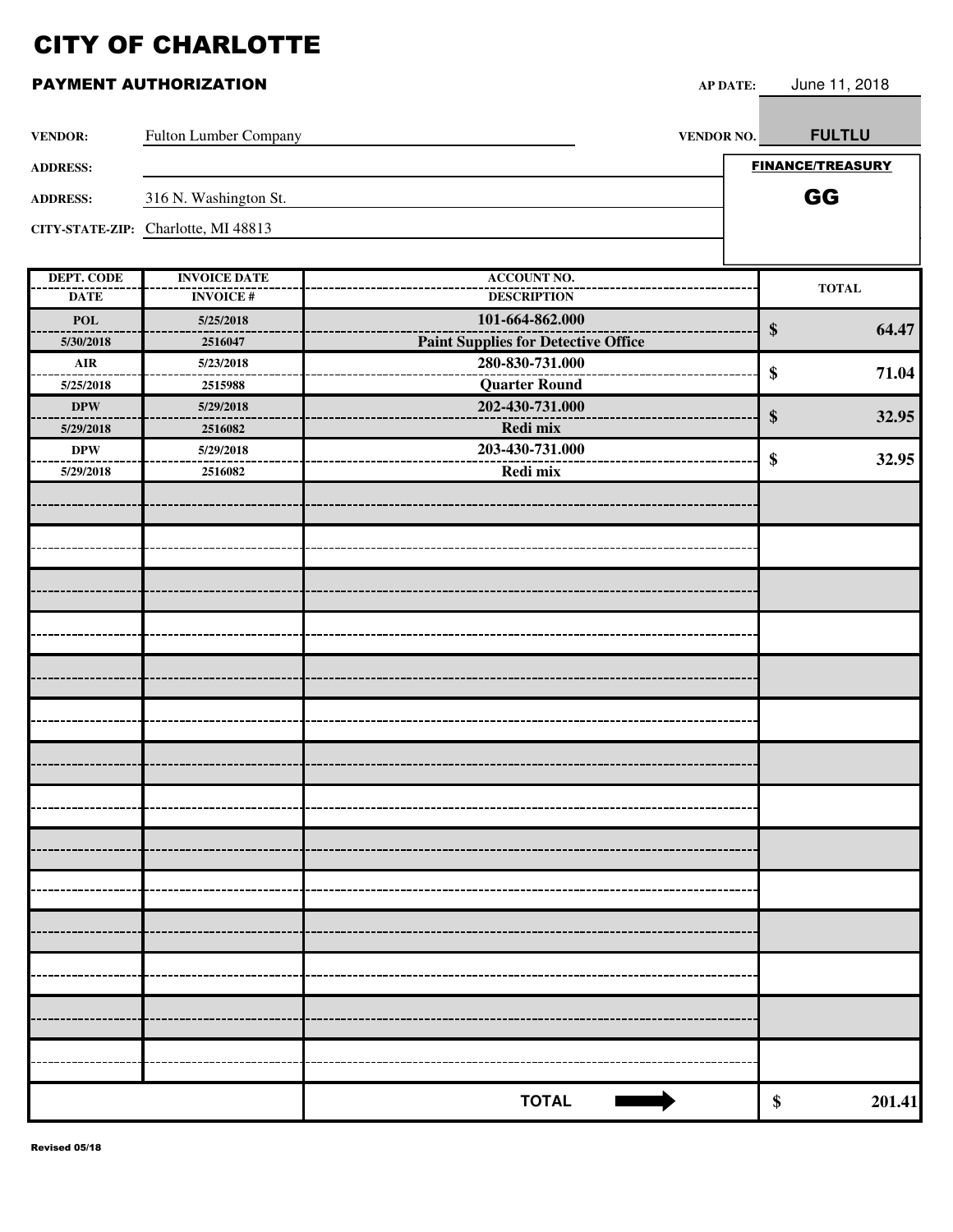| <b>VENDOR:</b>    | Fulton Lumber Company               | <b>VENDOR NO.</b>                          |       | <b>FULTLU</b>           |
|-------------------|-------------------------------------|--------------------------------------------|-------|-------------------------|
| <b>ADDRESS:</b>   |                                     |                                            |       | <b>FINANCE/TREASURY</b> |
| <b>ADDRESS:</b>   | 316 N. Washington St.               |                                            |       | GG                      |
|                   | CITY-STATE-ZIP: Charlotte, MI 48813 |                                            |       |                         |
|                   |                                     |                                            |       |                         |
| <b>DEPT. CODE</b> | <b>INVOICE DATE</b>                 | <b>ACCOUNT NO.</b>                         |       | <b>TOTAL</b>            |
| <b>DATE</b>       | <b>INVOICE#</b>                     | <b>DESCRIPTION</b>                         |       |                         |
| <b>POL</b>        | 5/25/2018                           | 101-664-862.000                            | \$    | 64.47                   |
| 5/30/2018         | 2516047                             | <b>Paint Supplies for Detective Office</b> |       |                         |
| $\mathbf{AIR}$    | 5/23/2018                           | 280-830-731.000                            | \$    | 71.04                   |
| 5/25/2018         | 2515988                             | <b>Quarter Round</b>                       |       |                         |
| <b>DPW</b>        | 5/29/2018                           | 202-430-731.000                            | $\$\$ | 32.95                   |
| 5/29/2018         | 2516082                             | Redi mix                                   |       |                         |
| $\bf DPW$         | 5/29/2018                           | 203-430-731.000                            | \$    | 32.95                   |
| 5/29/2018         | 2516082                             | Redi mix                                   |       |                         |
|                   |                                     |                                            |       |                         |
|                   |                                     |                                            |       |                         |
|                   |                                     |                                            |       |                         |
|                   |                                     |                                            |       |                         |
|                   |                                     |                                            |       |                         |
|                   |                                     |                                            |       |                         |
|                   |                                     |                                            |       |                         |
|                   |                                     |                                            |       |                         |
|                   |                                     |                                            |       |                         |
|                   |                                     |                                            |       |                         |
|                   |                                     |                                            |       |                         |
|                   |                                     |                                            |       |                         |
|                   |                                     |                                            |       |                         |
|                   |                                     |                                            |       |                         |
|                   |                                     |                                            |       |                         |
|                   |                                     |                                            |       |                         |
|                   |                                     |                                            |       |                         |
|                   |                                     |                                            |       |                         |
|                   |                                     |                                            |       |                         |
|                   |                                     | <b>TOTAL</b>                               | \$    | 201.41                  |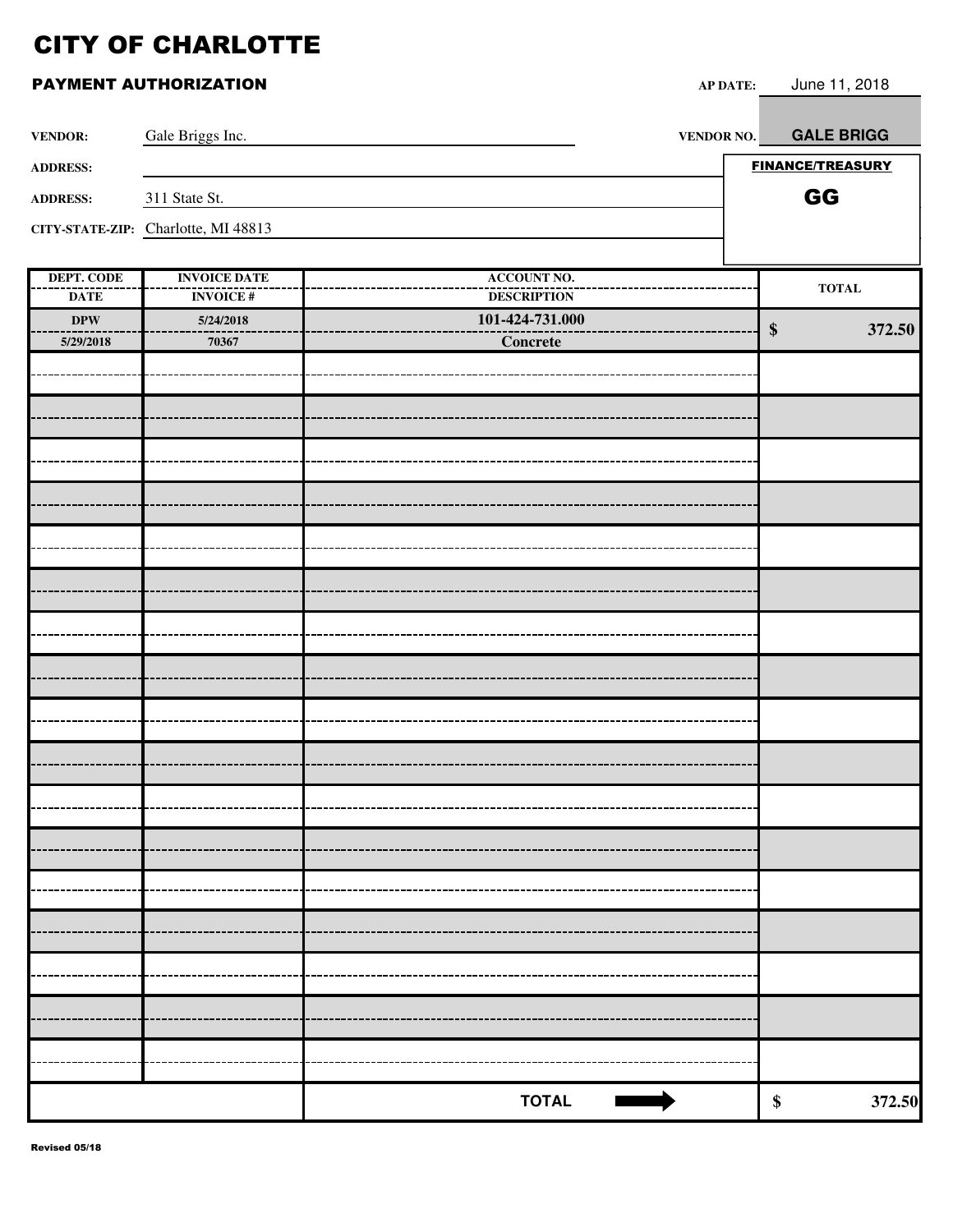|                   | PAYMENT AUTHORIZATION               | <b>AP DATE:</b>    | June 11, 2018           |
|-------------------|-------------------------------------|--------------------|-------------------------|
| <b>VENDOR:</b>    | Gale Briggs Inc.                    | <b>VENDOR NO.</b>  | <b>GALE BRIGG</b>       |
| <b>ADDRESS:</b>   |                                     |                    | <b>FINANCE/TREASURY</b> |
| <b>ADDRESS:</b>   | 311 State St.                       |                    | GG                      |
|                   | CITY-STATE-ZIP: Charlotte, MI 48813 |                    |                         |
|                   |                                     |                    |                         |
| <b>DEPT. CODE</b> | <b>INVOICE DATE</b>                 | <b>ACCOUNT NO.</b> | <b>TOTAL</b>            |
| <b>DATE</b>       | <b>INVOICE#</b>                     | <b>DESCRIPTION</b> |                         |
| $\bf DPW$         | 5/24/2018                           | 101-424-731.000    | 372.50<br>\$            |
| 5/29/2018         | 70367                               | Concrete           |                         |
|                   |                                     |                    |                         |
|                   |                                     |                    |                         |
|                   |                                     |                    |                         |
|                   |                                     |                    |                         |
|                   |                                     |                    |                         |
|                   |                                     |                    |                         |
|                   |                                     |                    |                         |
|                   |                                     |                    |                         |
|                   |                                     |                    |                         |
|                   |                                     |                    |                         |
|                   |                                     |                    |                         |
|                   |                                     |                    |                         |
|                   |                                     |                    |                         |
|                   |                                     |                    |                         |
|                   |                                     |                    |                         |
|                   |                                     |                    |                         |
|                   |                                     |                    |                         |
|                   |                                     |                    |                         |
|                   |                                     |                    |                         |
|                   |                                     |                    |                         |
|                   |                                     |                    |                         |
|                   |                                     |                    |                         |
|                   |                                     |                    |                         |
|                   |                                     |                    |                         |
|                   |                                     |                    |                         |

**TOTAL S** 372.50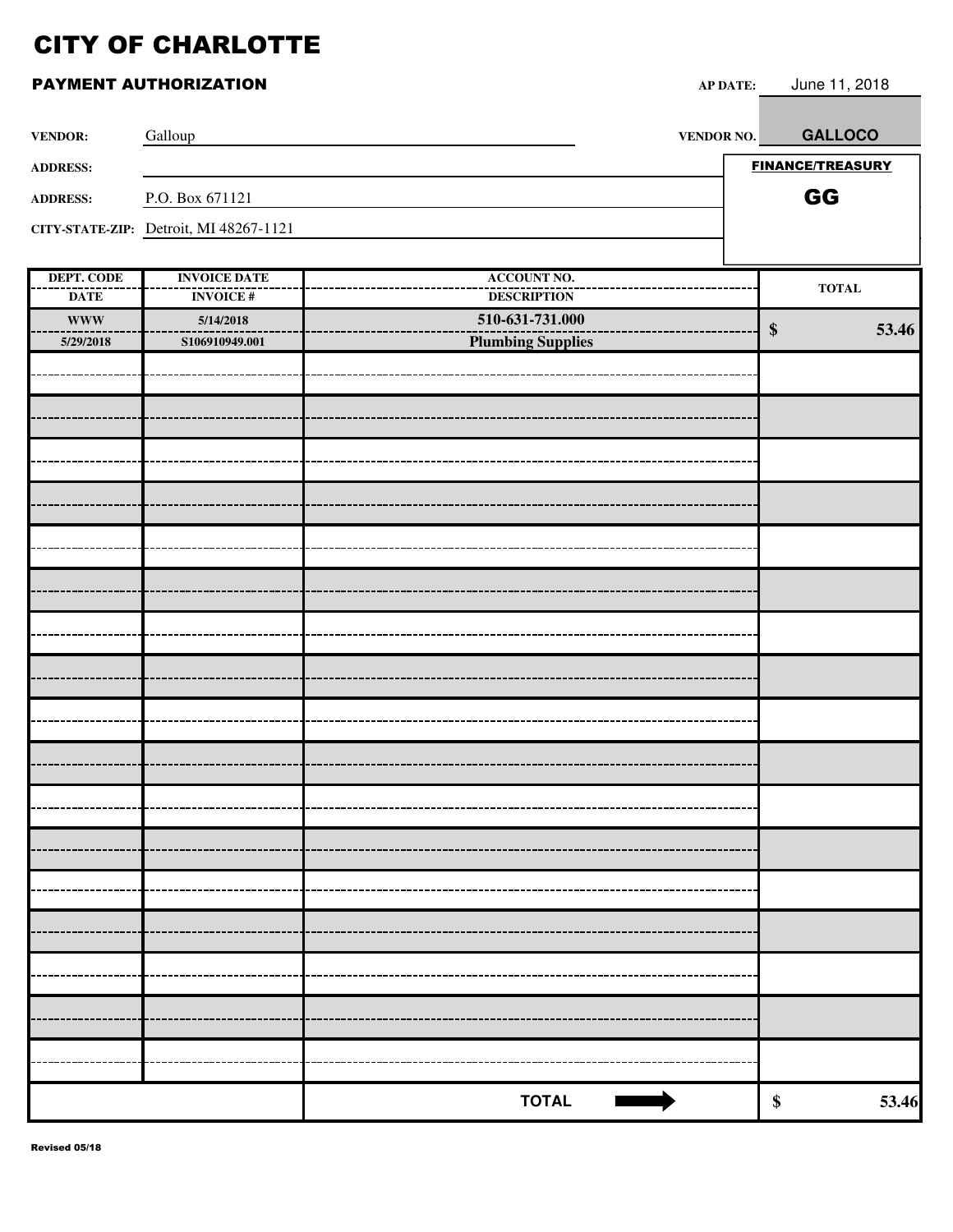| <b>VENDOR:</b>                   | Galloup                                | <b>VENDOR NO.</b>                        |                   | <b>GALLOCO</b>          |
|----------------------------------|----------------------------------------|------------------------------------------|-------------------|-------------------------|
| <b>ADDRESS:</b>                  |                                        |                                          |                   | <b>FINANCE/TREASURY</b> |
| <b>ADDRESS:</b>                  | P.O. Box 671121                        |                                          |                   | GG                      |
|                                  | CITY-STATE-ZIP: Detroit, MI 48267-1121 |                                          |                   |                         |
|                                  |                                        |                                          |                   |                         |
| <b>DEPT. CODE</b><br><b>DATE</b> | <b>INVOICE DATE</b><br><b>INVOICE#</b> | <b>ACCOUNT NO.</b><br><b>DESCRIPTION</b> |                   | $\bf TOTAL$             |
| <b>WWW</b>                       | 5/14/2018                              | 510-631-731.000                          |                   | 53.46                   |
| 5/29/2018                        | S106910949.001                         | <b>Plumbing Supplies</b>                 | $\boldsymbol{\$}$ |                         |
|                                  |                                        |                                          |                   |                         |
|                                  |                                        |                                          |                   |                         |
|                                  |                                        |                                          |                   |                         |
|                                  |                                        |                                          |                   |                         |
|                                  |                                        |                                          |                   |                         |
|                                  |                                        |                                          |                   |                         |
|                                  |                                        |                                          |                   |                         |
|                                  |                                        |                                          |                   |                         |
|                                  |                                        |                                          |                   |                         |
|                                  |                                        |                                          |                   |                         |
|                                  |                                        |                                          |                   |                         |
|                                  |                                        |                                          |                   |                         |
|                                  |                                        |                                          |                   |                         |
|                                  |                                        |                                          |                   |                         |
|                                  |                                        |                                          |                   |                         |
|                                  |                                        |                                          |                   |                         |
|                                  |                                        |                                          |                   |                         |
|                                  |                                        |                                          |                   |                         |
|                                  |                                        |                                          |                   |                         |
|                                  |                                        |                                          |                   |                         |
|                                  |                                        |                                          |                   |                         |
|                                  |                                        | <b>TOTAL</b>                             | $\pmb{\$}$        | 53.46                   |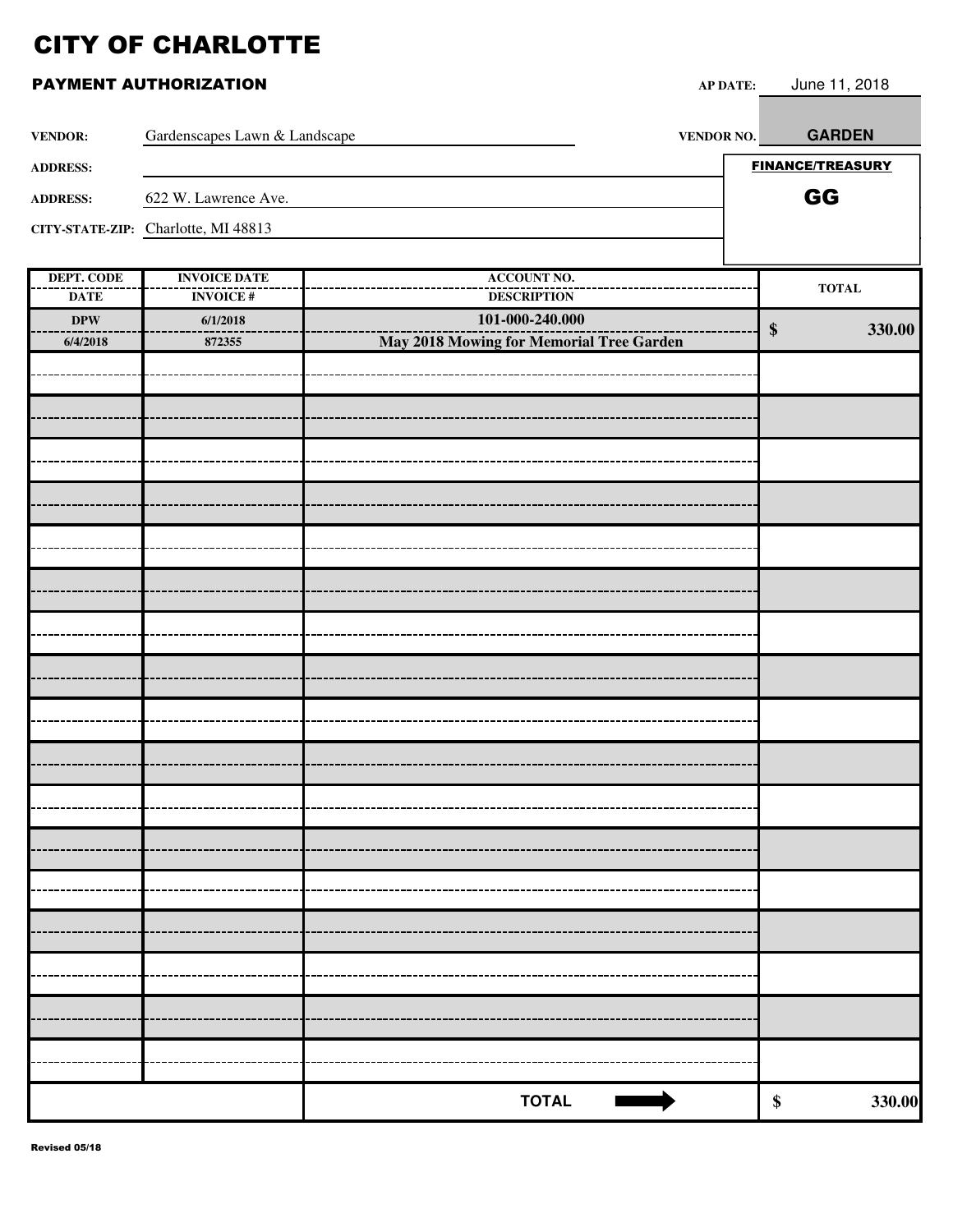| <b>VENDOR:</b>                   | Gardenscapes Lawn & Landscape          | <b>VENDOR NO.</b>                        | <b>GARDEN</b>               |
|----------------------------------|----------------------------------------|------------------------------------------|-----------------------------|
| <b>ADDRESS:</b>                  |                                        |                                          | <b>FINANCE/TREASURY</b>     |
| <b>ADDRESS:</b>                  | 622 W. Lawrence Ave.                   |                                          | GG                          |
|                                  | CITY-STATE-ZIP: Charlotte, MI 48813    |                                          |                             |
|                                  |                                        |                                          |                             |
| <b>DEPT. CODE</b><br><b>DATE</b> | <b>INVOICE DATE</b><br><b>INVOICE#</b> | <b>ACCOUNT NO.</b><br><b>DESCRIPTION</b> | $\bf TOTAL$                 |
| <b>DPW</b>                       | 6/1/2018                               | 101-000-240.000                          |                             |
| 6/4/2018                         | 872355                                 | May 2018 Mowing for Memorial Tree Garden | 330.00<br>$\boldsymbol{\$}$ |
|                                  |                                        |                                          |                             |
|                                  |                                        |                                          |                             |
|                                  |                                        |                                          |                             |
|                                  |                                        |                                          |                             |
|                                  |                                        |                                          |                             |
|                                  |                                        |                                          |                             |
|                                  |                                        |                                          |                             |
|                                  |                                        |                                          |                             |
|                                  |                                        |                                          |                             |
|                                  |                                        |                                          |                             |
|                                  |                                        |                                          |                             |
|                                  |                                        |                                          |                             |
|                                  |                                        |                                          |                             |
|                                  |                                        |                                          |                             |
|                                  |                                        |                                          |                             |
|                                  |                                        |                                          |                             |
|                                  |                                        |                                          |                             |
|                                  |                                        |                                          |                             |
|                                  |                                        |                                          |                             |
|                                  |                                        |                                          |                             |
|                                  |                                        |                                          |                             |
|                                  |                                        | <b>TOTAL</b><br><b>Contract</b>          | $\boldsymbol{\$}$<br>330.00 |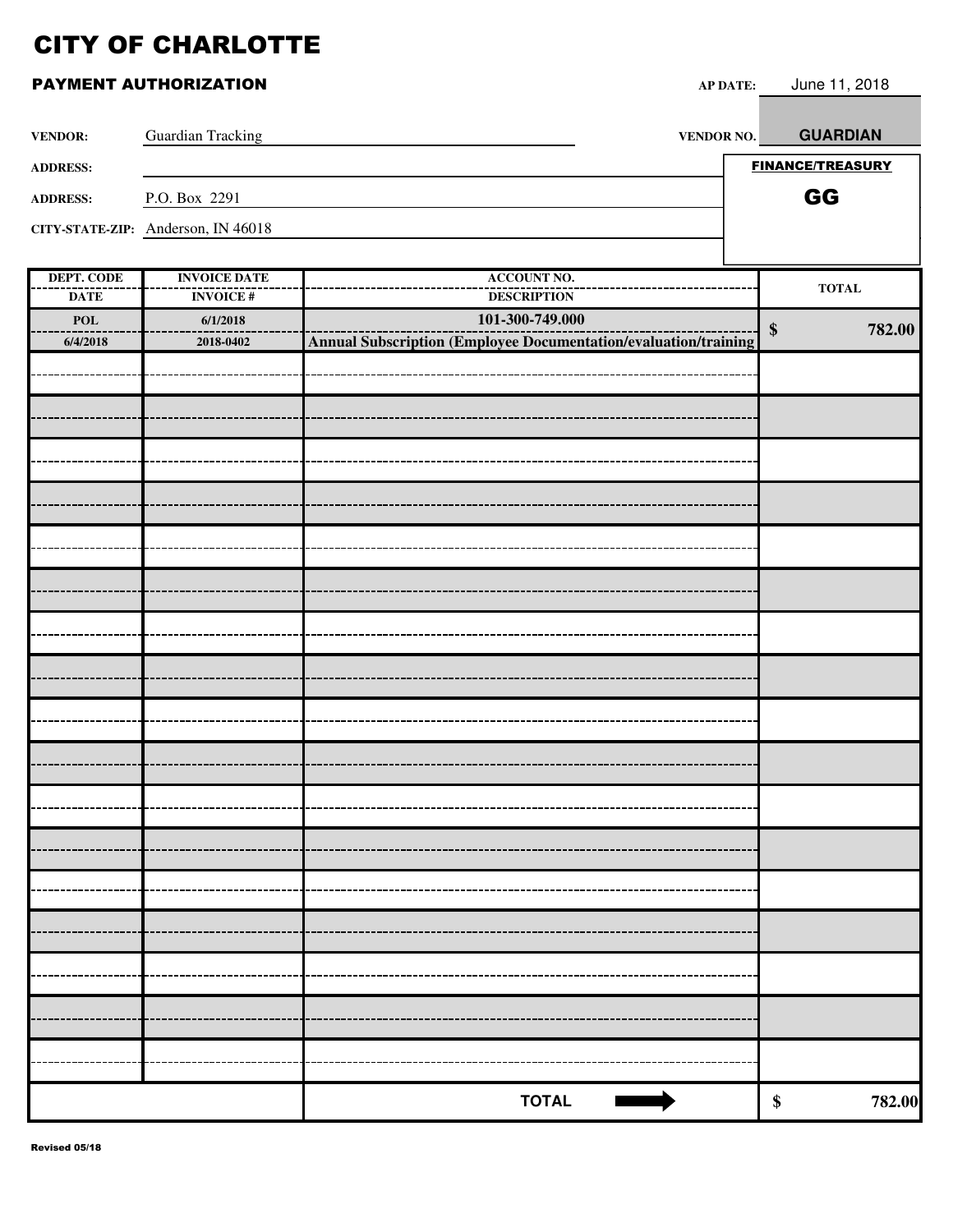| PAYMENT AUTHORIZATION |  |  |
|-----------------------|--|--|
|-----------------------|--|--|

| <b>VENDOR:</b>         | <b>Guardian Tracking</b>           | <b>VENDOR NO.</b>                                                      | <b>GUARDIAN</b>             |
|------------------------|------------------------------------|------------------------------------------------------------------------|-----------------------------|
| <b>ADDRESS:</b>        |                                    |                                                                        | <b>FINANCE/TREASURY</b>     |
| <b>ADDRESS:</b>        | P.O. Box 2291                      |                                                                        | GG                          |
|                        | CITY-STATE-ZIP: Anderson, IN 46018 |                                                                        |                             |
|                        |                                    |                                                                        |                             |
| <b>DEPT. CODE</b>      | <b>INVOICE DATE</b>                | <b>ACCOUNT NO.</b>                                                     | <b>TOTAL</b>                |
| <b>DATE</b>            | <b>INVOICE#</b>                    | <b>DESCRIPTION</b><br>101-300-749.000                                  |                             |
| <b>POL</b><br>6/4/2018 | 6/1/2018<br>2018-0402              | <b>Annual Subscription (Employee Documentation/evaluation/training</b> | 782.00<br>$\boldsymbol{\$}$ |
|                        |                                    |                                                                        |                             |
|                        |                                    |                                                                        |                             |
|                        |                                    |                                                                        |                             |
|                        |                                    |                                                                        |                             |
|                        |                                    |                                                                        |                             |
|                        |                                    |                                                                        |                             |
|                        |                                    |                                                                        |                             |
|                        |                                    |                                                                        |                             |
|                        |                                    |                                                                        |                             |
|                        |                                    |                                                                        |                             |
|                        |                                    |                                                                        |                             |
|                        |                                    |                                                                        |                             |
|                        |                                    |                                                                        |                             |
|                        |                                    |                                                                        |                             |
|                        |                                    |                                                                        |                             |
|                        |                                    |                                                                        |                             |
|                        |                                    |                                                                        |                             |
|                        |                                    |                                                                        |                             |
|                        |                                    |                                                                        |                             |
|                        |                                    |                                                                        |                             |
|                        |                                    |                                                                        |                             |
|                        |                                    |                                                                        |                             |
|                        |                                    |                                                                        |                             |
|                        |                                    | <b>TOTAL</b>                                                           | 782.00<br>\$                |

AP DATE: June 11, 2018

П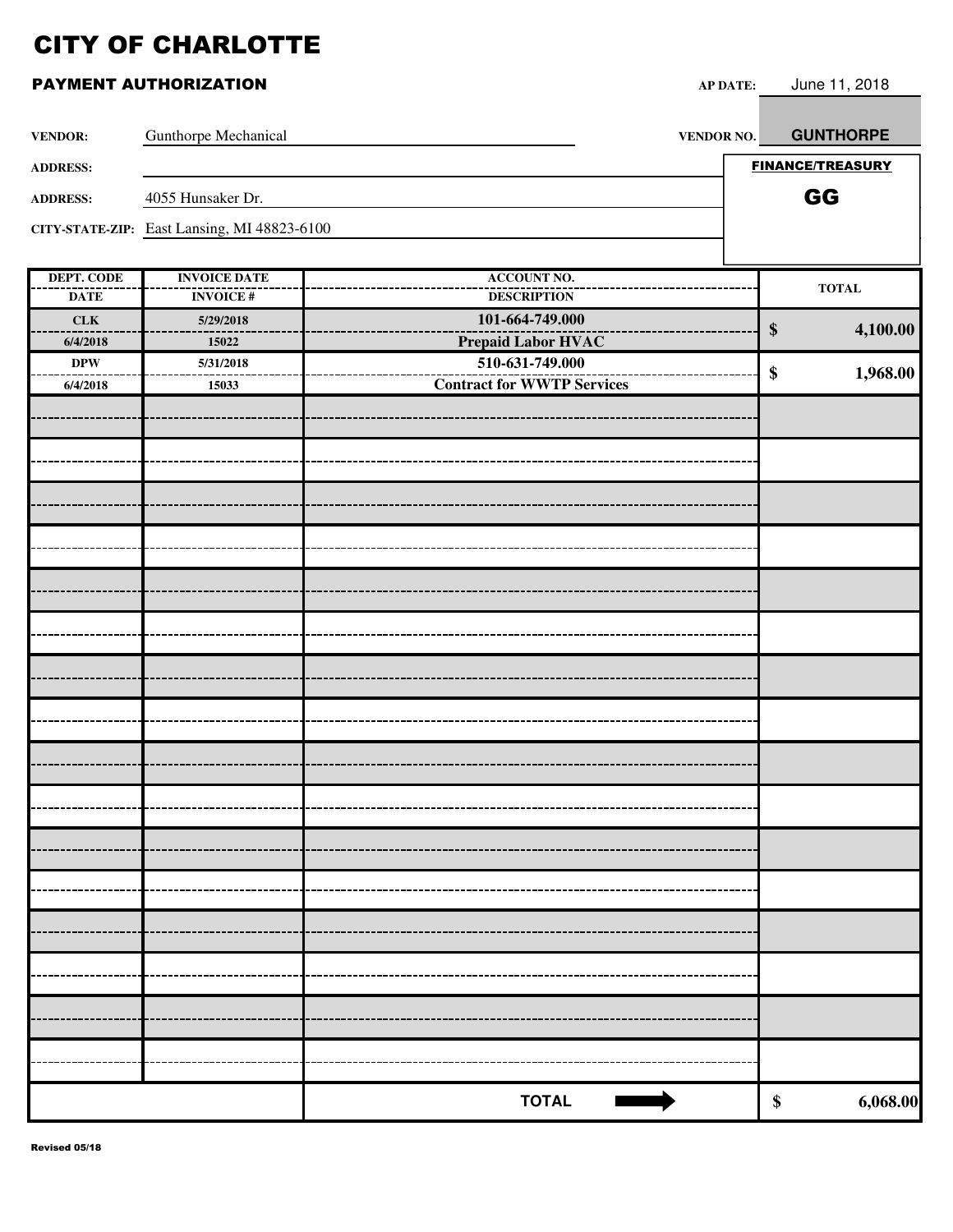| <b>VENDOR:</b>    | Gunthorpe Mechanical                        | VENDOR NO.                        | <b>GUNTHORPE</b>        |
|-------------------|---------------------------------------------|-----------------------------------|-------------------------|
| <b>ADDRESS:</b>   |                                             |                                   | <b>FINANCE/TREASURY</b> |
| <b>ADDRESS:</b>   | 4055 Hunsaker Dr.                           |                                   | GG                      |
|                   | CITY-STATE-ZIP: East Lansing, MI 48823-6100 |                                   |                         |
|                   |                                             |                                   |                         |
| <b>DEPT. CODE</b> | <b>INVOICE DATE</b>                         | <b>ACCOUNT NO.</b>                | <b>TOTAL</b>            |
| <b>DATE</b>       | <b>INVOICE#</b>                             | <b>DESCRIPTION</b>                |                         |
| <b>CLK</b>        | 5/29/2018                                   | 101-664-749.000                   | $\$\$<br>4,100.00       |
| 6/4/2018          | 15022                                       | <b>Prepaid Labor HVAC</b>         |                         |
| $\bf DPW$         | 5/31/2018                                   | 510-631-749.000                   | \$<br>1,968.00          |
| 6/4/2018          | 15033                                       | <b>Contract for WWTP Services</b> |                         |
|                   |                                             |                                   |                         |
|                   |                                             |                                   |                         |
|                   |                                             |                                   |                         |
|                   |                                             |                                   |                         |
|                   |                                             |                                   |                         |
|                   |                                             |                                   |                         |
|                   |                                             |                                   |                         |
|                   |                                             |                                   |                         |
|                   |                                             |                                   |                         |
|                   |                                             |                                   |                         |
|                   |                                             |                                   |                         |
|                   |                                             |                                   |                         |
|                   |                                             |                                   |                         |
|                   |                                             |                                   |                         |
|                   |                                             |                                   |                         |
|                   |                                             |                                   |                         |
|                   |                                             |                                   |                         |
|                   |                                             |                                   |                         |
|                   |                                             |                                   |                         |
|                   |                                             | <b>TOTAL</b>                      | \$<br>6,068.00          |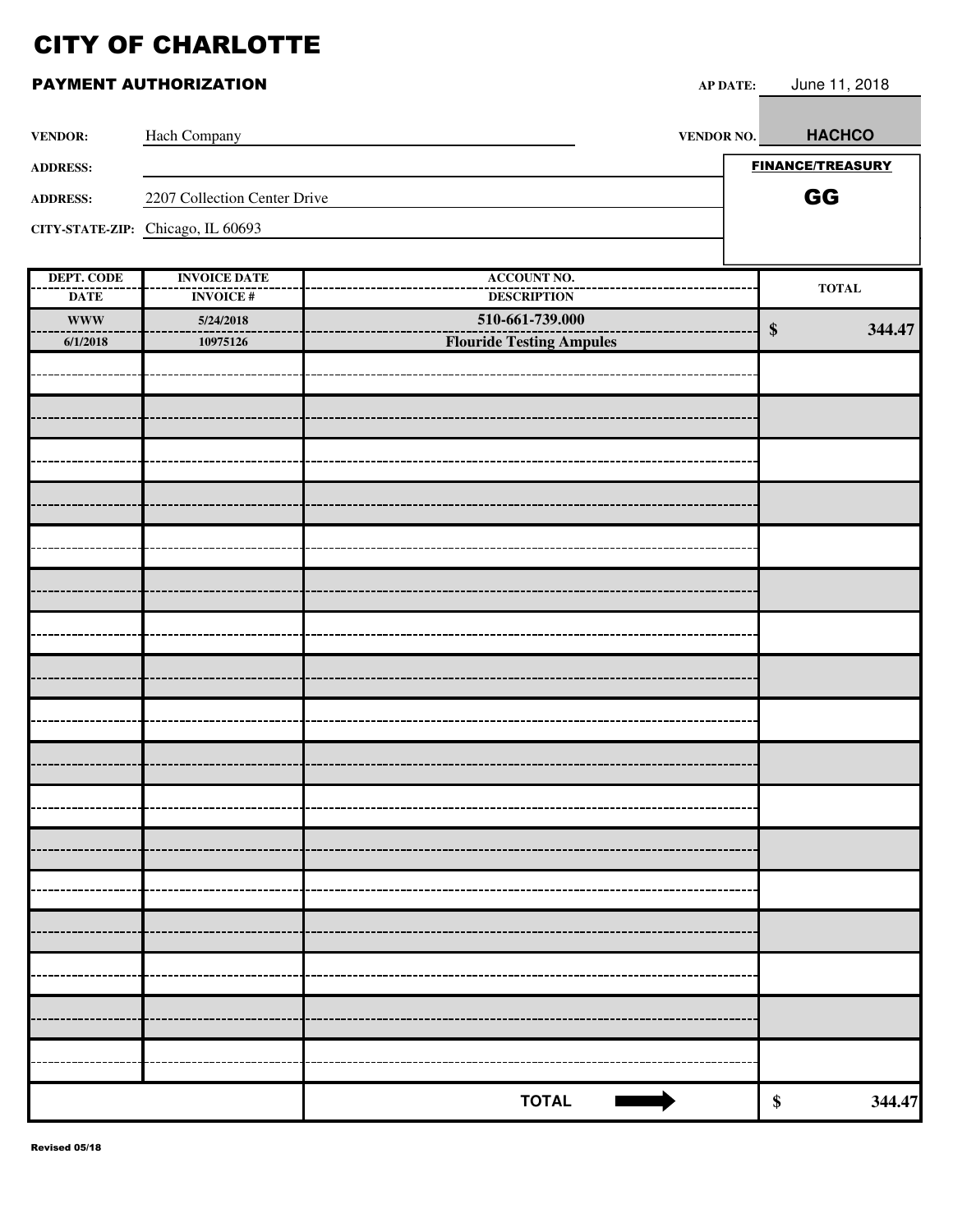| <b>VENDOR:</b>            | Hach Company                           | <b>VENDOR NO.</b>                     | <b>HACHCO</b>           |        |
|---------------------------|----------------------------------------|---------------------------------------|-------------------------|--------|
| <b>ADDRESS:</b>           |                                        |                                       | <b>FINANCE/TREASURY</b> |        |
| <b>ADDRESS:</b>           | 2207 Collection Center Drive           |                                       | GG                      |        |
|                           | CITY-STATE-ZIP: Chicago, IL 60693      |                                       |                         |        |
|                           |                                        |                                       |                         |        |
| DEPT. CODE                | <b>INVOICE DATE</b><br><b>INVOICE#</b> | <b>ACCOUNT NO.</b>                    | <b>TOTAL</b>            |        |
| <b>DATE</b><br><b>WWW</b> | 5/24/2018                              | <b>DESCRIPTION</b><br>510-661-739.000 |                         |        |
| 6/1/2018                  | 10975126                               | <b>Flouride Testing Ampules</b>       | $\boldsymbol{\$}$       | 344.47 |
|                           |                                        |                                       |                         |        |
|                           |                                        |                                       |                         |        |
|                           |                                        |                                       |                         |        |
|                           |                                        |                                       |                         |        |
|                           |                                        |                                       |                         |        |
|                           |                                        |                                       |                         |        |
|                           |                                        |                                       |                         |        |
|                           |                                        |                                       |                         |        |
|                           |                                        |                                       |                         |        |
|                           |                                        |                                       |                         |        |
|                           |                                        |                                       |                         |        |
|                           |                                        |                                       |                         |        |
|                           |                                        |                                       |                         |        |
|                           |                                        |                                       |                         |        |
|                           |                                        |                                       |                         |        |
|                           |                                        |                                       |                         |        |
|                           |                                        |                                       |                         |        |
|                           |                                        |                                       |                         |        |
|                           |                                        |                                       |                         |        |
|                           |                                        |                                       |                         |        |
|                           |                                        |                                       |                         |        |
|                           |                                        | <b>TOTAL</b>                          | $\boldsymbol{\$}$       | 344.47 |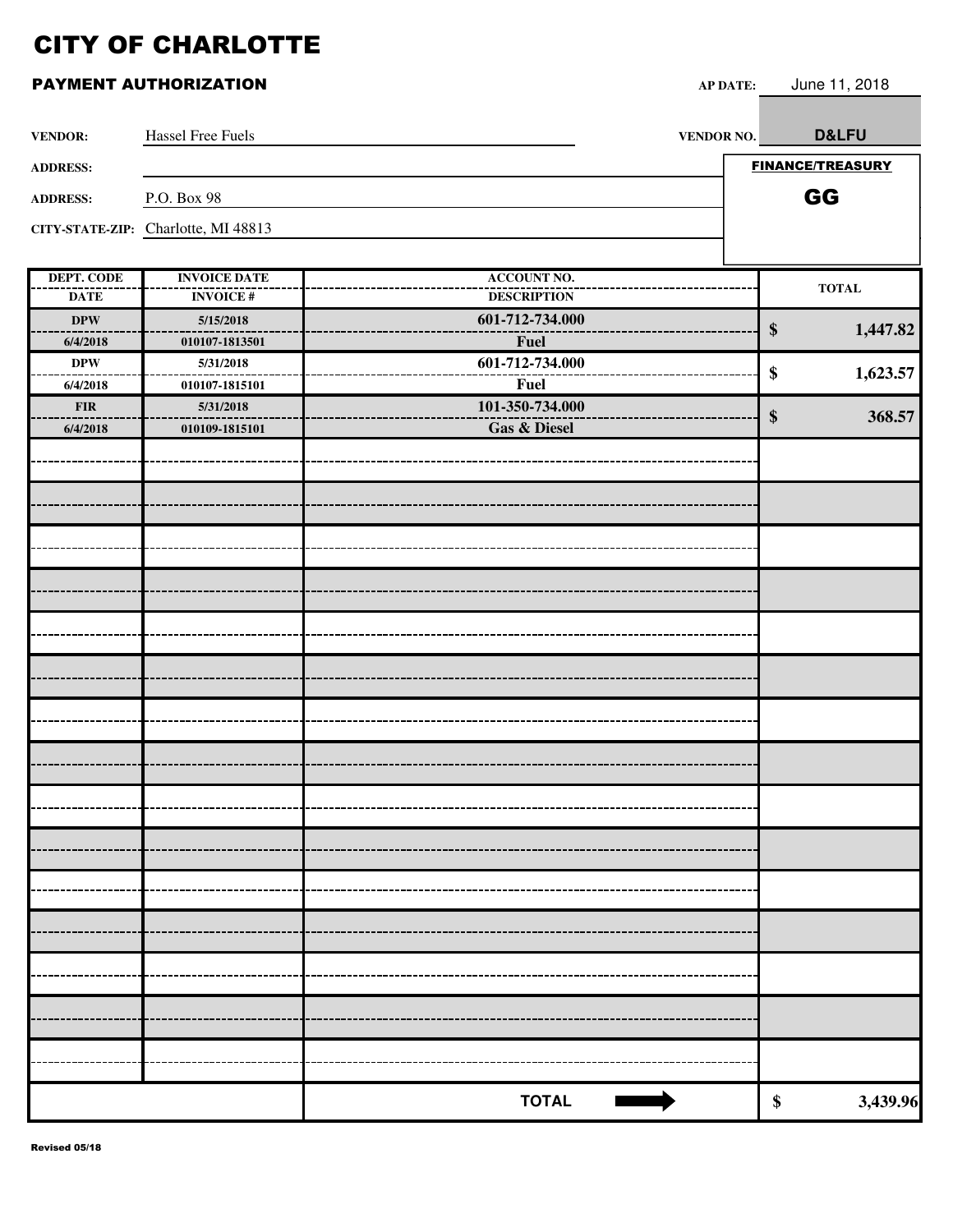| <b>VENDOR:</b>            | Hassel Free Fuels                      | <b>VENDOR NO.</b>                        |                   | D&LFU                   |
|---------------------------|----------------------------------------|------------------------------------------|-------------------|-------------------------|
| <b>ADDRESS:</b>           |                                        |                                          |                   | <b>FINANCE/TREASURY</b> |
|                           |                                        |                                          |                   |                         |
| <b>ADDRESS:</b>           | P.O. Box 98                            |                                          |                   | GG                      |
|                           | CITY-STATE-ZIP: Charlotte, MI 48813    |                                          |                   |                         |
|                           |                                        |                                          |                   |                         |
| DEPT. CODE<br><b>DATE</b> | <b>INVOICE DATE</b><br><b>INVOICE#</b> | <b>ACCOUNT NO.</b><br><b>DESCRIPTION</b> |                   | $\bf TOTAL$             |
| <b>DPW</b>                | 5/15/2018                              | 601-712-734.000                          |                   |                         |
| 6/4/2018                  | 010107-1813501                         | <b>Fuel</b>                              | $\boldsymbol{\$}$ | 1,447.82                |
| <b>DPW</b>                | 5/31/2018                              | 601-712-734.000                          |                   |                         |
| 6/4/2018                  | 010107-1815101                         | <b>Fuel</b>                              | \$                | 1,623.57                |
| ${\bf FIR}$               | 5/31/2018                              | 101-350-734.000                          | $\boldsymbol{\$}$ | 368.57                  |
| 6/4/2018                  | 010109-1815101                         | <b>Gas &amp; Diesel</b>                  |                   |                         |
|                           |                                        |                                          |                   |                         |
|                           |                                        |                                          |                   |                         |
|                           |                                        |                                          |                   |                         |
|                           |                                        |                                          |                   |                         |
|                           |                                        |                                          |                   |                         |
|                           |                                        |                                          |                   |                         |
|                           |                                        |                                          |                   |                         |
|                           |                                        |                                          |                   |                         |
|                           |                                        |                                          |                   |                         |
|                           |                                        |                                          |                   |                         |
|                           |                                        |                                          |                   |                         |
|                           |                                        |                                          |                   |                         |
|                           |                                        |                                          |                   |                         |
|                           |                                        |                                          |                   |                         |
|                           |                                        |                                          |                   |                         |
|                           |                                        |                                          |                   |                         |
|                           |                                        |                                          |                   |                         |
|                           |                                        |                                          |                   |                         |
|                           |                                        |                                          |                   |                         |
|                           |                                        |                                          |                   |                         |
|                           |                                        |                                          |                   |                         |
|                           |                                        |                                          |                   |                         |
|                           |                                        | <b>TOTAL</b>                             | \$                | 3,439.96                |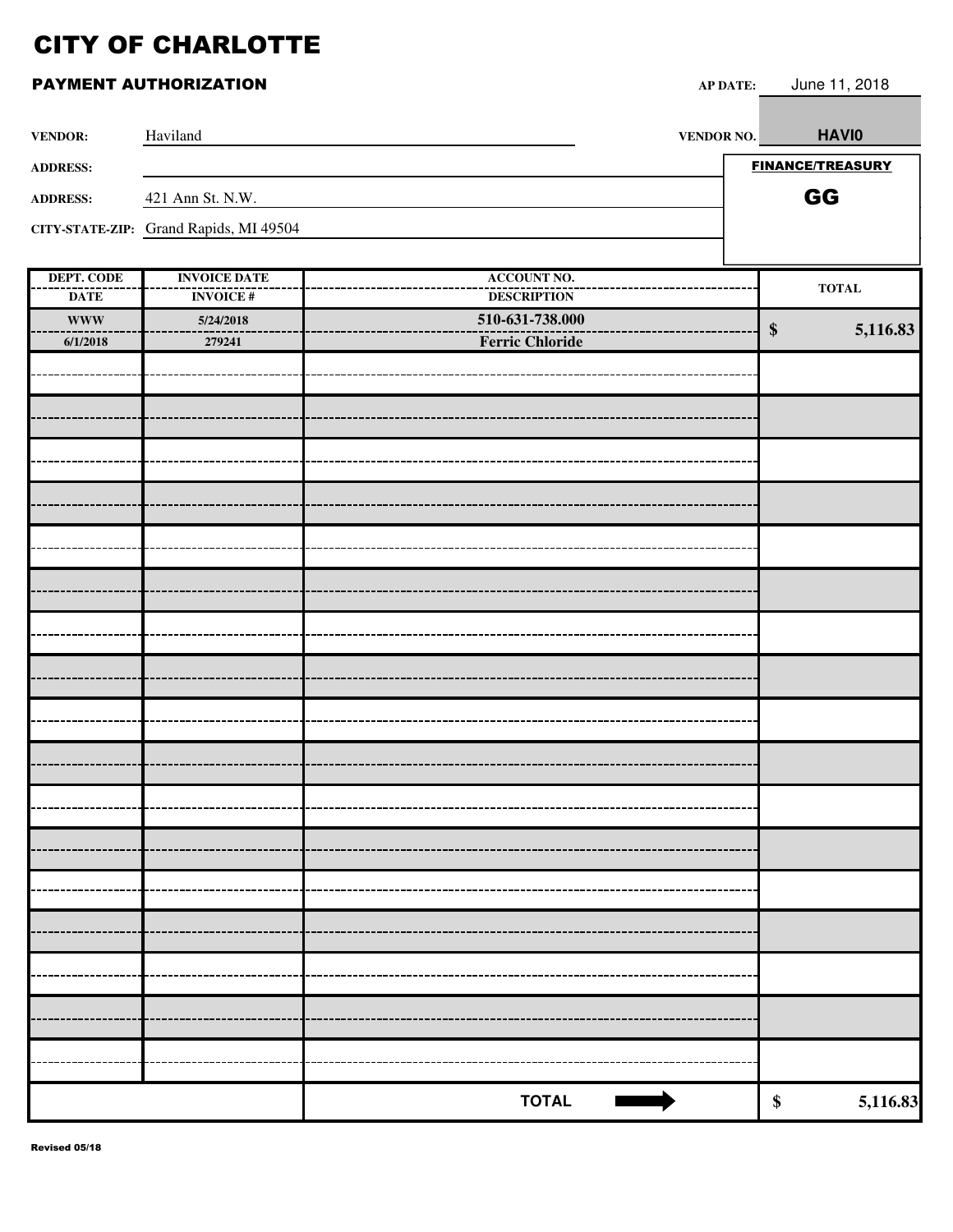| <b>VENDOR:</b>                   | Haviland                               | VENDOR NO.                               | <b>HAVIO</b>            |
|----------------------------------|----------------------------------------|------------------------------------------|-------------------------|
| <b>ADDRESS:</b>                  |                                        |                                          | <b>FINANCE/TREASURY</b> |
| <b>ADDRESS:</b>                  | 421 Ann St. N.W.                       |                                          | GG                      |
|                                  | CITY-STATE-ZIP: Grand Rapids, MI 49504 |                                          |                         |
|                                  |                                        |                                          |                         |
| <b>DEPT. CODE</b><br><b>DATE</b> | <b>INVOICE DATE</b><br><b>INVOICE#</b> | <b>ACCOUNT NO.</b><br><b>DESCRIPTION</b> | <b>TOTAL</b>            |
| <b>WWW</b>                       | 5/24/2018                              | 510-631-738.000                          | 5,116.83<br>\$          |
| 6/1/2018                         | 279241                                 | <b>Ferric Chloride</b>                   |                         |
|                                  |                                        |                                          |                         |
|                                  |                                        |                                          |                         |
|                                  |                                        |                                          |                         |
|                                  |                                        |                                          |                         |
|                                  |                                        |                                          |                         |
|                                  |                                        |                                          |                         |
|                                  |                                        |                                          |                         |
|                                  |                                        |                                          |                         |
|                                  |                                        |                                          |                         |
|                                  |                                        |                                          |                         |
|                                  |                                        |                                          |                         |
|                                  |                                        |                                          |                         |
|                                  |                                        |                                          |                         |
|                                  |                                        |                                          |                         |
|                                  |                                        |                                          |                         |
|                                  |                                        |                                          |                         |
|                                  |                                        |                                          |                         |
|                                  |                                        |                                          |                         |
|                                  |                                        | <b>TOTAL</b>                             | 5,116.83<br>\$          |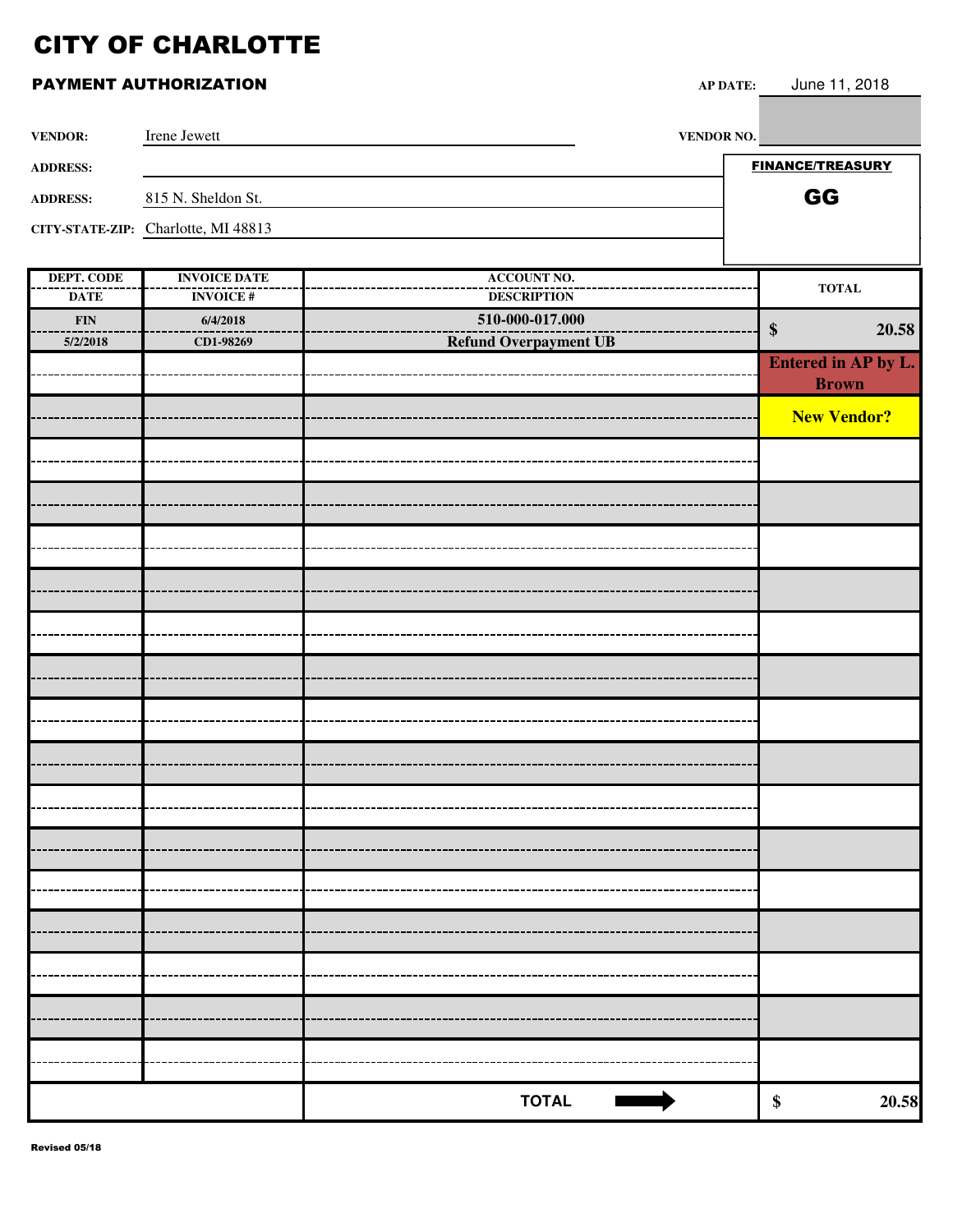### **PAYMENT AUTHORIZATION AP**

| P DATE: | June 11, 2018 |  |
|---------|---------------|--|
|         |               |  |

| <b>VENDOR:</b>  | Irene Jewett                        | <b>VENDOR NO.</b>            |                                        |
|-----------------|-------------------------------------|------------------------------|----------------------------------------|
| <b>ADDRESS:</b> |                                     |                              | <b>FINANCE/TREASURY</b>                |
| <b>ADDRESS:</b> | 815 N. Sheldon St.                  |                              | GG                                     |
|                 | CITY-STATE-ZIP: Charlotte, MI 48813 |                              |                                        |
|                 |                                     |                              |                                        |
| DEPT. CODE      | <b>INVOICE DATE</b>                 | <b>ACCOUNT NO.</b>           |                                        |
| <b>DATE</b>     | <b>INVOICE#</b>                     | <b>DESCRIPTION</b>           | <b>TOTAL</b>                           |
| <b>FIN</b>      | 6/4/2018                            | 510-000-017.000              | 20.58<br>\$                            |
| 5/2/2018        | CD1-98269                           | <b>Refund Overpayment UB</b> |                                        |
|                 |                                     |                              | <b>Entered in AP by L.</b>             |
|                 |                                     |                              | $D$ <sub>n</sub> $\alpha$ <sub>y</sub> |

| --------<br>5/2/2018 | 0/7/2010  | <b>Refund Overpayment UB</b> | $\frac{1}{2}$       | 20.58 |
|----------------------|-----------|------------------------------|---------------------|-------|
|                      | CD1-98269 |                              | Entered in AP by L. |       |
|                      |           |                              | <b>Brown</b>        |       |
|                      |           |                              |                     |       |
|                      |           |                              | <b>New Vendor?</b>  |       |
|                      |           |                              |                     |       |
|                      |           |                              |                     |       |
|                      |           |                              |                     |       |
|                      |           |                              |                     |       |
|                      |           |                              |                     |       |
|                      |           |                              |                     |       |
|                      |           |                              |                     |       |
|                      |           |                              |                     |       |
|                      |           |                              |                     |       |
|                      |           |                              |                     |       |
|                      |           |                              |                     |       |
|                      |           |                              |                     |       |
|                      |           |                              |                     |       |
|                      |           |                              |                     |       |
|                      |           |                              |                     |       |
|                      |           |                              |                     |       |
|                      |           |                              |                     |       |
|                      |           |                              |                     |       |
|                      |           |                              |                     |       |
|                      |           |                              |                     |       |
|                      |           |                              |                     |       |
|                      |           |                              |                     |       |
|                      |           |                              |                     |       |
|                      |           |                              |                     |       |
|                      |           |                              |                     |       |
|                      |           |                              |                     |       |
|                      |           |                              |                     |       |
|                      |           | <b>TOTAL</b>                 | $\pmb{\$}$          | 20.58 |
|                      |           |                              |                     |       |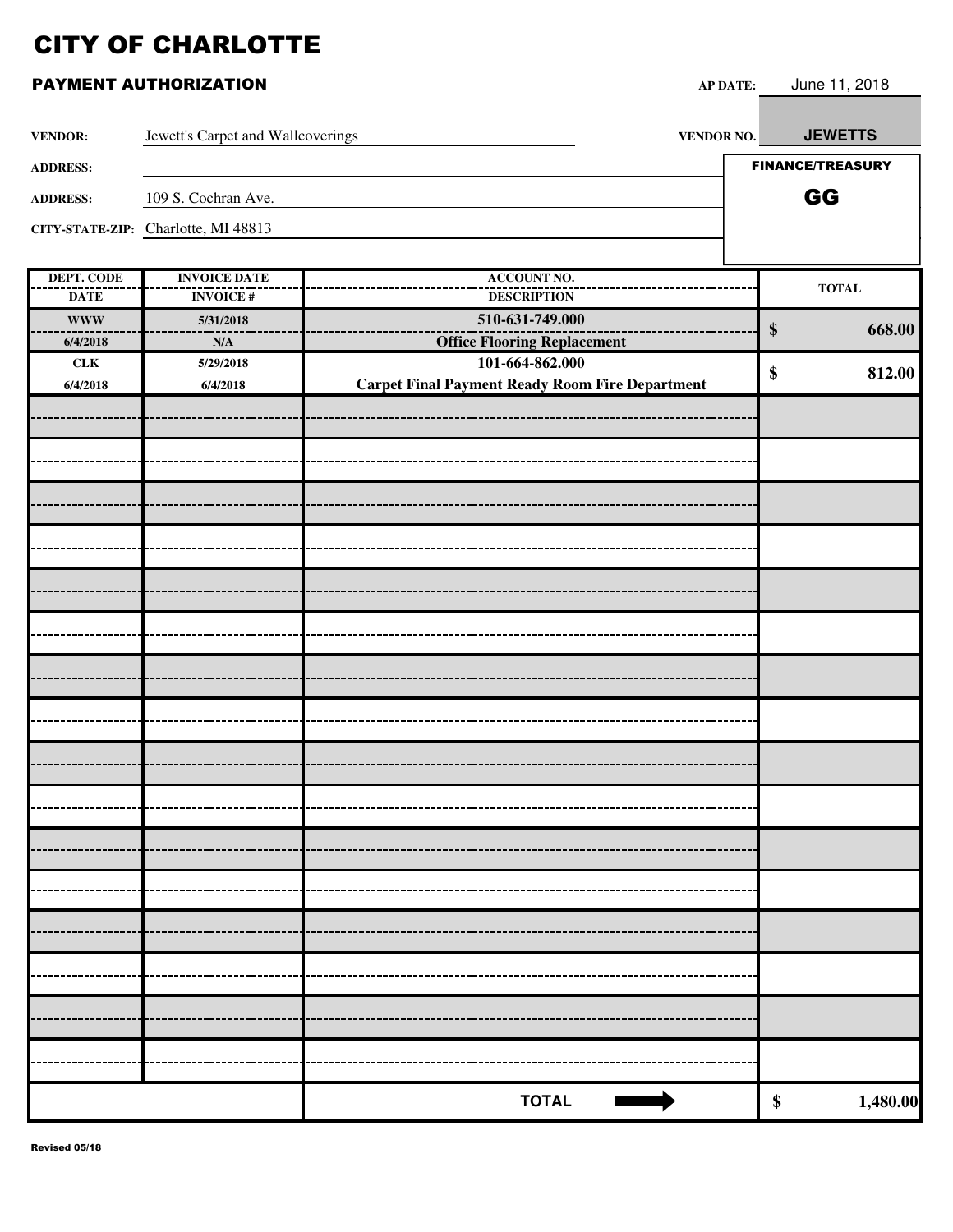| <b>VENDOR:</b>    | Jewett's Carpet and Wallcoverings   | <b>VENDOR NO.</b>                                      | <b>JEWETTS</b>          |
|-------------------|-------------------------------------|--------------------------------------------------------|-------------------------|
| <b>ADDRESS:</b>   |                                     |                                                        | <b>FINANCE/TREASURY</b> |
| <b>ADDRESS:</b>   | 109 S. Cochran Ave.                 |                                                        | GG                      |
|                   | CITY-STATE-ZIP: Charlotte, MI 48813 |                                                        |                         |
|                   |                                     |                                                        |                         |
| <b>DEPT. CODE</b> | <b>INVOICE DATE</b>                 | <b>ACCOUNT NO.</b>                                     | $\bf TOTAL$             |
| <b>DATE</b>       | <b>INVOICE#</b>                     | <b>DESCRIPTION</b>                                     |                         |
| <b>WWW</b>        | 5/31/2018                           | 510-631-749.000                                        | $\$\$<br>668.00         |
| 6/4/2018          | N/A                                 | <b>Office Flooring Replacement</b>                     |                         |
| ${\rm \bf CLK}$   | 5/29/2018                           | 101-664-862.000                                        | 812.00<br>\$            |
| 6/4/2018          | 6/4/2018                            | <b>Carpet Final Payment Ready Room Fire Department</b> |                         |
|                   |                                     |                                                        |                         |
|                   |                                     |                                                        |                         |
|                   |                                     |                                                        |                         |
|                   |                                     |                                                        |                         |
|                   |                                     |                                                        |                         |
|                   |                                     |                                                        |                         |
|                   |                                     |                                                        |                         |
|                   |                                     |                                                        |                         |
|                   |                                     |                                                        |                         |
|                   |                                     |                                                        |                         |
|                   |                                     |                                                        |                         |
|                   |                                     |                                                        |                         |
|                   |                                     |                                                        |                         |
|                   |                                     |                                                        |                         |
|                   |                                     |                                                        |                         |
|                   |                                     |                                                        |                         |
|                   |                                     |                                                        |                         |
|                   |                                     |                                                        |                         |
|                   |                                     | <b>TOTAL</b>                                           | \$<br>1,480.00          |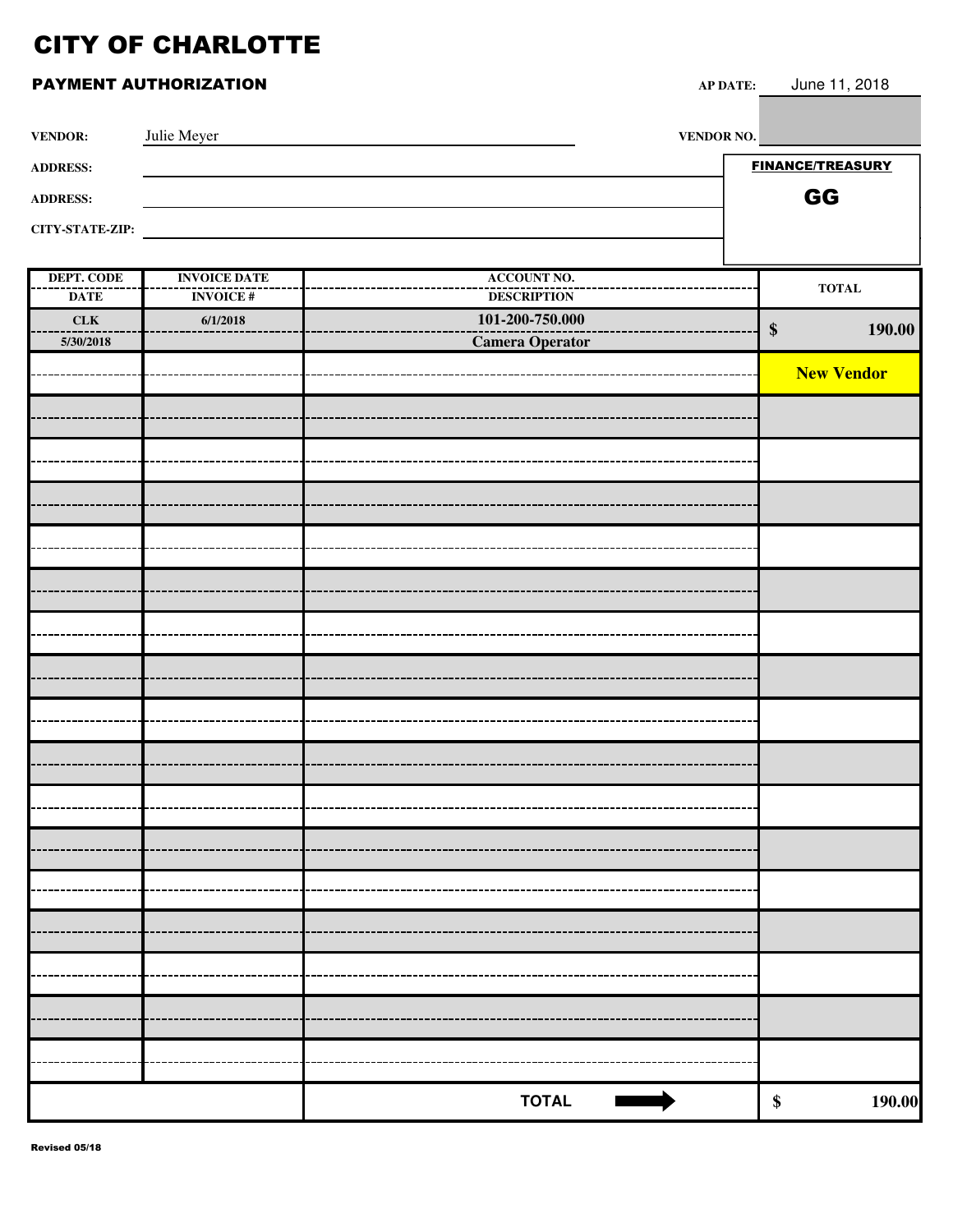### **PAYMENT AUTHORIZATION**

| P DATE: | June 11, 2018 |  |
|---------|---------------|--|
|         |               |  |

| <b>VENDOR:</b>         | Julie Meyer | <b>VENDOR NO.</b> |                         |
|------------------------|-------------|-------------------|-------------------------|
| <b>ADDRESS:</b>        |             |                   | <b>FINANCE/TREASURY</b> |
| <b>ADDRESS:</b>        |             |                   | GG                      |
| <b>CITY-STATE-ZIP:</b> |             |                   |                         |
|                        |             |                   |                         |

| DEPT. CODE  | <b>INVOICE DATE</b> | <b>ACCOUNT NO.</b> | $\bf TOTAL$                 |
|-------------|---------------------|--------------------|-----------------------------|
| <b>DATE</b> | <b>INVOICE#</b>     | <b>DESCRIPTION</b> |                             |
| CLK         | 6/1/2018            | 101-200-750.000    |                             |
| 5/30/2018   |                     | Camera Operator    | $\boldsymbol{\$}$<br>190.00 |
|             |                     |                    |                             |
|             |                     |                    | <b>New Vendor</b>           |
|             |                     |                    |                             |
|             |                     |                    |                             |
|             |                     |                    |                             |
|             |                     |                    |                             |
|             |                     |                    |                             |
|             |                     |                    |                             |
|             |                     |                    |                             |
|             |                     |                    |                             |
|             |                     |                    |                             |
|             |                     |                    |                             |
|             |                     |                    |                             |
|             |                     |                    |                             |
|             |                     |                    |                             |
|             |                     |                    |                             |
|             |                     |                    |                             |
|             |                     |                    |                             |
|             |                     |                    |                             |
|             |                     |                    |                             |
|             |                     |                    |                             |
|             |                     |                    |                             |
|             |                     |                    |                             |
|             |                     |                    |                             |
|             |                     |                    |                             |
|             |                     |                    |                             |
|             |                     |                    |                             |
|             |                     |                    |                             |
|             |                     |                    |                             |
|             |                     |                    |                             |
|             |                     |                    |                             |
|             |                     |                    |                             |
|             |                     |                    |                             |
|             |                     |                    |                             |
|             |                     |                    |                             |
|             |                     | <b>TOTAL</b>       |                             |
|             |                     |                    | 190.00<br>$\$$              |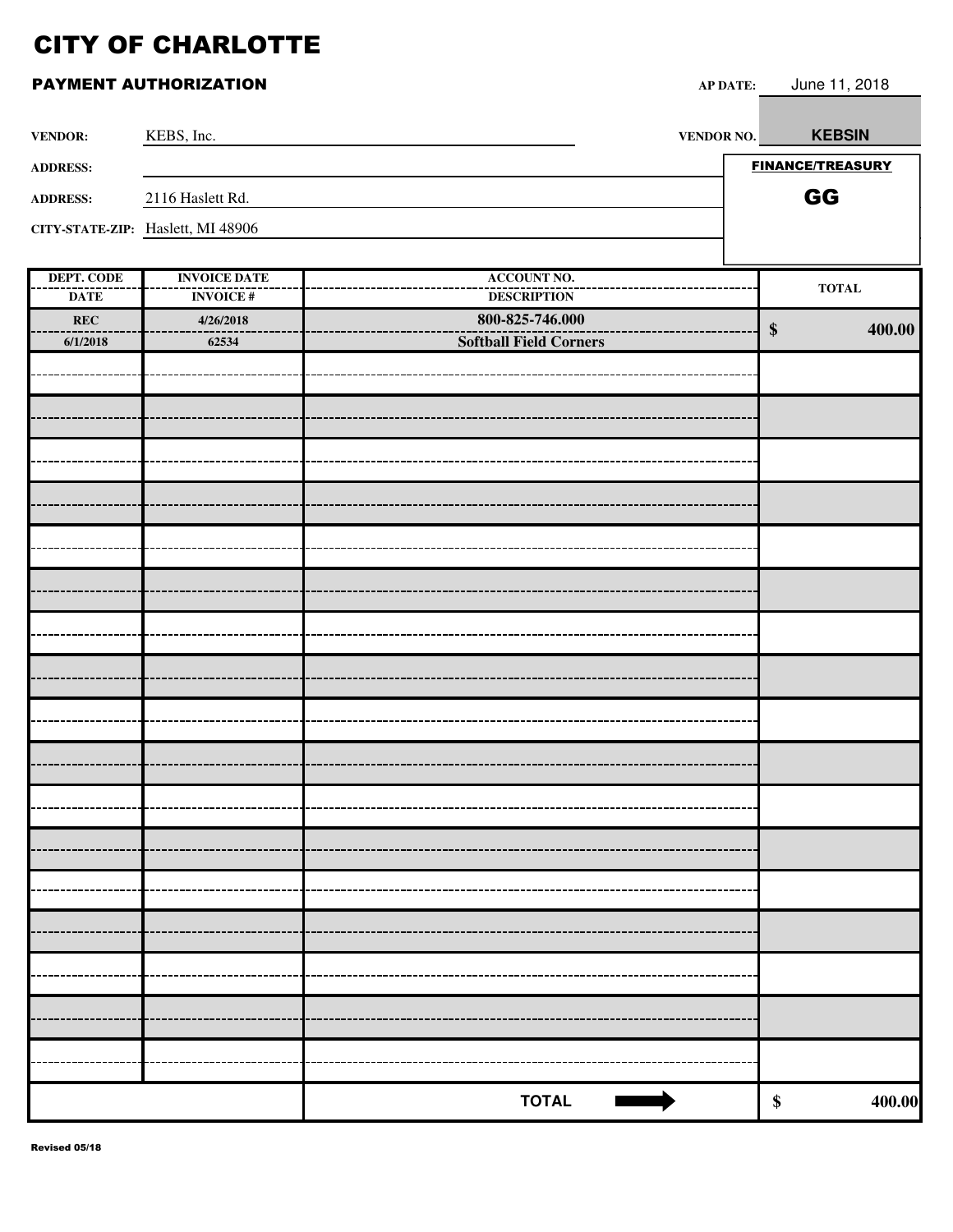# PAYMENT AUTHORIZATION **AP DATE:** June 11, 2018 **VENDOR:** KEBS, Inc. **VENDOR NO. VENDOR NO. ADDRESS: ADDRESS:** 2116 Haslett Rd. **CITY-STATE-ZIP:** Haslett, MI 48906

| $\frac{1}{2}$ |                     |                               |                   |              |
|---------------|---------------------|-------------------------------|-------------------|--------------|
| DEPT. CODE    | <b>INVOICE DATE</b> | <b>ACCOUNT NO.</b>            |                   |              |
| <b>DATE</b>   | <b>INVOICE#</b>     | <b>DESCRIPTION</b>            |                   | <b>TOTAL</b> |
| REC           | 4/26/2018           | 800-825-746.000               |                   |              |
| 6/1/2018      | 62534               | <b>Softball Field Corners</b> | $\boldsymbol{\$}$ | 400.00       |
|               |                     |                               |                   |              |
|               |                     |                               |                   |              |
|               |                     |                               |                   |              |
|               |                     |                               |                   |              |
|               |                     |                               |                   |              |
|               |                     |                               |                   |              |
|               |                     |                               |                   |              |
|               |                     |                               |                   |              |
|               |                     |                               |                   |              |
|               |                     |                               |                   |              |
|               |                     |                               |                   |              |
|               |                     |                               |                   |              |
|               |                     |                               |                   |              |
|               |                     |                               |                   |              |
|               |                     |                               |                   |              |
|               |                     |                               |                   |              |
|               |                     |                               |                   |              |
|               |                     |                               |                   |              |
|               |                     |                               |                   |              |
|               |                     |                               |                   |              |
|               |                     |                               |                   |              |
|               |                     |                               |                   |              |
|               |                     |                               |                   |              |
|               |                     |                               |                   |              |
|               |                     |                               |                   |              |
|               |                     |                               |                   |              |
|               |                     |                               |                   |              |
|               |                     |                               |                   |              |
|               |                     |                               |                   |              |
|               |                     |                               |                   |              |
|               |                     |                               |                   |              |
|               |                     |                               |                   |              |
|               |                     |                               |                   |              |
|               |                     |                               |                   |              |
|               |                     | <b>TOTAL</b>                  | $\pmb{\$}$        | 400.00       |
|               |                     |                               |                   |              |

**KEBSIN**

FINANCE/TREASURY GG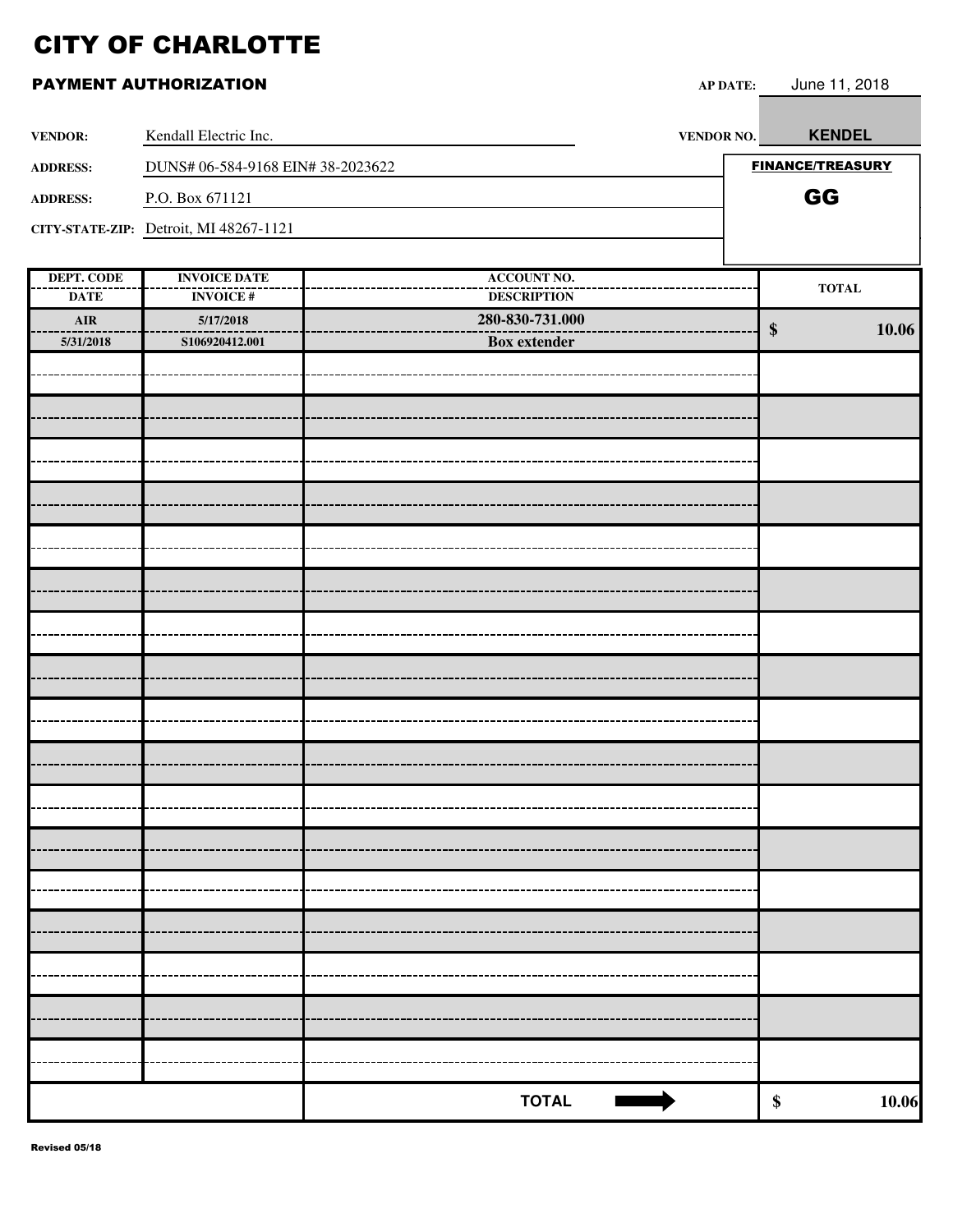| <b>VENDOR:</b>                   | Kendall Electric Inc.                  | <b>VENDOR NO.</b>                        | <b>KENDEL</b>           |
|----------------------------------|----------------------------------------|------------------------------------------|-------------------------|
| <b>ADDRESS:</b>                  | DUNS# 06-584-9168 EIN# 38-2023622      |                                          | <b>FINANCE/TREASURY</b> |
| <b>ADDRESS:</b>                  | P.O. Box 671121                        |                                          | GG                      |
|                                  | CITY-STATE-ZIP: Detroit, MI 48267-1121 |                                          |                         |
|                                  |                                        |                                          |                         |
| <b>DEPT. CODE</b><br><b>DATE</b> | <b>INVOICE DATE</b><br><b>INVOICE#</b> | <b>ACCOUNT NO.</b><br><b>DESCRIPTION</b> | $\bf TOTAL$             |
| $\mathbf{AIR}$                   | 5/17/2018                              | 280-830-731.000                          |                         |
| 5/31/2018                        | S106920412.001                         | <b>Box</b> extender                      | 10.06<br>$\$\$          |
|                                  |                                        |                                          |                         |
|                                  |                                        |                                          |                         |
|                                  |                                        |                                          |                         |
|                                  |                                        |                                          |                         |
|                                  |                                        |                                          |                         |
|                                  |                                        |                                          |                         |
|                                  |                                        |                                          |                         |
|                                  |                                        |                                          |                         |
|                                  |                                        |                                          |                         |
|                                  |                                        |                                          |                         |
|                                  |                                        |                                          |                         |
|                                  |                                        |                                          |                         |
|                                  |                                        |                                          |                         |
|                                  |                                        |                                          |                         |
|                                  |                                        |                                          |                         |
|                                  |                                        |                                          |                         |
|                                  |                                        |                                          |                         |
|                                  |                                        |                                          |                         |
|                                  |                                        |                                          |                         |
|                                  |                                        |                                          |                         |
|                                  |                                        |                                          |                         |
|                                  |                                        | <b>TOTAL</b>                             | 10.06<br>$\pmb{\$}$     |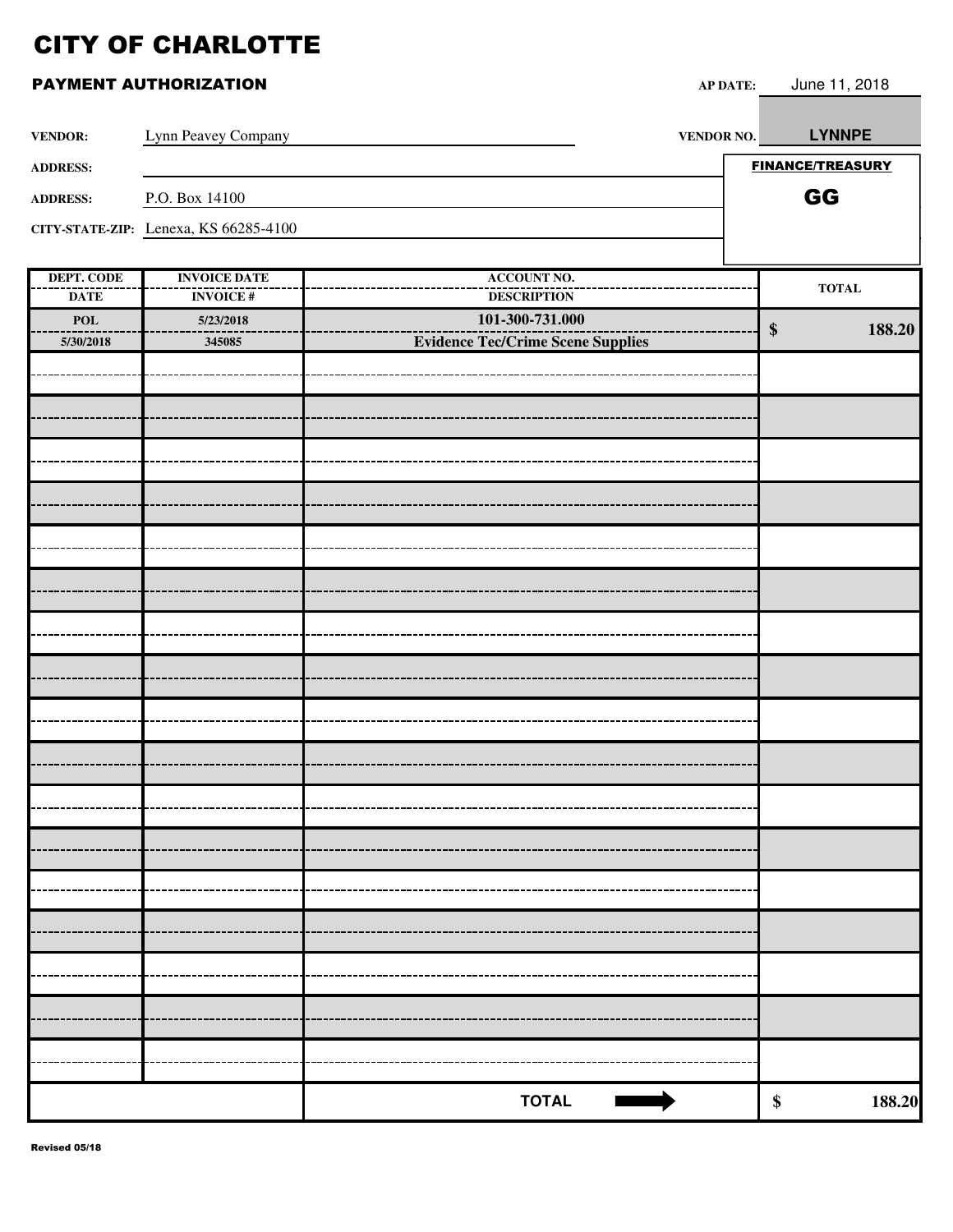| <b>VENDOR:</b>            | Lynn Peavey Company                   | VENDOR NO.                               | <b>LYNNPE</b>               |
|---------------------------|---------------------------------------|------------------------------------------|-----------------------------|
| <b>ADDRESS:</b>           |                                       |                                          | <b>FINANCE/TREASURY</b>     |
| <b>ADDRESS:</b>           | P.O. Box 14100                        |                                          | GG                          |
|                           | CITY-STATE-ZIP: Lenexa, KS 66285-4100 |                                          |                             |
|                           |                                       |                                          |                             |
| <b>DEPT. CODE</b>         | <b>INVOICE DATE</b>                   | <b>ACCOUNT NO.</b>                       | $\bf TOTAL$                 |
| <b>DATE</b>               | <b>INVOICE#</b>                       | <b>DESCRIPTION</b>                       |                             |
| $\boldsymbol{\text{POL}}$ | 5/23/2018                             | 101-300-731.000                          | 188.20<br>$\boldsymbol{\$}$ |
| 5/30/2018                 | 345085                                | <b>Evidence Tec/Crime Scene Supplies</b> |                             |
|                           |                                       |                                          |                             |
|                           |                                       |                                          |                             |
|                           |                                       |                                          |                             |
|                           |                                       |                                          |                             |
|                           |                                       |                                          |                             |
|                           |                                       |                                          |                             |
|                           |                                       |                                          |                             |
|                           |                                       |                                          |                             |
|                           |                                       |                                          |                             |
|                           |                                       |                                          |                             |
|                           |                                       |                                          |                             |
|                           |                                       |                                          |                             |
|                           |                                       |                                          |                             |
|                           |                                       |                                          |                             |
|                           |                                       |                                          |                             |
|                           |                                       |                                          |                             |
|                           |                                       |                                          |                             |
|                           |                                       |                                          |                             |
|                           |                                       |                                          |                             |
|                           |                                       |                                          |                             |
|                           |                                       |                                          |                             |
|                           |                                       |                                          |                             |
|                           |                                       |                                          |                             |
|                           |                                       |                                          |                             |
|                           |                                       |                                          |                             |
|                           |                                       |                                          |                             |
|                           |                                       |                                          |                             |
|                           |                                       | <b>TOTAL</b>                             | $\pmb{\$}$<br>188.20        |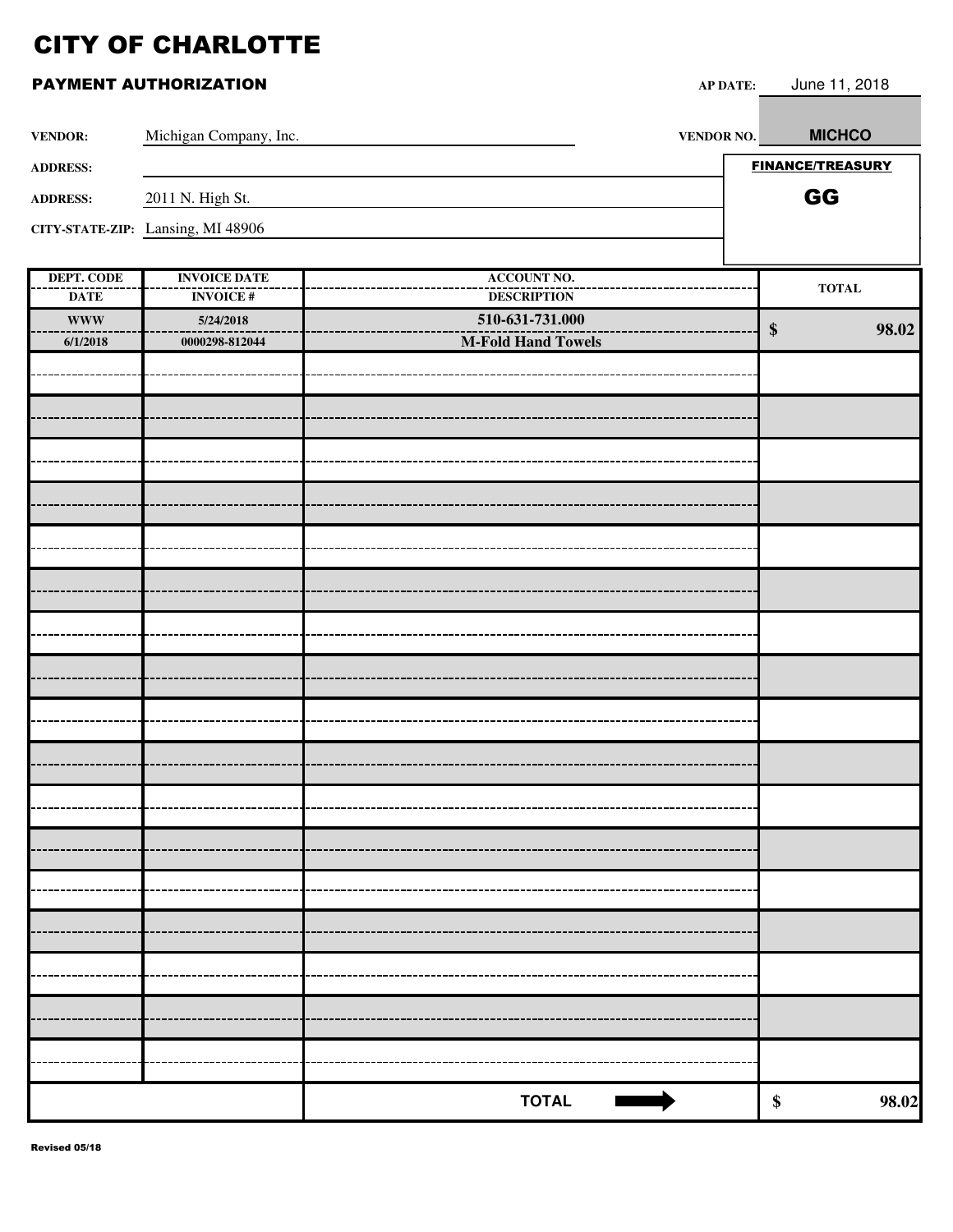| <b>VENDOR:</b>    | Michigan Company, Inc.            | <b>VENDOR NO.</b>  | <b>MICHCO</b>           |
|-------------------|-----------------------------------|--------------------|-------------------------|
| <b>ADDRESS:</b>   |                                   |                    | <b>FINANCE/TREASURY</b> |
| <b>ADDRESS:</b>   | 2011 N. High St.                  |                    | GG                      |
|                   | CITY-STATE-ZIP: Lansing, MI 48906 |                    |                         |
|                   |                                   |                    |                         |
| <b>DEPT. CODE</b> | <b>INVOICE DATE</b>               | <b>ACCOUNT NO.</b> | <b>TOTAL</b>            |
| <b>DATE</b>       | <b>INVOICE#</b>                   | <b>DESCRIPTION</b> |                         |
| <b>WWW</b>        | 5/24/2018                         | 510-631-731.000    | 98.02<br>\$             |
| 6/1/2018          | 0000298-812044                    | M-Fold Hand Towels |                         |
|                   |                                   |                    |                         |
|                   |                                   |                    |                         |
|                   |                                   |                    |                         |
|                   |                                   |                    |                         |
|                   |                                   |                    |                         |
|                   |                                   |                    |                         |
|                   |                                   |                    |                         |
|                   |                                   |                    |                         |
|                   |                                   |                    |                         |
|                   |                                   |                    |                         |
|                   |                                   |                    |                         |
|                   |                                   |                    |                         |
|                   |                                   |                    |                         |
|                   |                                   |                    |                         |
|                   |                                   |                    |                         |
|                   |                                   |                    |                         |
|                   |                                   |                    |                         |
|                   |                                   |                    |                         |
|                   |                                   |                    |                         |
|                   |                                   |                    |                         |
|                   |                                   |                    |                         |
|                   |                                   |                    |                         |
|                   |                                   |                    |                         |
|                   |                                   |                    |                         |
|                   |                                   |                    |                         |
|                   |                                   |                    |                         |
|                   |                                   | <b>TOTAL</b>       | 98.02<br>$\pmb{\$}$     |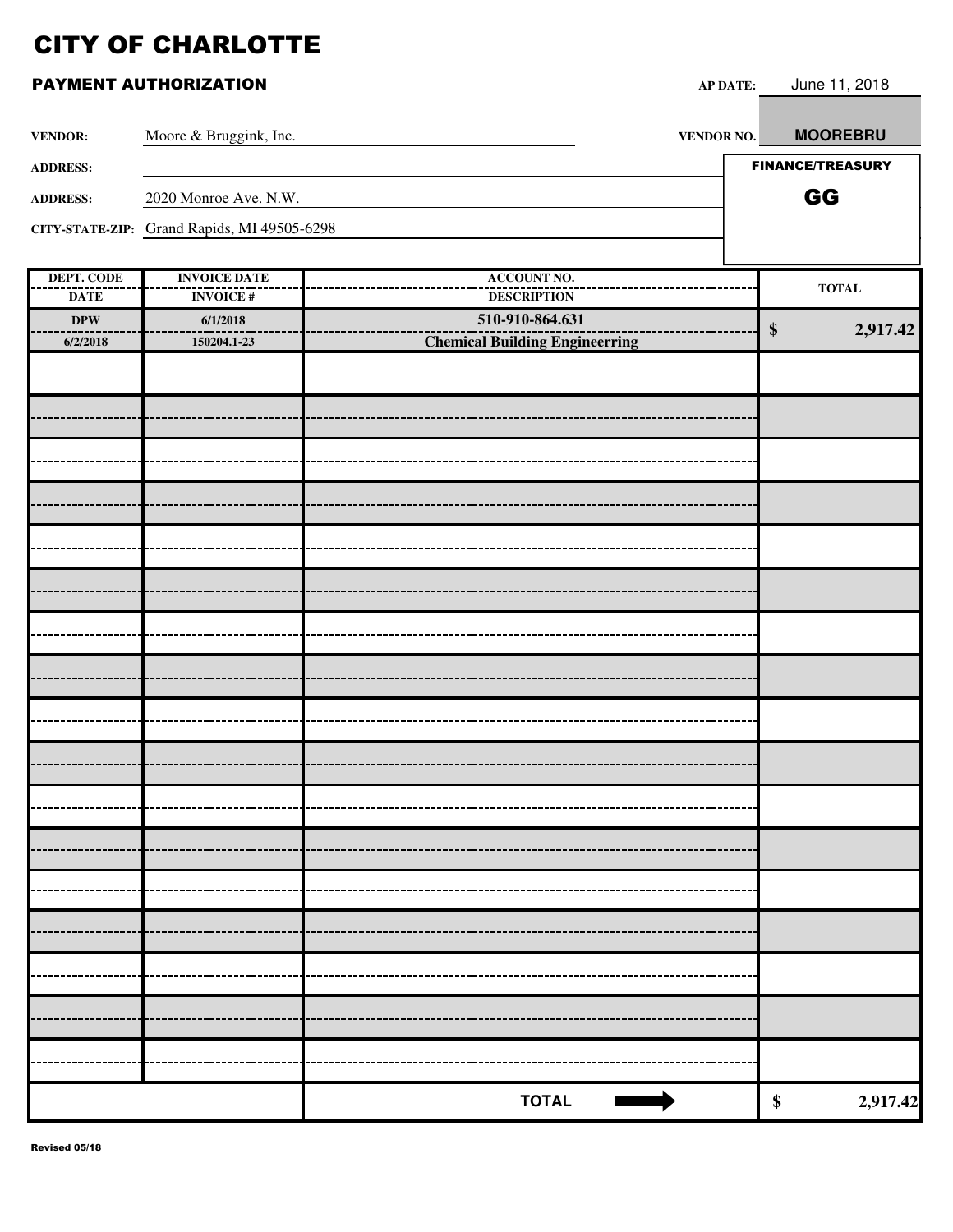| <b>VENDOR:</b>                   | Moore & Bruggink, Inc.                      | VENDOR NO.                               | <b>MOOREBRU</b>               |
|----------------------------------|---------------------------------------------|------------------------------------------|-------------------------------|
| <b>ADDRESS:</b>                  |                                             |                                          | <b>FINANCE/TREASURY</b>       |
| <b>ADDRESS:</b>                  | 2020 Monroe Ave. N.W.                       |                                          | GG                            |
|                                  | CITY-STATE-ZIP: Grand Rapids, MI 49505-6298 |                                          |                               |
|                                  |                                             |                                          |                               |
| <b>DEPT. CODE</b><br><b>DATE</b> | <b>INVOICE DATE</b><br><b>INVOICE#</b>      | <b>ACCOUNT NO.</b><br><b>DESCRIPTION</b> | $\bf TOTAL$                   |
| $\bf DPW$                        | 6/1/2018                                    | 510-910-864.631                          | $\boldsymbol{\$}$<br>2,917.42 |
| 6/2/2018                         | 150204.1-23                                 | <b>Chemical Building Engineerring</b>    |                               |
|                                  |                                             |                                          |                               |
|                                  |                                             |                                          |                               |
|                                  |                                             |                                          |                               |
|                                  |                                             |                                          |                               |
|                                  |                                             |                                          |                               |
|                                  |                                             |                                          |                               |
|                                  |                                             |                                          |                               |
|                                  |                                             |                                          |                               |
|                                  |                                             |                                          |                               |
|                                  |                                             |                                          |                               |
|                                  |                                             |                                          |                               |
|                                  |                                             |                                          |                               |
|                                  |                                             |                                          |                               |
|                                  |                                             |                                          |                               |
|                                  |                                             |                                          |                               |
|                                  |                                             |                                          |                               |
|                                  |                                             |                                          |                               |
|                                  |                                             |                                          |                               |
|                                  |                                             | <b>TOTAL</b>                             | \$<br>2,917.42                |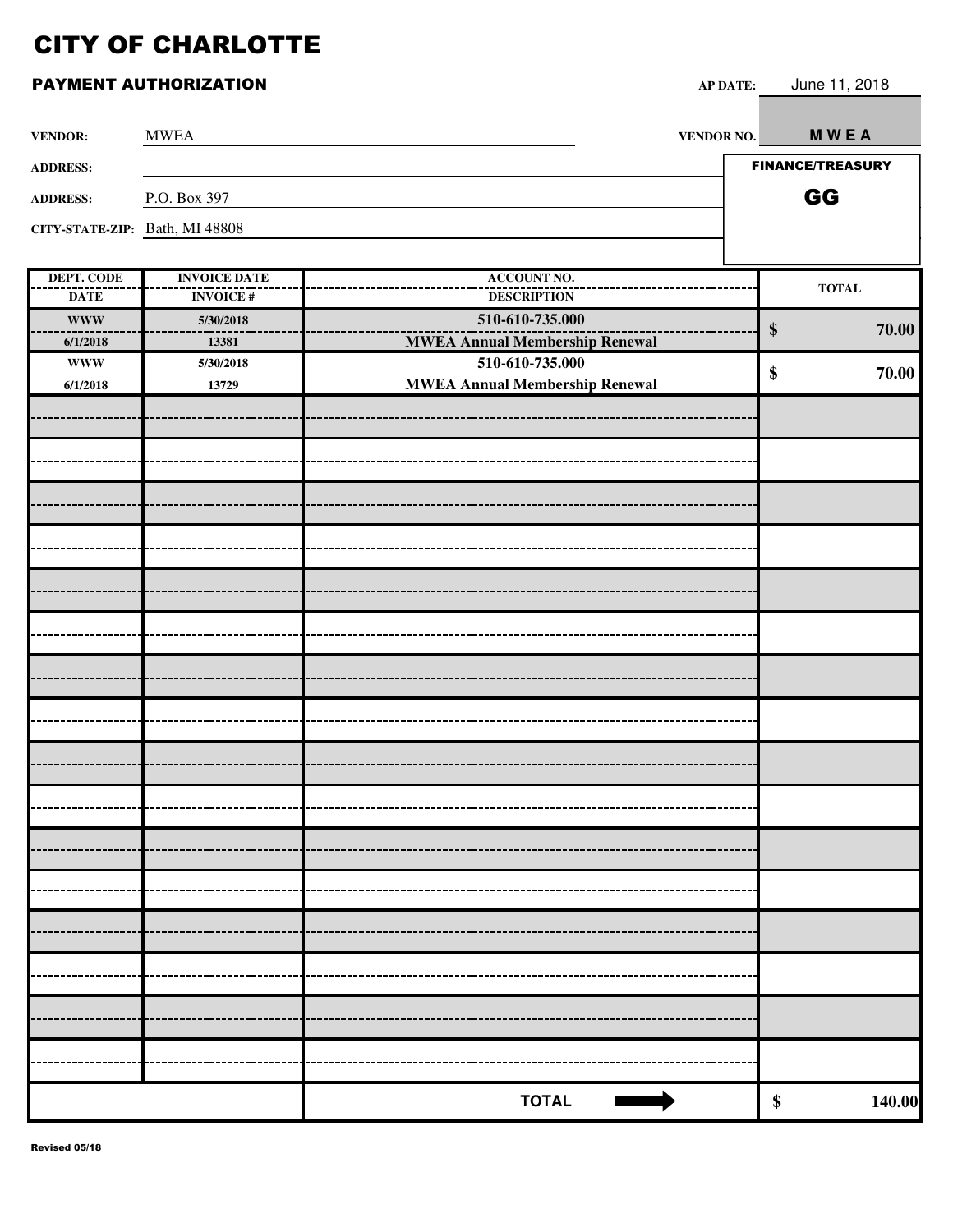#### PAYMENT AUTHORIZATION **AP DATE:** June 11, 2018

| <b>VENDOR:</b>                 | <b>MWEA</b>         |                                       | <b>VENDOR NO.</b> | <b>MWEA</b>                |
|--------------------------------|---------------------|---------------------------------------|-------------------|----------------------------|
| <b>ADDRESS:</b>                |                     |                                       |                   | <b>FINANCE/TREASURY</b>    |
| <b>ADDRESS:</b>                | P.O. Box 397        |                                       |                   | GG                         |
| CITY-STATE-ZIP: Bath, MI 48808 |                     |                                       |                   |                            |
|                                |                     |                                       |                   |                            |
| <b>DEPT. CODE</b>              | <b>INVOICE DATE</b> | <b>ACCOUNT NO.</b>                    |                   |                            |
| <b>DATE</b>                    | <b>INVOICE#</b>     | <b>DESCRIPTION</b>                    |                   | <b>TOTAL</b>               |
| <b>WWW</b>                     | 5/30/2018           | 510-610-735.000                       |                   | $\boldsymbol{\$}$<br>70.00 |
| 6/1/2018                       | 13381               | <b>MWEA Annual Membership Renewal</b> |                   |                            |
| <b>WWW</b>                     | 5/30/2018           | 510-610-735.000                       |                   | 70.00<br>\$                |
| 6/1/2018                       | 13729               | <b>MWEA Annual Membership Renewal</b> |                   |                            |
|                                |                     |                                       |                   |                            |
|                                |                     |                                       |                   |                            |
|                                |                     |                                       |                   |                            |
|                                |                     |                                       |                   |                            |
|                                |                     |                                       |                   |                            |
|                                |                     |                                       |                   |                            |
|                                |                     |                                       |                   |                            |
|                                |                     |                                       |                   |                            |
|                                |                     |                                       |                   |                            |
|                                |                     |                                       |                   |                            |
|                                |                     |                                       |                   |                            |
|                                |                     |                                       |                   |                            |
|                                |                     |                                       |                   |                            |
|                                |                     |                                       |                   |                            |
|                                |                     |                                       |                   |                            |
|                                |                     |                                       |                   |                            |
|                                |                     |                                       |                   |                            |
|                                |                     |                                       |                   |                            |
|                                |                     |                                       |                   |                            |
|                                |                     |                                       |                   |                            |
|                                |                     |                                       |                   |                            |
|                                |                     |                                       |                   |                            |
|                                |                     |                                       |                   |                            |
|                                |                     |                                       |                   |                            |
|                                |                     |                                       |                   |                            |
|                                |                     |                                       |                   |                            |
|                                |                     |                                       |                   |                            |
|                                |                     |                                       |                   |                            |
|                                |                     |                                       |                   |                            |
|                                |                     |                                       |                   |                            |
|                                |                     |                                       |                   |                            |

**TOTAL \$ 140.00**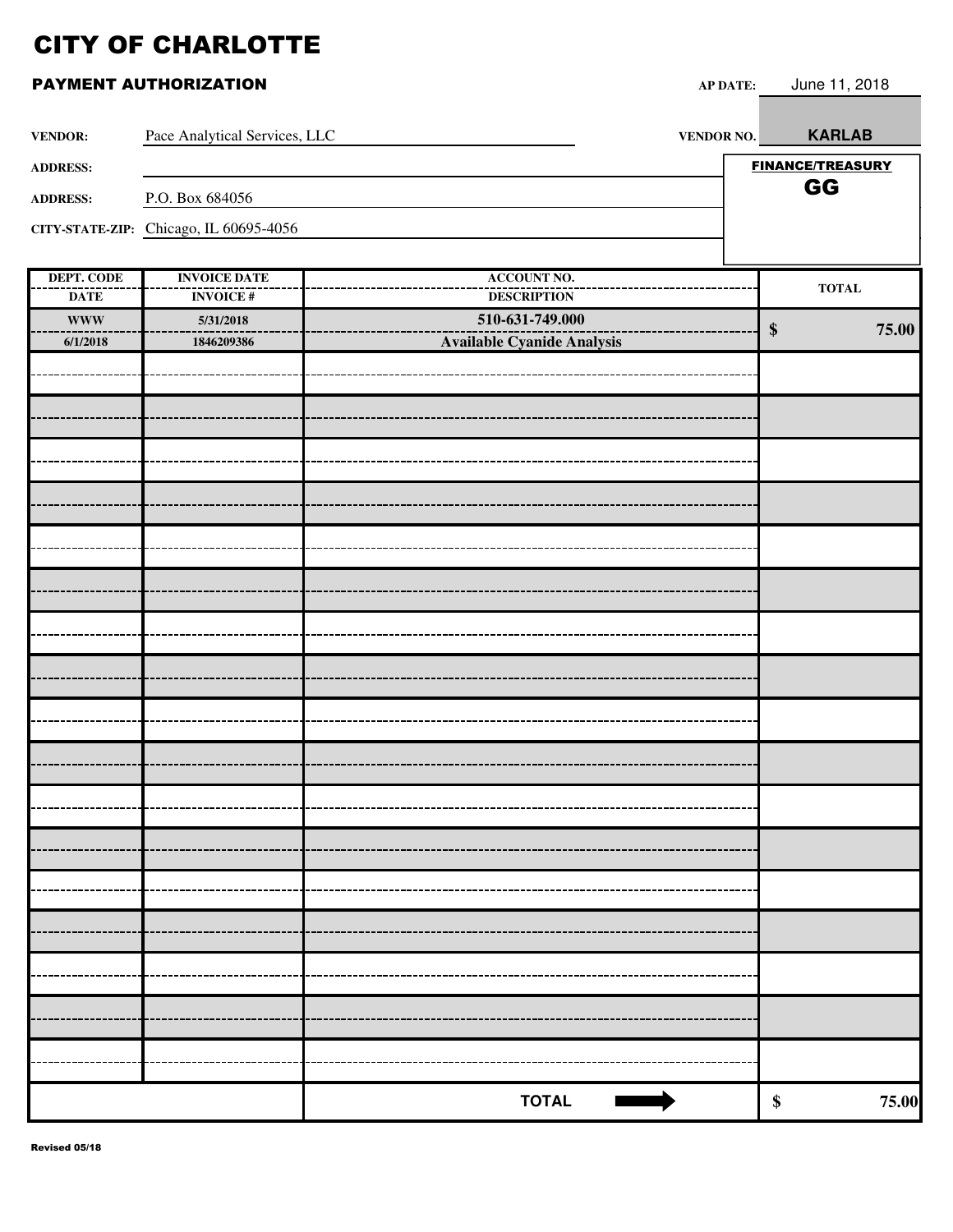|  | PAYMENT AUTHORIZATION |
|--|-----------------------|
|--|-----------------------|

| <b>VENDOR:</b>            | Pace Analytical Services, LLC          | VENDOR NO.                        | <b>KARLAB</b>           |
|---------------------------|----------------------------------------|-----------------------------------|-------------------------|
| <b>ADDRESS:</b>           |                                        |                                   | <b>FINANCE/TREASURY</b> |
| <b>ADDRESS:</b>           | P.O. Box 684056                        |                                   | GG                      |
|                           | CITY-STATE-ZIP: Chicago, IL 60695-4056 |                                   |                         |
|                           |                                        |                                   |                         |
| <b>DEPT. CODE</b>         | <b>INVOICE DATE</b>                    | <b>ACCOUNT NO.</b>                | <b>TOTAL</b>            |
| <b>DATE</b>               | <b>INVOICE#</b>                        | <b>DESCRIPTION</b>                |                         |
| $\ensuremath{\text{WWW}}$ | 5/31/2018                              | 510-631-749.000                   | 75.00<br>\$             |
| 6/1/2018                  | 1846209386                             | <b>Available Cyanide Analysis</b> |                         |
|                           |                                        |                                   |                         |
|                           |                                        |                                   |                         |
|                           |                                        |                                   |                         |
|                           |                                        |                                   |                         |
|                           |                                        |                                   |                         |
|                           |                                        |                                   |                         |
|                           |                                        |                                   |                         |
|                           |                                        |                                   |                         |
|                           |                                        |                                   |                         |
|                           |                                        |                                   |                         |
|                           |                                        |                                   |                         |
|                           |                                        |                                   |                         |
|                           |                                        |                                   |                         |
|                           |                                        |                                   |                         |
|                           |                                        |                                   |                         |
|                           |                                        |                                   |                         |
|                           |                                        |                                   |                         |
|                           |                                        |                                   |                         |
|                           |                                        |                                   |                         |
|                           |                                        |                                   |                         |
|                           |                                        |                                   |                         |
|                           |                                        |                                   |                         |
|                           |                                        |                                   |                         |
|                           |                                        |                                   |                         |
|                           |                                        |                                   |                         |
|                           |                                        |                                   |                         |
|                           |                                        |                                   |                         |
|                           |                                        |                                   |                         |
|                           |                                        | <b>TOTAL</b>                      | \$<br>75.00             |

AP DATE: June 11, 2018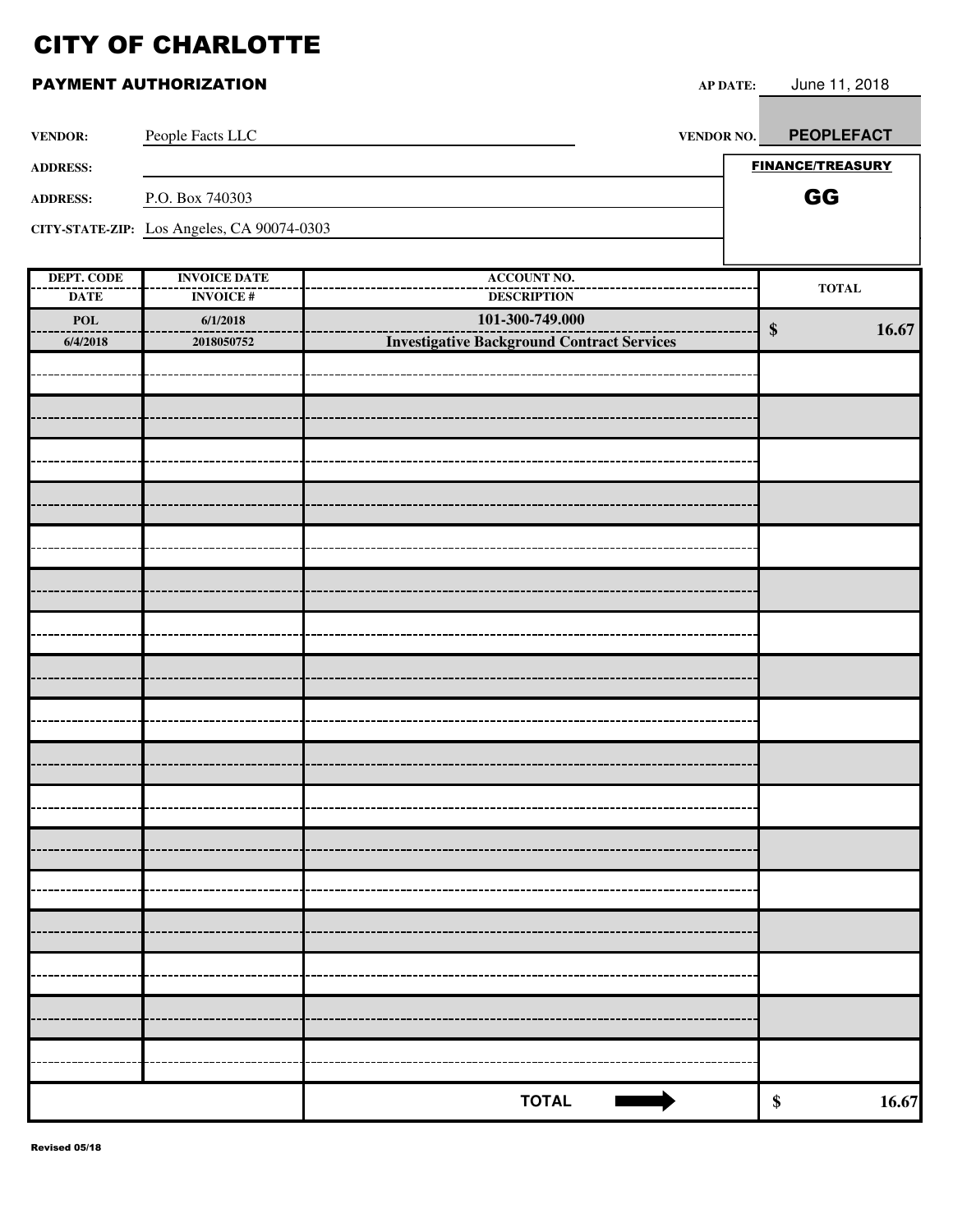| <b>VENDOR:</b>                   | People Facts LLC                           | VENDOR NO.                                        | <b>PEOPLEFACT</b>       |
|----------------------------------|--------------------------------------------|---------------------------------------------------|-------------------------|
| <b>ADDRESS:</b>                  |                                            |                                                   | <b>FINANCE/TREASURY</b> |
| <b>ADDRESS:</b>                  | P.O. Box 740303                            |                                                   | GG                      |
|                                  | CITY-STATE-ZIP: Los Angeles, CA 90074-0303 |                                                   |                         |
|                                  |                                            |                                                   |                         |
| <b>DEPT. CODE</b><br><b>DATE</b> | <b>INVOICE DATE</b><br><b>INVOICE#</b>     | <b>ACCOUNT NO.</b><br><b>DESCRIPTION</b>          | <b>TOTAL</b>            |
| POL                              | 6/1/2018                                   | 101-300-749.000                                   |                         |
| 6/4/2018                         | 2018050752                                 | <b>Investigative Background Contract Services</b> | 16.67<br>$\$\$          |
|                                  |                                            |                                                   |                         |
|                                  |                                            |                                                   |                         |
|                                  |                                            |                                                   |                         |
|                                  |                                            |                                                   |                         |
|                                  |                                            |                                                   |                         |
|                                  |                                            |                                                   |                         |
|                                  |                                            |                                                   |                         |
|                                  |                                            |                                                   |                         |
|                                  |                                            |                                                   |                         |
|                                  |                                            |                                                   |                         |
|                                  |                                            |                                                   |                         |
|                                  |                                            |                                                   |                         |
|                                  |                                            |                                                   |                         |
|                                  |                                            |                                                   |                         |
|                                  |                                            |                                                   |                         |
|                                  |                                            |                                                   |                         |
|                                  |                                            |                                                   |                         |
|                                  |                                            |                                                   |                         |
|                                  |                                            |                                                   |                         |
|                                  |                                            |                                                   |                         |
|                                  |                                            |                                                   |                         |
|                                  |                                            |                                                   |                         |
|                                  |                                            |                                                   |                         |
|                                  |                                            |                                                   |                         |
|                                  |                                            |                                                   |                         |
|                                  |                                            | <b>TOTAL</b>                                      | 16.67<br>\$             |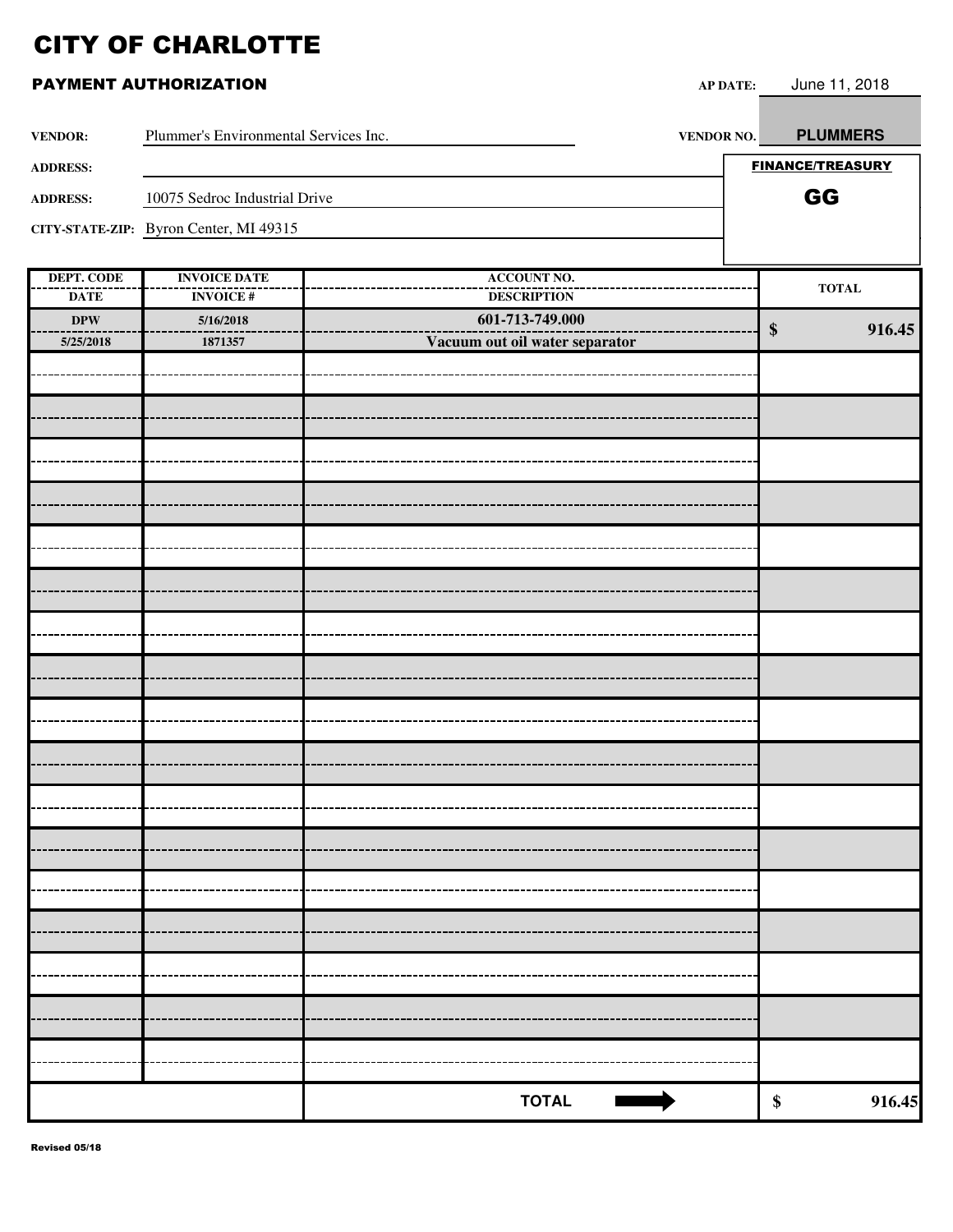| PAYMENT AUTHORIZATION    |                                        | <b>AP DATE:</b>                       | June 11, 2018           |
|--------------------------|----------------------------------------|---------------------------------------|-------------------------|
| <b>VENDOR:</b>           | Plummer's Environmental Services Inc.  | <b>VENDOR NO.</b>                     | <b>PLUMMERS</b>         |
| <b>ADDRESS:</b>          |                                        |                                       | <b>FINANCE/TREASURY</b> |
| <b>ADDRESS:</b>          | 10075 Sedroc Industrial Drive          |                                       | GG                      |
|                          | CITY-STATE-ZIP: Byron Center, MI 49315 |                                       |                         |
| DEPT. CODE               | <b>INVOICE DATE</b>                    | <b>ACCOUNT NO.</b>                    | <b>TOTAL</b>            |
| <b>DATE</b><br>$\bf DPW$ | <b>INVOICE#</b>                        | <b>DESCRIPTION</b><br>601-713-749.000 |                         |
| 5/25/2018                | 5/16/2018<br>1871357                   | Vacuum out oil water separator        | $\$\$<br>916.45         |
|                          |                                        |                                       |                         |
|                          |                                        |                                       |                         |
|                          |                                        |                                       |                         |
|                          |                                        |                                       |                         |
|                          |                                        |                                       |                         |
|                          |                                        |                                       |                         |
|                          |                                        |                                       |                         |
|                          |                                        |                                       |                         |
|                          |                                        |                                       |                         |
|                          |                                        |                                       |                         |
|                          |                                        |                                       |                         |
|                          |                                        |                                       |                         |
|                          |                                        |                                       |                         |
|                          |                                        |                                       |                         |
|                          |                                        |                                       |                         |
|                          |                                        |                                       |                         |
|                          |                                        |                                       |                         |
|                          |                                        |                                       |                         |
|                          |                                        |                                       |                         |
|                          |                                        |                                       |                         |
|                          |                                        | <b>TOTAL</b>                          | 916.45<br>\$            |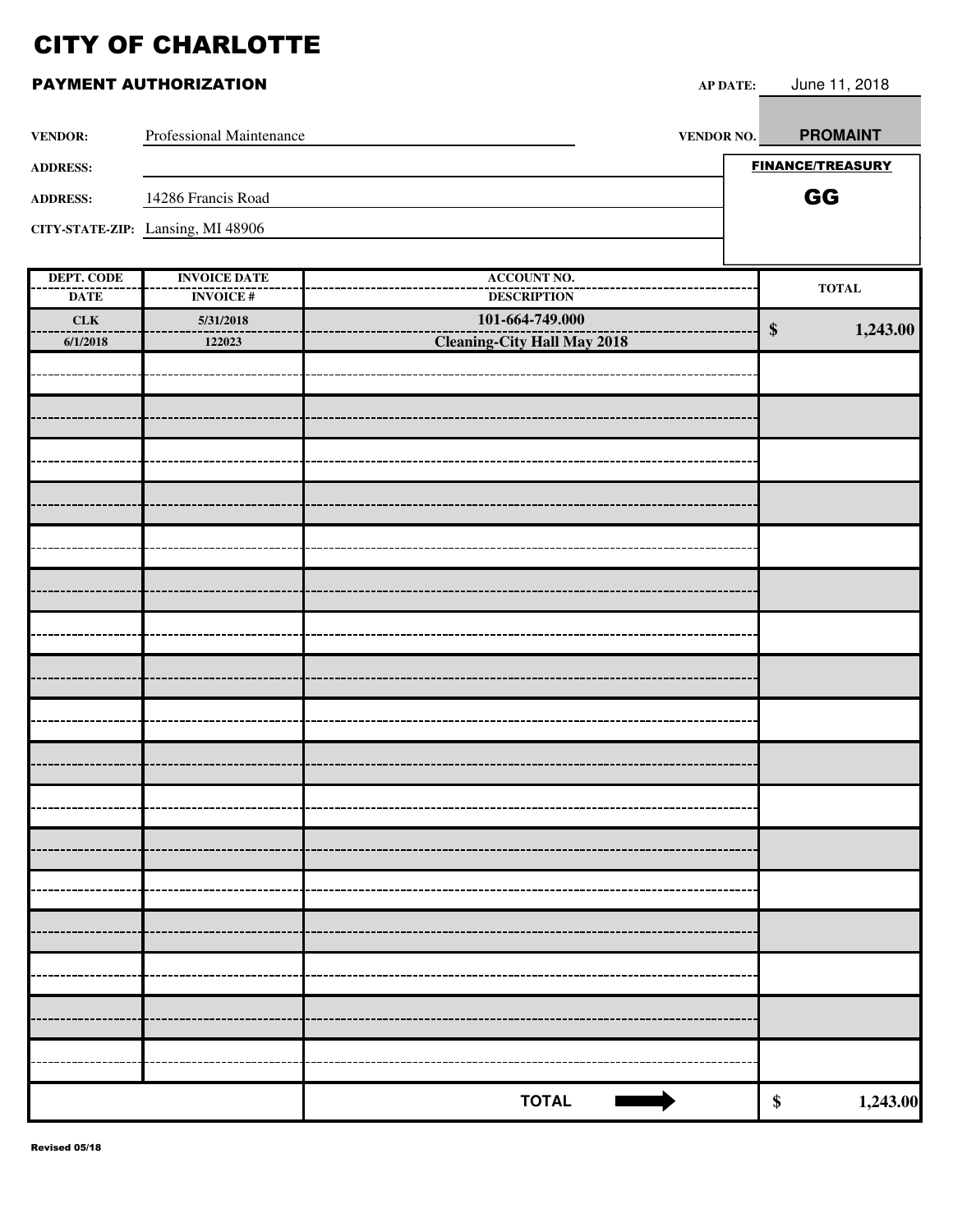|                   | PAYMENT AUTHORIZATION             |                                    | <b>AP DATE:</b> | June 11, 2018                 |
|-------------------|-----------------------------------|------------------------------------|-----------------|-------------------------------|
| <b>VENDOR:</b>    | Professional Maintenance          |                                    | VENDOR NO.      | <b>PROMAINT</b>               |
| <b>ADDRESS:</b>   |                                   |                                    |                 | <b>FINANCE/TREASURY</b>       |
| <b>ADDRESS:</b>   | 14286 Francis Road                |                                    |                 | GG                            |
|                   | CITY-STATE-ZIP: Lansing, MI 48906 |                                    |                 |                               |
|                   |                                   |                                    |                 |                               |
| <b>DEPT. CODE</b> | <b>INVOICE DATE</b>               | <b>ACCOUNT NO.</b>                 |                 |                               |
| <b>DATE</b>       | <b>INVOICE#</b>                   | <b>DESCRIPTION</b>                 |                 | <b>TOTAL</b>                  |
| CLK               | 5/31/2018                         | 101-664-749.000                    |                 | $\boldsymbol{\$}$<br>1,243.00 |
| 6/1/2018          | 122023                            | <b>Cleaning-City Hall May 2018</b> |                 |                               |
|                   |                                   |                                    |                 |                               |
|                   |                                   |                                    |                 |                               |
|                   |                                   |                                    |                 |                               |
|                   |                                   |                                    |                 |                               |
|                   |                                   |                                    |                 |                               |
|                   |                                   |                                    |                 |                               |
|                   |                                   |                                    |                 |                               |
|                   |                                   |                                    |                 |                               |
|                   |                                   |                                    |                 |                               |
|                   |                                   |                                    |                 |                               |
|                   |                                   |                                    |                 |                               |
|                   |                                   |                                    |                 |                               |
|                   |                                   |                                    |                 |                               |
|                   |                                   |                                    |                 |                               |
|                   |                                   |                                    |                 |                               |
|                   |                                   |                                    |                 |                               |
|                   |                                   |                                    |                 |                               |
|                   |                                   |                                    |                 |                               |
|                   |                                   |                                    |                 |                               |
|                   |                                   |                                    |                 |                               |
|                   |                                   |                                    |                 |                               |

|  | <b>TOTAL</b> |  |
|--|--------------|--|

**TOTAL \$ 1,243.00**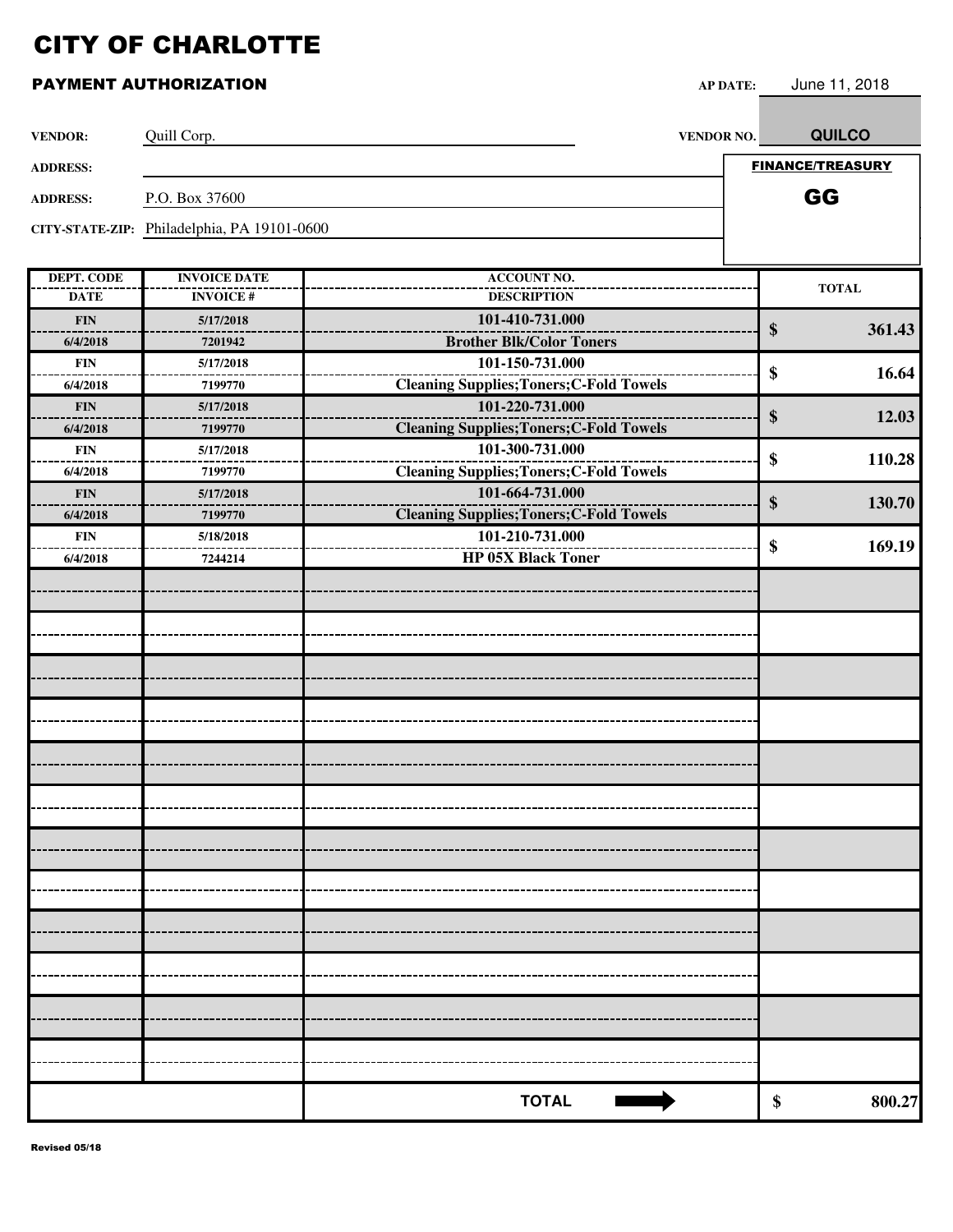| <b>VENDOR:</b>    | Quill Corp.                                 | <b>VENDOR NO.</b>                               | <b>QUILCO</b>           |
|-------------------|---------------------------------------------|-------------------------------------------------|-------------------------|
| <b>ADDRESS:</b>   |                                             |                                                 | <b>FINANCE/TREASURY</b> |
| <b>ADDRESS:</b>   | P.O. Box 37600                              |                                                 | GG                      |
|                   | CITY-STATE-ZIP: Philadelphia, PA 19101-0600 |                                                 |                         |
|                   |                                             |                                                 |                         |
| <b>DEPT. CODE</b> | <b>INVOICE DATE</b>                         | <b>ACCOUNT NO.</b>                              | <b>TOTAL</b>            |
| <b>DATE</b>       | <b>INVOICE#</b>                             | <b>DESCRIPTION</b>                              |                         |
| <b>FIN</b>        | 5/17/2018                                   | 101-410-731.000                                 | \$<br>361.43            |
| 6/4/2018          | 7201942                                     | <b>Brother Blk/Color Toners</b>                 |                         |
| ${\bf FIN}$       | 5/17/2018                                   | 101-150-731.000                                 | \$<br>16.64             |
| 6/4/2018          | 7199770                                     | <b>Cleaning Supplies; Toners; C-Fold Towels</b> |                         |
| ${\bf FIN}$       | 5/17/2018                                   | 101-220-731.000                                 | \$<br>12.03             |
| 6/4/2018          | 7199770                                     | <b>Cleaning Supplies; Toners; C-Fold Towels</b> |                         |
| <b>FIN</b>        | 5/17/2018                                   | 101-300-731.000                                 | \$<br>110.28            |
| 6/4/2018          | 7199770                                     | <b>Cleaning Supplies; Toners; C-Fold Towels</b> |                         |
| <b>FIN</b>        | 5/17/2018                                   | 101-664-731.000                                 | 130.70<br>\$            |
| 6/4/2018          | 7199770                                     | <b>Cleaning Supplies; Toners; C-Fold Towels</b> |                         |
| <b>FIN</b>        | 5/18/2018                                   | 101-210-731.000                                 | \$<br>169.19            |
| 6/4/2018          | 7244214                                     | <b>HP 05X Black Toner</b>                       |                         |
|                   |                                             |                                                 |                         |
|                   |                                             |                                                 |                         |
|                   |                                             |                                                 |                         |
|                   |                                             |                                                 |                         |
|                   |                                             |                                                 |                         |
|                   |                                             |                                                 |                         |
|                   |                                             |                                                 |                         |
|                   |                                             |                                                 |                         |
|                   |                                             |                                                 |                         |
|                   |                                             |                                                 |                         |
|                   |                                             |                                                 |                         |
|                   |                                             |                                                 |                         |
|                   |                                             |                                                 |                         |
|                   |                                             |                                                 |                         |
|                   |                                             |                                                 |                         |
|                   |                                             |                                                 |                         |
|                   |                                             |                                                 |                         |
|                   |                                             | <b>TOTAL</b>                                    | \$<br>800.27            |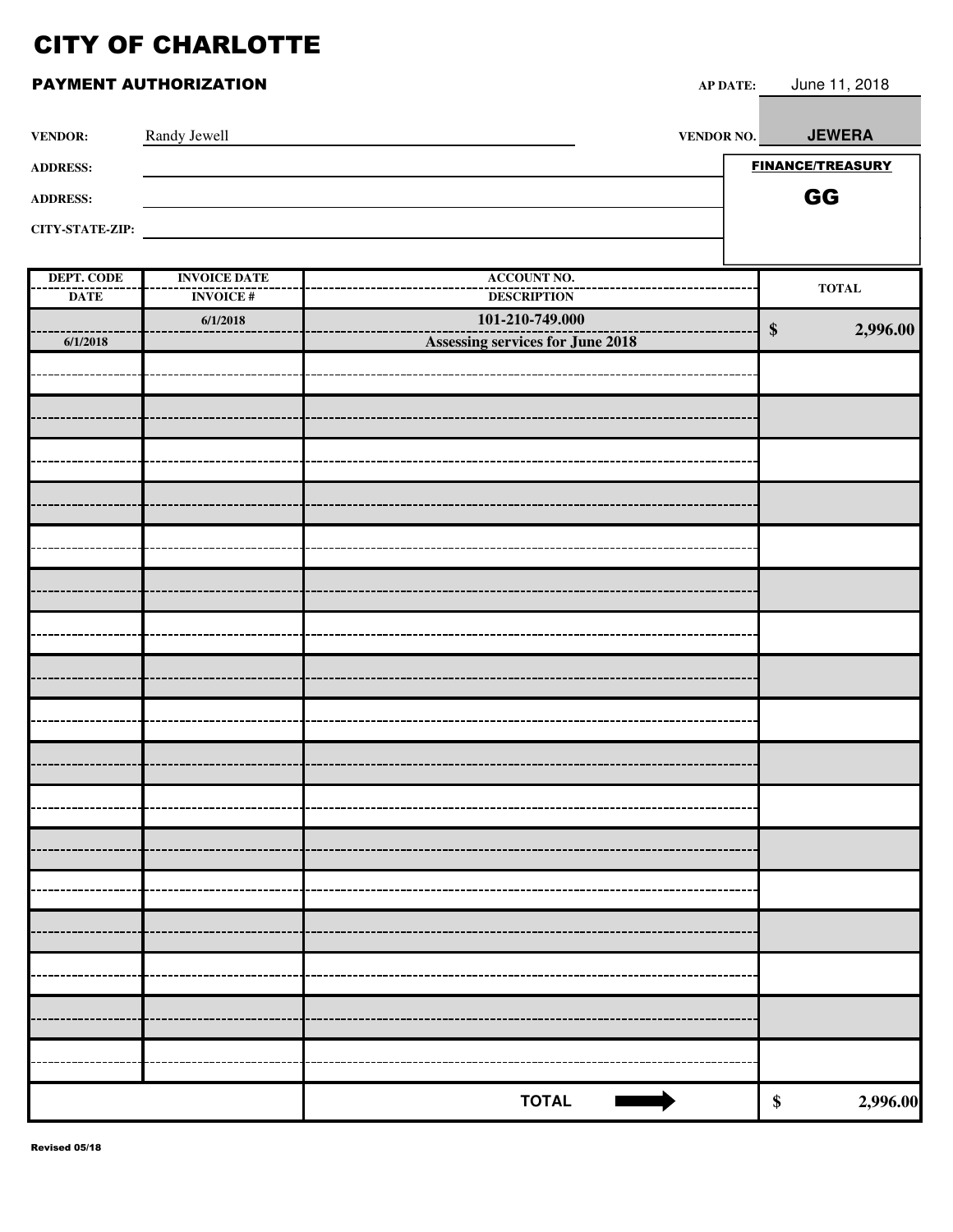| <b>VENDOR:</b>    | Randy Jewell        | <b>VENDOR NO.</b>                                          | <b>JEWERA</b>                 |
|-------------------|---------------------|------------------------------------------------------------|-------------------------------|
| <b>ADDRESS:</b>   |                     |                                                            | <b>FINANCE/TREASURY</b>       |
| <b>ADDRESS:</b>   |                     |                                                            | GG                            |
| CITY-STATE-ZIP:   |                     |                                                            |                               |
|                   |                     |                                                            |                               |
| <b>DEPT. CODE</b> | <b>INVOICE DATE</b> | <b>ACCOUNT NO.</b>                                         | $\bf TOTAL$                   |
| <b>DATE</b>       | <b>INVOICE#</b>     | <b>DESCRIPTION</b>                                         |                               |
| 6/1/2018          | 6/1/2018            | 101-210-749.000<br><b>Assessing services for June 2018</b> | 2,996.00<br>$\boldsymbol{\$}$ |
|                   |                     |                                                            |                               |
|                   |                     |                                                            |                               |
|                   |                     |                                                            |                               |
|                   |                     |                                                            |                               |
|                   |                     |                                                            |                               |
|                   |                     |                                                            |                               |
|                   |                     |                                                            |                               |
|                   |                     |                                                            |                               |
|                   |                     |                                                            |                               |
|                   |                     |                                                            |                               |
|                   |                     |                                                            |                               |
|                   |                     |                                                            |                               |
|                   |                     |                                                            |                               |
|                   |                     |                                                            |                               |
|                   |                     |                                                            |                               |
|                   |                     |                                                            |                               |
|                   |                     |                                                            |                               |
|                   |                     |                                                            |                               |
|                   |                     |                                                            |                               |
|                   |                     |                                                            |                               |
|                   |                     |                                                            |                               |
|                   |                     |                                                            |                               |
|                   |                     |                                                            |                               |
|                   |                     |                                                            |                               |
|                   |                     |                                                            |                               |
|                   |                     |                                                            |                               |
|                   |                     |                                                            |                               |
|                   |                     |                                                            |                               |
|                   |                     | <b>TOTAL</b><br><b>I</b>                                   | 2,996.00<br>$\boldsymbol{\$}$ |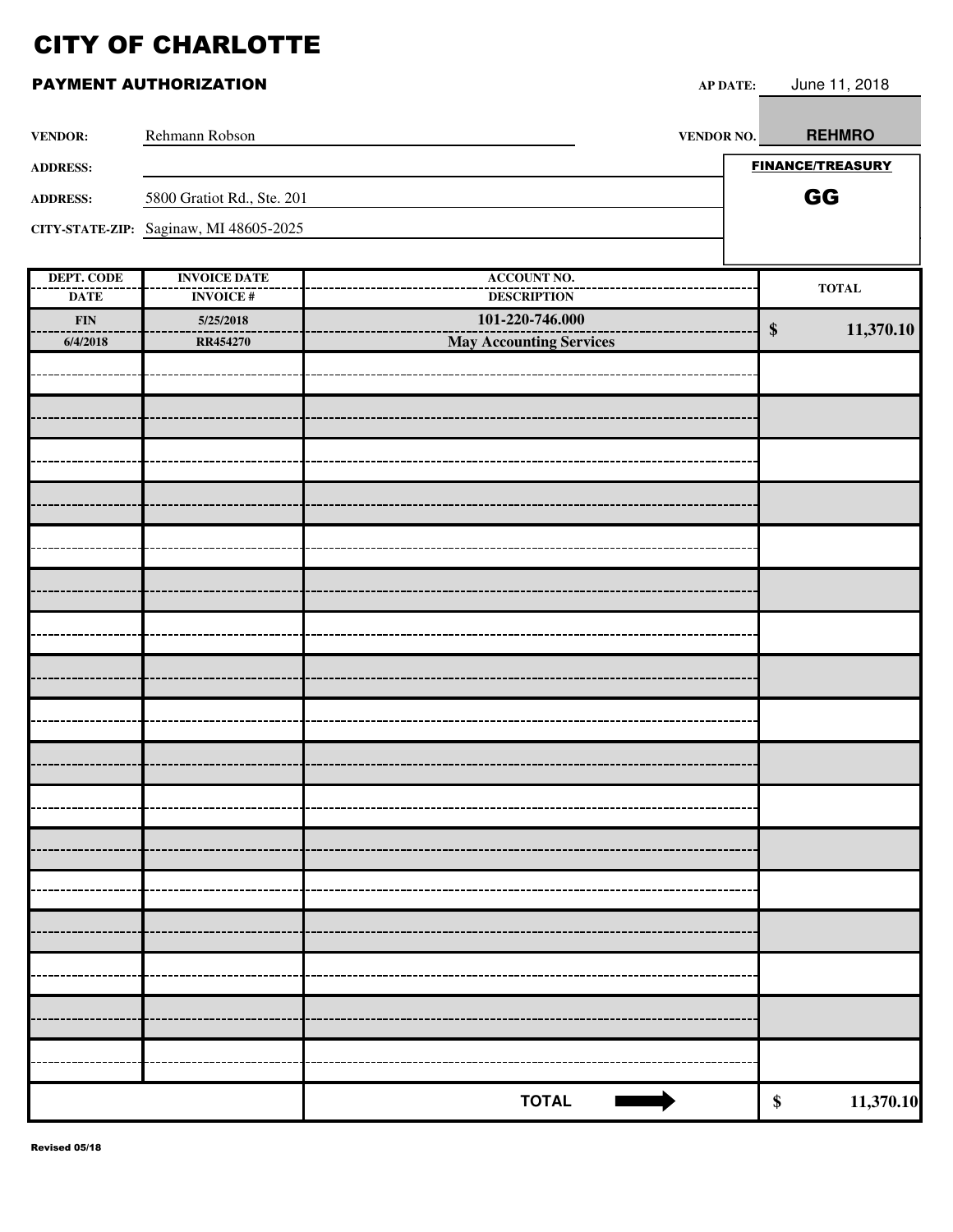| <b>VENDOR:</b>                   | Rehmann Robson                         | <b>VENDOR NO.</b>                        |                   | <b>REHMRO</b>           |
|----------------------------------|----------------------------------------|------------------------------------------|-------------------|-------------------------|
| <b>ADDRESS:</b>                  |                                        |                                          |                   | <b>FINANCE/TREASURY</b> |
| <b>ADDRESS:</b>                  | 5800 Gratiot Rd., Ste. 201             |                                          |                   | GG                      |
|                                  | CITY-STATE-ZIP: Saginaw, MI 48605-2025 |                                          |                   |                         |
|                                  |                                        |                                          |                   |                         |
| <b>DEPT. CODE</b><br><b>DATE</b> | <b>INVOICE DATE</b><br><b>INVOICE#</b> | <b>ACCOUNT NO.</b><br><b>DESCRIPTION</b> |                   | <b>TOTAL</b>            |
| ${\bf FIN}$                      | 5/25/2018                              | 101-220-746.000                          |                   |                         |
| 6/4/2018                         | <b>RR454270</b>                        | <b>May Accounting Services</b>           | $\boldsymbol{\$}$ | 11,370.10               |
|                                  |                                        |                                          |                   |                         |
|                                  |                                        |                                          |                   |                         |
|                                  |                                        |                                          |                   |                         |
|                                  |                                        |                                          |                   |                         |
|                                  |                                        |                                          |                   |                         |
|                                  |                                        |                                          |                   |                         |
|                                  |                                        |                                          |                   |                         |
|                                  |                                        |                                          |                   |                         |
|                                  |                                        |                                          |                   |                         |
|                                  |                                        |                                          |                   |                         |
|                                  |                                        |                                          |                   |                         |
|                                  |                                        |                                          |                   |                         |
|                                  |                                        |                                          |                   |                         |
|                                  |                                        |                                          |                   |                         |
|                                  |                                        |                                          |                   |                         |
|                                  |                                        |                                          |                   |                         |
|                                  |                                        |                                          |                   |                         |
|                                  |                                        |                                          |                   |                         |
|                                  |                                        |                                          |                   |                         |
|                                  |                                        |                                          |                   |                         |
|                                  |                                        |                                          |                   |                         |
|                                  |                                        |                                          |                   |                         |
|                                  |                                        |                                          |                   |                         |
|                                  |                                        |                                          |                   |                         |
|                                  |                                        |                                          |                   |                         |
|                                  |                                        |                                          |                   |                         |
|                                  |                                        |                                          |                   |                         |
|                                  |                                        | <b>TOTAL</b>                             | $\$$              | 11,370.10               |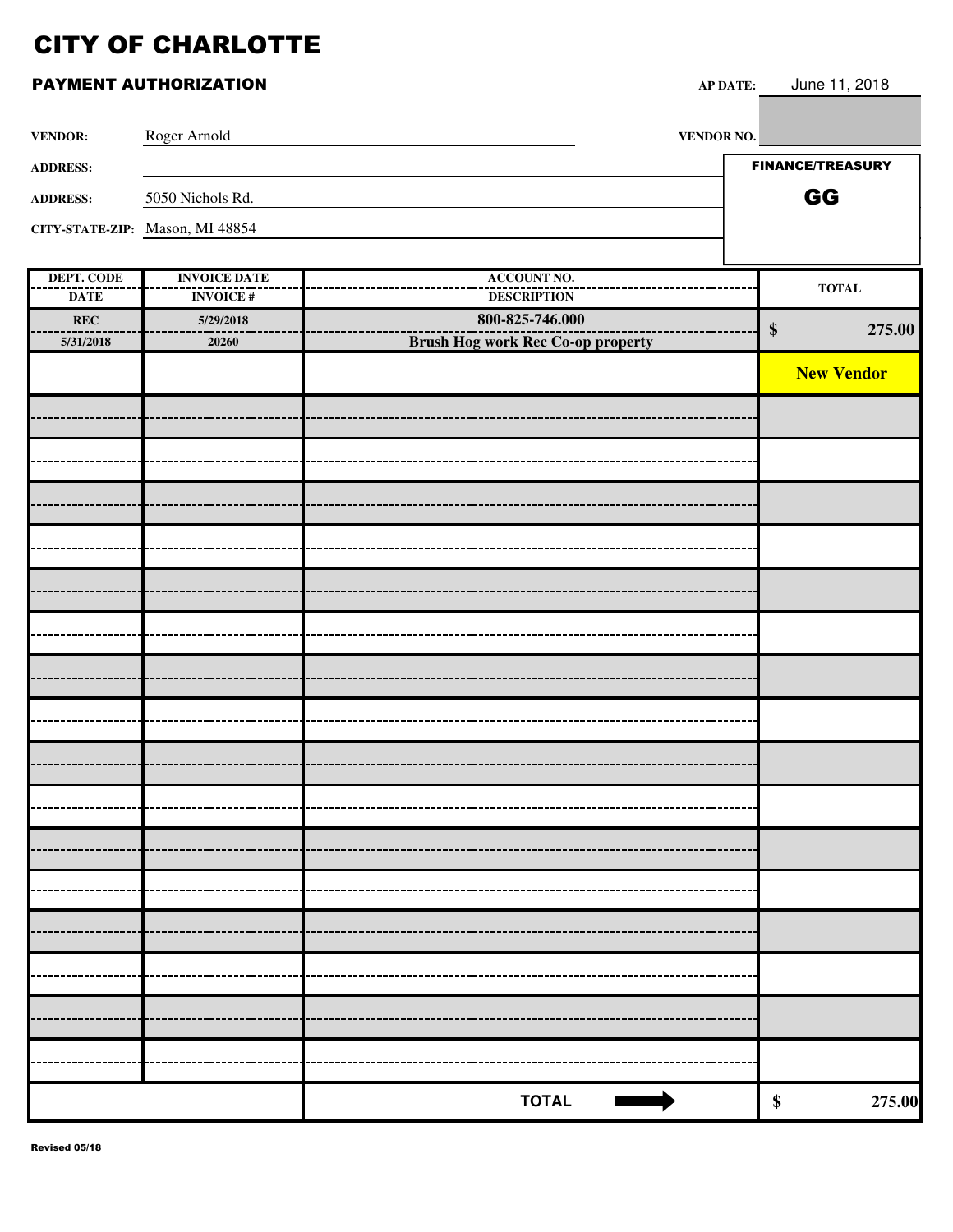### **PAYMENT AUTHORIZATION AP**

| P DATE: | June 11, 2018 |  |
|---------|---------------|--|
|         |               |  |

| <b>VENDOR:</b>  | Roger Arnold                    | <b>VENDOR NO.</b> |                         |
|-----------------|---------------------------------|-------------------|-------------------------|
| <b>ADDRESS:</b> |                                 |                   | <b>FINANCE/TREASURY</b> |
| <b>ADDRESS:</b> | 5050 Nichols Rd.                |                   | GG                      |
|                 | CITY-STATE-ZIP: Mason, MI 48854 |                   |                         |
|                 |                                 |                   |                         |

| DEPT. CODE  | <b>INVOICE DATE</b> | <b>ACCOUNT NO.</b>                       | $\bf TOTAL$                 |
|-------------|---------------------|------------------------------------------|-----------------------------|
| <b>DATE</b> | <b>INVOICE#</b>     | <b>DESCRIPTION</b>                       |                             |
| REC         | 5/29/2018           | 800-825-746.000                          | $\boldsymbol{\$}$<br>275.00 |
| 5/31/2018   | 20260               | <b>Brush Hog work Rec Co-op property</b> |                             |
|             |                     |                                          | <b>New Vendor</b>           |
|             |                     |                                          |                             |
|             |                     |                                          |                             |
|             |                     |                                          |                             |
|             |                     |                                          |                             |
|             |                     |                                          |                             |
|             |                     |                                          |                             |
|             |                     |                                          |                             |
|             |                     |                                          |                             |
|             |                     |                                          |                             |
|             |                     |                                          |                             |
|             |                     |                                          |                             |
|             |                     |                                          |                             |
|             |                     |                                          |                             |
|             |                     |                                          |                             |
|             |                     |                                          |                             |
|             |                     |                                          |                             |
|             |                     |                                          |                             |
|             |                     |                                          |                             |
|             |                     |                                          |                             |
|             |                     |                                          |                             |
|             |                     |                                          |                             |
|             |                     |                                          |                             |
|             |                     |                                          |                             |
|             |                     |                                          |                             |
|             |                     |                                          |                             |
|             |                     |                                          |                             |
|             |                     |                                          |                             |
|             |                     |                                          |                             |
|             |                     |                                          |                             |
|             |                     |                                          |                             |
|             |                     |                                          |                             |
|             |                     | <b>TOTAL</b>                             | 275.00<br>\$                |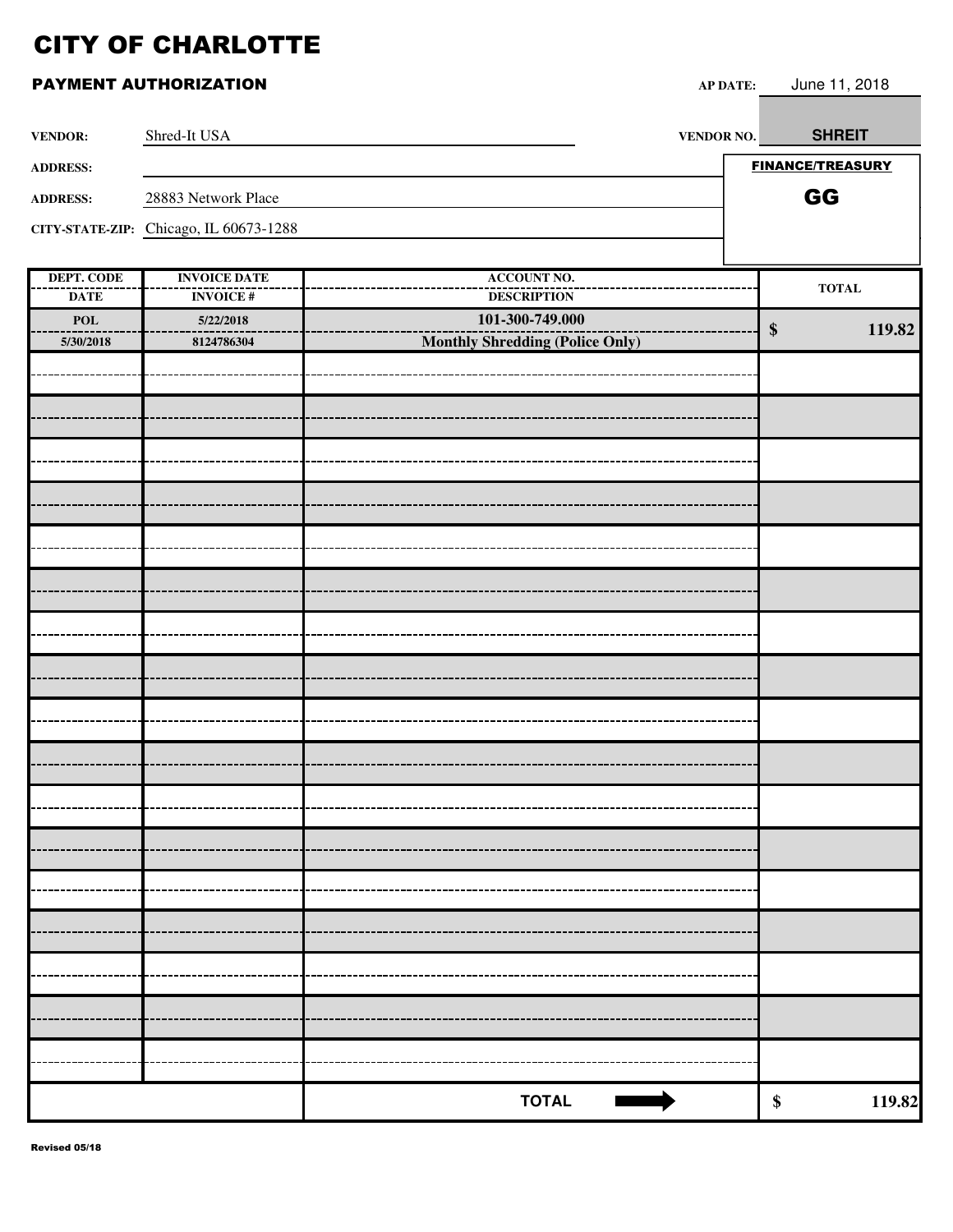| <b>VENDOR:</b>                   | Shred-It USA                           | VENDOR NO.                               | <b>SHREIT</b>               |
|----------------------------------|----------------------------------------|------------------------------------------|-----------------------------|
| <b>ADDRESS:</b>                  |                                        |                                          | <b>FINANCE/TREASURY</b>     |
| <b>ADDRESS:</b>                  | 28883 Network Place                    |                                          | GG                          |
|                                  | CITY-STATE-ZIP: Chicago, IL 60673-1288 |                                          |                             |
|                                  |                                        |                                          |                             |
| <b>DEPT. CODE</b><br><b>DATE</b> | <b>INVOICE DATE</b><br><b>INVOICE#</b> | <b>ACCOUNT NO.</b><br><b>DESCRIPTION</b> | $\bf TOTAL$                 |
| <b>POL</b>                       | 5/22/2018                              | 101-300-749.000                          | 119.82<br>$\boldsymbol{\$}$ |
| 5/30/2018                        | 8124786304                             | Monthly Shredding (Police Only)          |                             |
|                                  |                                        |                                          |                             |
|                                  |                                        |                                          |                             |
|                                  |                                        |                                          |                             |
|                                  |                                        |                                          |                             |
|                                  |                                        |                                          |                             |
|                                  |                                        |                                          |                             |
|                                  |                                        |                                          |                             |
|                                  |                                        |                                          |                             |
|                                  |                                        |                                          |                             |
|                                  |                                        |                                          |                             |
|                                  |                                        |                                          |                             |
|                                  |                                        |                                          |                             |
|                                  |                                        |                                          |                             |
|                                  |                                        |                                          |                             |
|                                  |                                        |                                          |                             |
|                                  |                                        |                                          |                             |
|                                  |                                        |                                          |                             |
|                                  |                                        |                                          |                             |
|                                  |                                        | <b>TOTAL</b>                             | 119.82<br>\$                |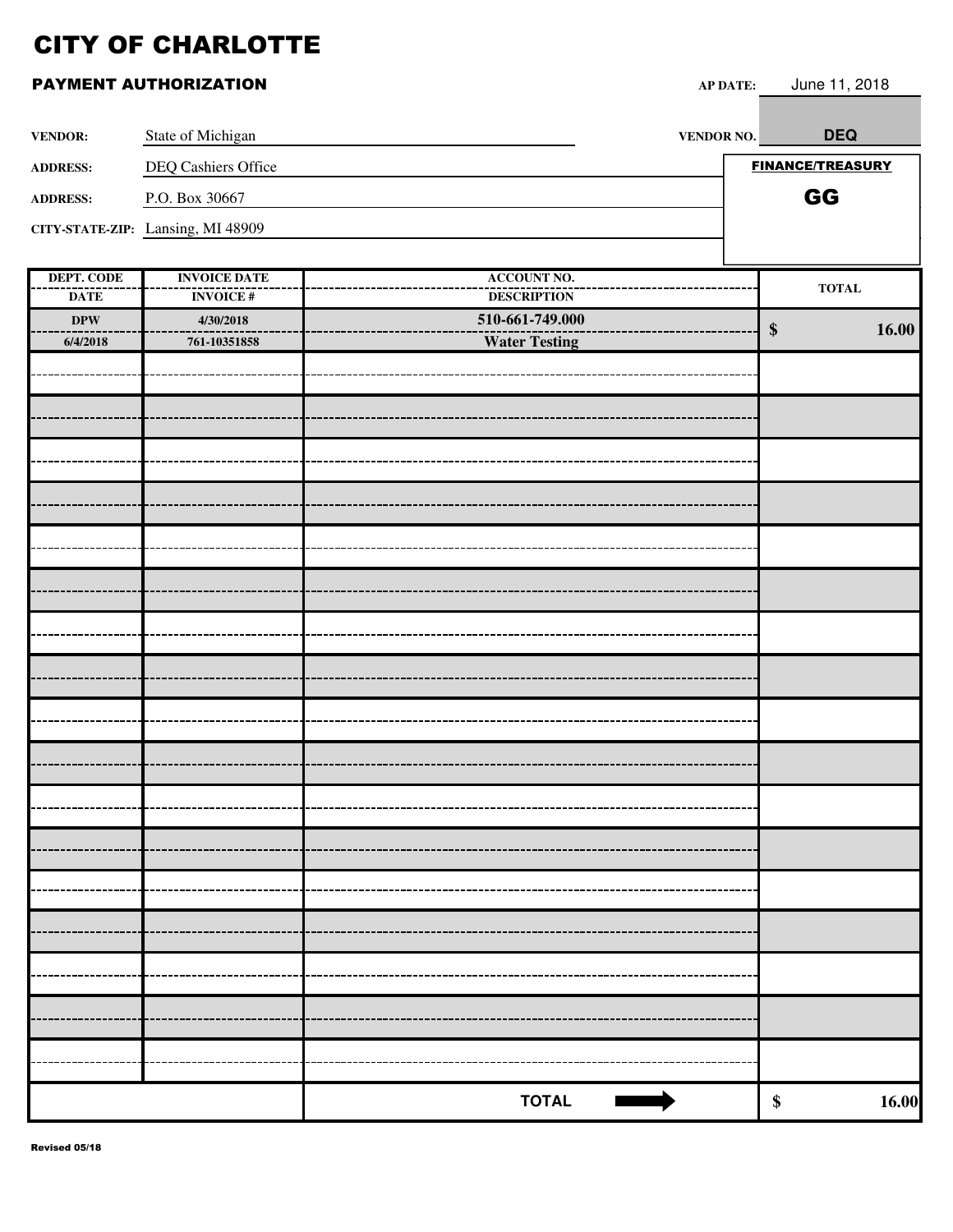| <b>VENDOR:</b>           | State of Michigan                 | <b>VENDOR NO.</b>                     |                   | <b>DEQ</b>                 |
|--------------------------|-----------------------------------|---------------------------------------|-------------------|----------------------------|
| <b>ADDRESS:</b>          | DEQ Cashiers Office               |                                       |                   | <b>FINANCE/TREASURY</b>    |
| <b>ADDRESS:</b>          | P.O. Box 30667                    |                                       |                   | GG                         |
|                          | CITY-STATE-ZIP: Lansing, MI 48909 |                                       |                   |                            |
|                          |                                   |                                       |                   |                            |
| <b>DEPT. CODE</b>        | <b>INVOICE DATE</b>               | <b>ACCOUNT NO.</b>                    |                   | $\bf TOTAL$                |
| <b>DATE</b><br>$\bf DPW$ | <b>INVOICE#</b><br>4/30/2018      | <b>DESCRIPTION</b><br>510-661-749.000 |                   |                            |
| 6/4/2018                 | 761-10351858                      | <b>Water Testing</b>                  | $\boldsymbol{\$}$ | 16.00                      |
|                          |                                   |                                       |                   |                            |
|                          |                                   |                                       |                   |                            |
|                          |                                   |                                       |                   |                            |
|                          |                                   |                                       |                   |                            |
|                          |                                   |                                       |                   |                            |
|                          |                                   |                                       |                   |                            |
|                          |                                   |                                       |                   |                            |
|                          |                                   |                                       |                   |                            |
|                          |                                   |                                       |                   |                            |
|                          |                                   |                                       |                   |                            |
|                          |                                   |                                       |                   |                            |
|                          |                                   |                                       |                   |                            |
|                          |                                   |                                       |                   |                            |
|                          |                                   |                                       |                   |                            |
|                          |                                   |                                       |                   |                            |
|                          |                                   |                                       |                   |                            |
|                          |                                   |                                       |                   |                            |
|                          |                                   |                                       |                   |                            |
|                          |                                   |                                       |                   |                            |
|                          |                                   |                                       |                   |                            |
|                          |                                   |                                       |                   |                            |
|                          |                                   |                                       |                   |                            |
|                          |                                   | <b>TOTAL</b>                          |                   | 16.00<br>$\boldsymbol{\$}$ |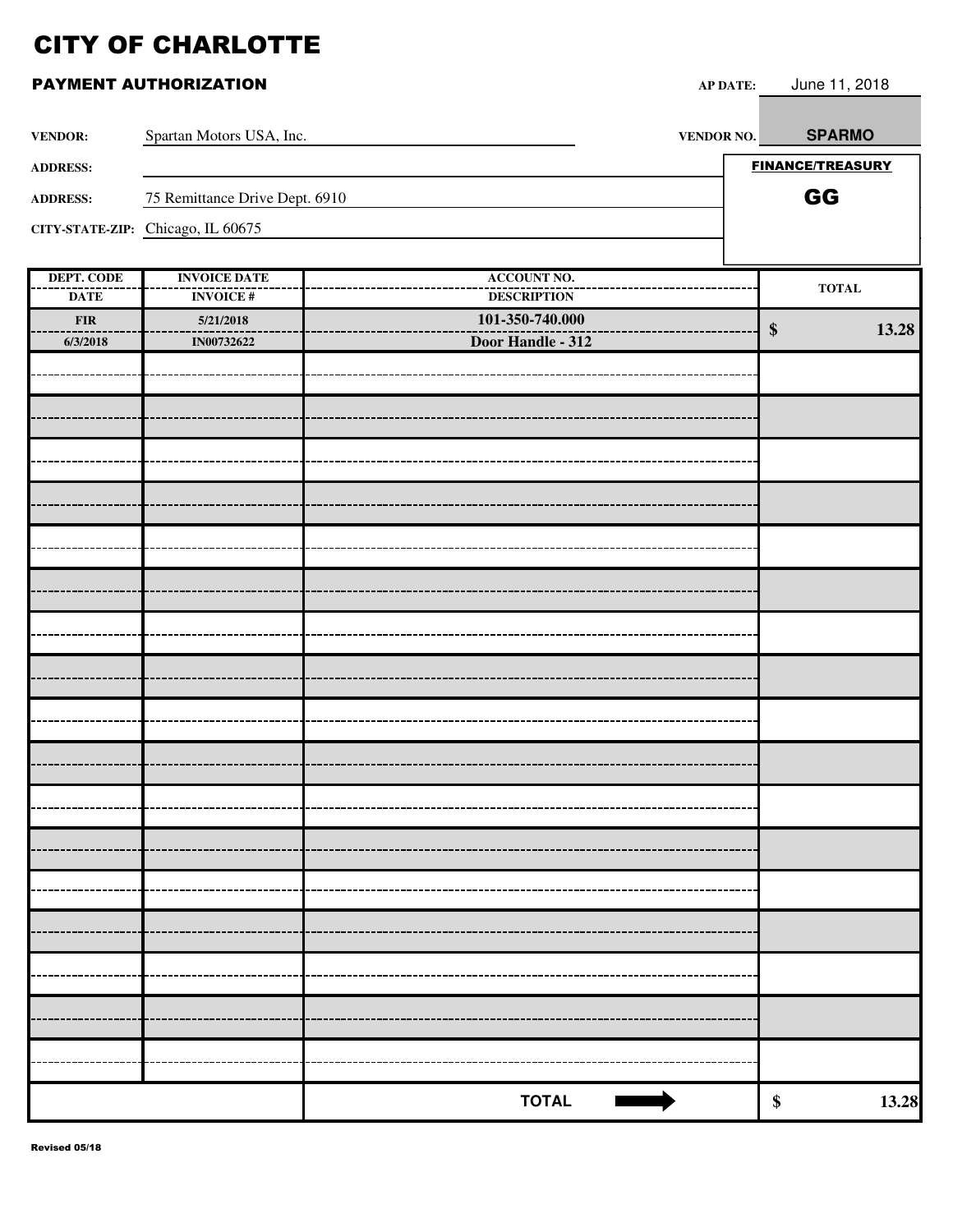| PAYMENT AUTHORIZATION |  |
|-----------------------|--|
|-----------------------|--|

| <b>VENDOR:</b>         | Spartan Motors USA, Inc.          | VENDOR NO.                           | <b>SPARMO</b>              |
|------------------------|-----------------------------------|--------------------------------------|----------------------------|
| <b>ADDRESS:</b>        |                                   |                                      | <b>FINANCE/TREASURY</b>    |
| <b>ADDRESS:</b>        | 75 Remittance Drive Dept. 6910    |                                      | GG                         |
|                        | CITY-STATE-ZIP: Chicago, IL 60675 |                                      |                            |
|                        |                                   |                                      |                            |
| <b>DEPT. CODE</b>      | <b>INVOICE DATE</b>               | <b>ACCOUNT NO.</b>                   | <b>TOTAL</b>               |
| <b>DATE</b>            | <b>INVOICE#</b>                   | <b>DESCRIPTION</b>                   |                            |
| <b>FIR</b><br>6/3/2018 | 5/21/2018<br>IN00732622           | 101-350-740.000<br>Door Handle - 312 | $\boldsymbol{\$}$<br>13.28 |
|                        |                                   |                                      |                            |
|                        |                                   |                                      |                            |
|                        |                                   |                                      |                            |
|                        |                                   |                                      |                            |
|                        |                                   |                                      |                            |
|                        |                                   |                                      |                            |
|                        |                                   |                                      |                            |
|                        |                                   |                                      |                            |
|                        |                                   |                                      |                            |
|                        |                                   |                                      |                            |
|                        |                                   |                                      |                            |
|                        |                                   |                                      |                            |
|                        |                                   |                                      |                            |
|                        |                                   |                                      |                            |
|                        |                                   |                                      |                            |
|                        |                                   |                                      |                            |
|                        |                                   |                                      |                            |
|                        |                                   |                                      |                            |
|                        |                                   |                                      |                            |
|                        |                                   |                                      |                            |
|                        |                                   |                                      |                            |
|                        |                                   |                                      |                            |
|                        |                                   |                                      |                            |
|                        |                                   |                                      |                            |
|                        |                                   |                                      |                            |
|                        |                                   | <b>TOTAL</b>                         | 13.28<br>$\pmb{\$}$        |

AP DATE: June 11, 2018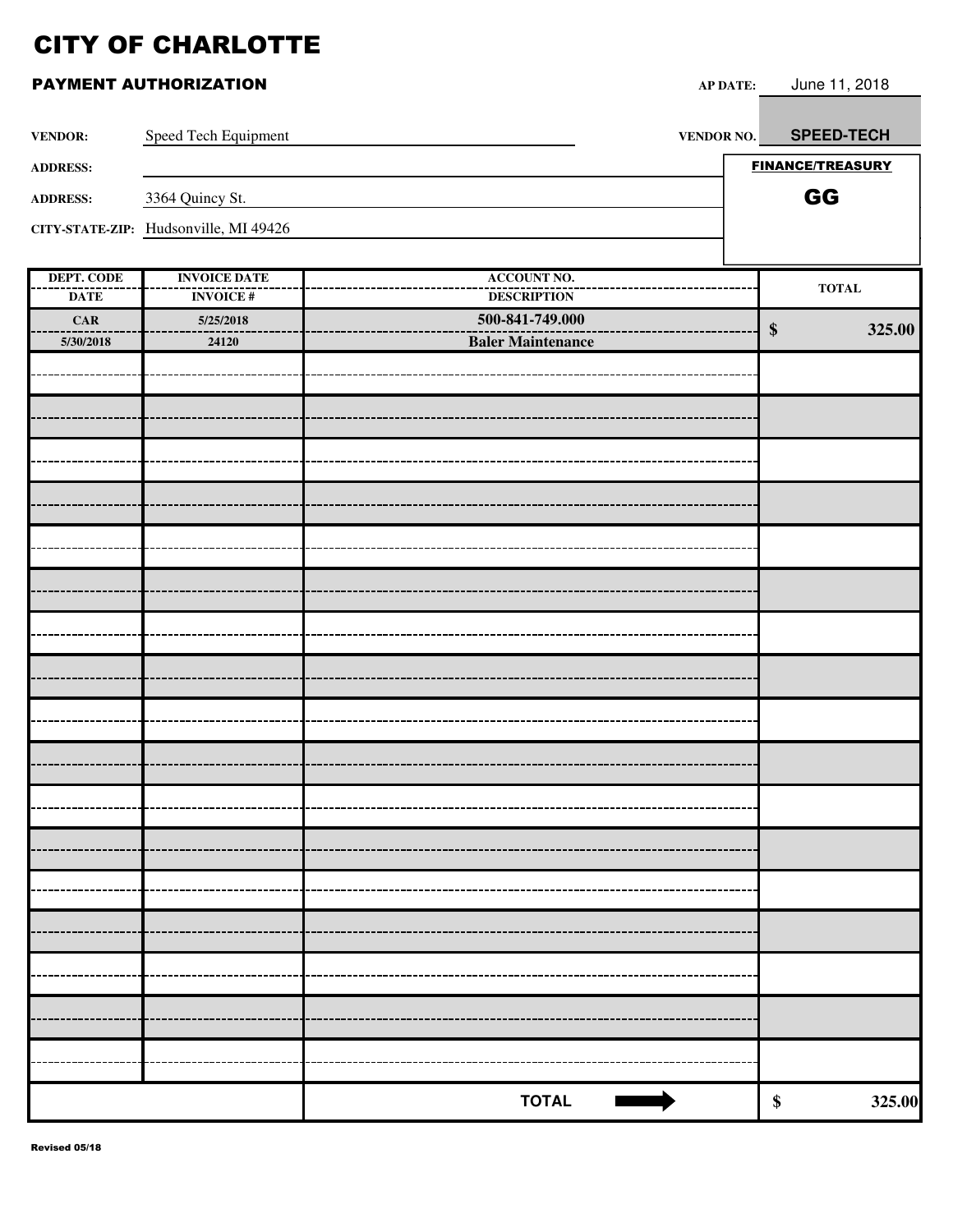|                           | PAYMENT AUTHORIZATION                  | <b>AP DATE:</b>                          | June 11, 2018               |
|---------------------------|----------------------------------------|------------------------------------------|-----------------------------|
| <b>VENDOR:</b>            | Speed Tech Equipment                   | <b>VENDOR NO.</b>                        | <b>SPEED-TECH</b>           |
| <b>ADDRESS:</b>           |                                        |                                          | <b>FINANCE/TREASURY</b>     |
| <b>ADDRESS:</b>           | 3364 Quincy St.                        |                                          | GG                          |
|                           | CITY-STATE-ZIP: Hudsonville, MI 49426  |                                          |                             |
|                           |                                        |                                          |                             |
| DEPT. CODE<br><b>DATE</b> | <b>INVOICE DATE</b><br><b>INVOICE#</b> | <b>ACCOUNT NO.</b><br><b>DESCRIPTION</b> | <b>TOTAL</b>                |
| CAR                       | 5/25/2018                              | 500-841-749.000                          |                             |
| 5/30/2018                 | 24120                                  | <b>Baler Maintenance</b>                 | $\boldsymbol{\$}$<br>325.00 |
|                           |                                        |                                          |                             |
|                           |                                        |                                          |                             |
|                           |                                        |                                          |                             |
|                           |                                        |                                          |                             |
|                           |                                        |                                          |                             |
|                           |                                        |                                          |                             |
|                           |                                        |                                          |                             |
|                           |                                        |                                          |                             |
|                           |                                        |                                          |                             |
|                           |                                        |                                          |                             |
|                           |                                        |                                          |                             |
|                           |                                        |                                          |                             |
|                           |                                        |                                          |                             |
|                           |                                        |                                          |                             |
|                           |                                        |                                          |                             |
|                           |                                        |                                          |                             |
|                           |                                        |                                          |                             |
|                           |                                        |                                          |                             |

**TOTAL 8** 325.00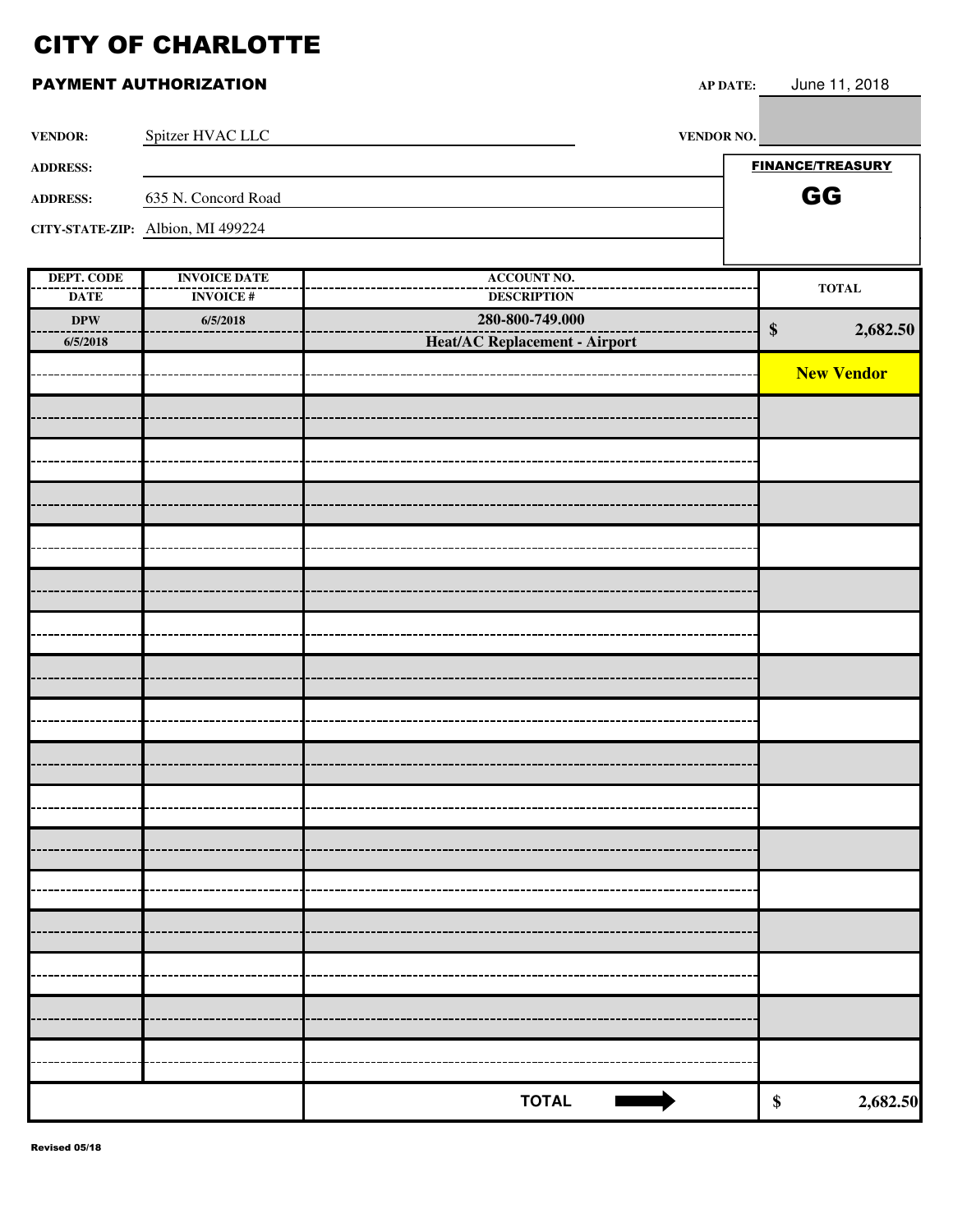### **PAYMENT AUTHORIZATION**

| P DATE: | June 11, 2018 |  |
|---------|---------------|--|
|         |               |  |

| <b>VENDOR:</b>  | Spitzer HVAC LLC                  | <b>VENDOR NO.</b> |                         |
|-----------------|-----------------------------------|-------------------|-------------------------|
| <b>ADDRESS:</b> |                                   |                   | <b>FINANCE/TREASURY</b> |
| <b>ADDRESS:</b> | 635 N. Concord Road               |                   | GG                      |
|                 | CITY-STATE-ZIP: Albion, MI 499224 |                   |                         |
|                 |                                   |                   |                         |

| DEPT. CODE<br><b>ACCOUNT NO.</b><br><b>INVOICE DATE</b><br>$\bf TOTAL$<br><b>INVOICE#</b><br><b>DESCRIPTION</b><br><b>DATE</b><br>280-800-749.000<br>$\bf DPW$<br>6/5/2018<br>$\$\$<br>2,682.50<br>Heat/AC Replacement - Airport<br>6/5/2018<br><b>New Vendor</b><br><b>TOTAL</b><br>\$ |  |  |
|-----------------------------------------------------------------------------------------------------------------------------------------------------------------------------------------------------------------------------------------------------------------------------------------|--|--|
|                                                                                                                                                                                                                                                                                         |  |  |
| 2,682.50                                                                                                                                                                                                                                                                                |  |  |
|                                                                                                                                                                                                                                                                                         |  |  |
|                                                                                                                                                                                                                                                                                         |  |  |
|                                                                                                                                                                                                                                                                                         |  |  |
|                                                                                                                                                                                                                                                                                         |  |  |
|                                                                                                                                                                                                                                                                                         |  |  |
|                                                                                                                                                                                                                                                                                         |  |  |
|                                                                                                                                                                                                                                                                                         |  |  |
|                                                                                                                                                                                                                                                                                         |  |  |
|                                                                                                                                                                                                                                                                                         |  |  |
|                                                                                                                                                                                                                                                                                         |  |  |
|                                                                                                                                                                                                                                                                                         |  |  |
|                                                                                                                                                                                                                                                                                         |  |  |
|                                                                                                                                                                                                                                                                                         |  |  |
|                                                                                                                                                                                                                                                                                         |  |  |
|                                                                                                                                                                                                                                                                                         |  |  |
|                                                                                                                                                                                                                                                                                         |  |  |
|                                                                                                                                                                                                                                                                                         |  |  |
|                                                                                                                                                                                                                                                                                         |  |  |
|                                                                                                                                                                                                                                                                                         |  |  |
|                                                                                                                                                                                                                                                                                         |  |  |
|                                                                                                                                                                                                                                                                                         |  |  |
|                                                                                                                                                                                                                                                                                         |  |  |
|                                                                                                                                                                                                                                                                                         |  |  |
|                                                                                                                                                                                                                                                                                         |  |  |
|                                                                                                                                                                                                                                                                                         |  |  |
|                                                                                                                                                                                                                                                                                         |  |  |
|                                                                                                                                                                                                                                                                                         |  |  |
|                                                                                                                                                                                                                                                                                         |  |  |
|                                                                                                                                                                                                                                                                                         |  |  |
|                                                                                                                                                                                                                                                                                         |  |  |
|                                                                                                                                                                                                                                                                                         |  |  |
|                                                                                                                                                                                                                                                                                         |  |  |
|                                                                                                                                                                                                                                                                                         |  |  |
|                                                                                                                                                                                                                                                                                         |  |  |
|                                                                                                                                                                                                                                                                                         |  |  |
|                                                                                                                                                                                                                                                                                         |  |  |
|                                                                                                                                                                                                                                                                                         |  |  |
|                                                                                                                                                                                                                                                                                         |  |  |
|                                                                                                                                                                                                                                                                                         |  |  |
|                                                                                                                                                                                                                                                                                         |  |  |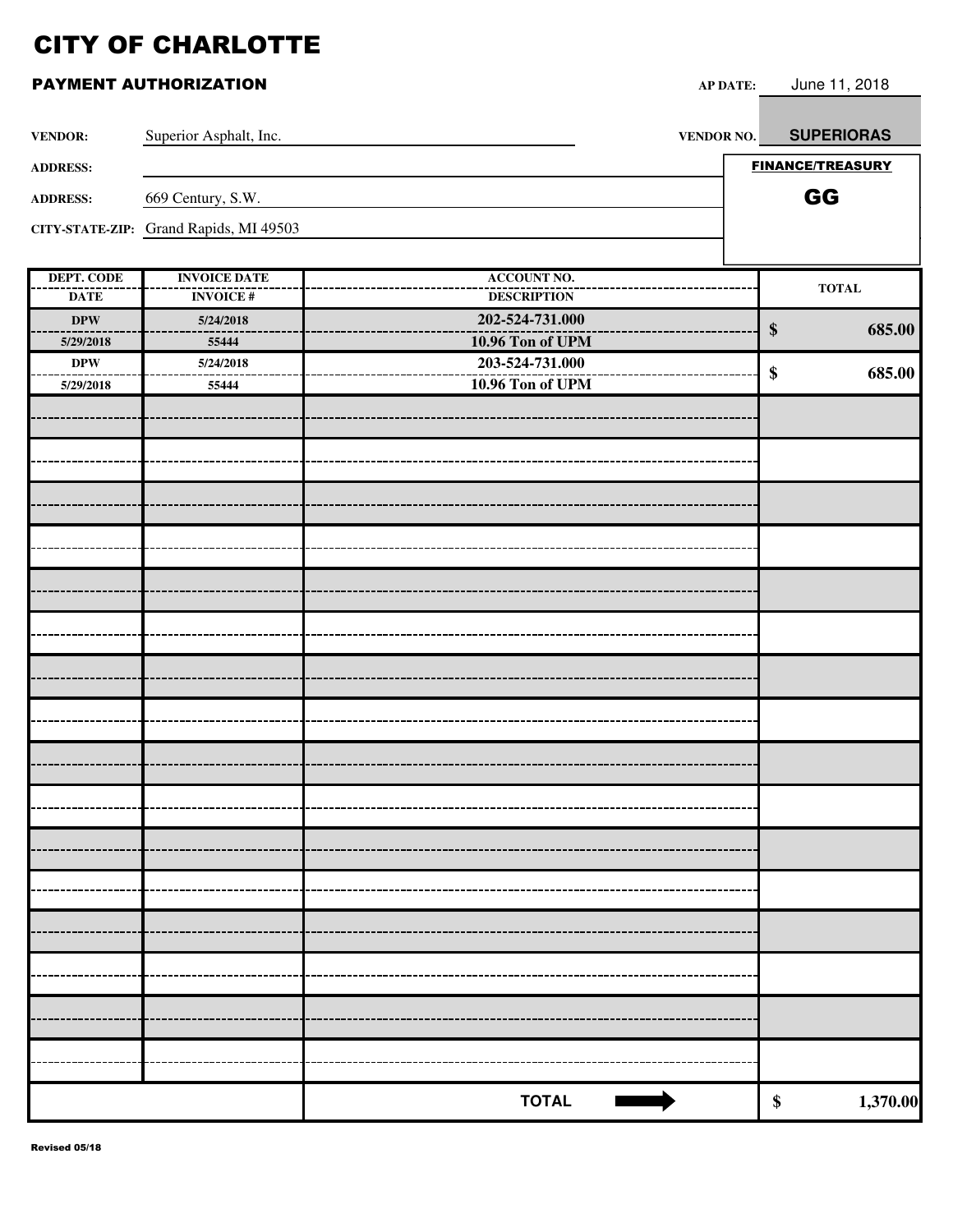| <b>VENDOR:</b>  | Superior Asphalt, Inc.                 | <b>VENDOR NO.</b>                   |                         | <b>SUPERIORAS</b> |
|-----------------|----------------------------------------|-------------------------------------|-------------------------|-------------------|
|                 |                                        |                                     | <b>FINANCE/TREASURY</b> |                   |
| <b>ADDRESS:</b> |                                        |                                     |                         |                   |
| <b>ADDRESS:</b> | 669 Century, S.W.                      |                                     | GG                      |                   |
|                 | CITY-STATE-ZIP: Grand Rapids, MI 49503 |                                     |                         |                   |
|                 |                                        |                                     |                         |                   |
| DEPT. CODE      | <b>INVOICE DATE</b>                    | <b>ACCOUNT NO.</b>                  |                         | <b>TOTAL</b>      |
| <b>DATE</b>     | <b>INVOICE#</b>                        | <b>DESCRIPTION</b>                  |                         |                   |
| <b>DPW</b>      | 5/24/2018                              | 202-524-731.000                     | $\boldsymbol{\$}$       | 685.00            |
| 5/29/2018       | 55444                                  | 10.96 Ton of UPM                    |                         |                   |
| $\bf DPW$       | 5/24/2018                              | 203-524-731.000<br>10.96 Ton of UPM | \$                      | 685.00            |
| 5/29/2018       | 55444                                  |                                     |                         |                   |
|                 |                                        |                                     |                         |                   |
|                 |                                        |                                     |                         |                   |
|                 |                                        |                                     |                         |                   |
|                 |                                        |                                     |                         |                   |
|                 |                                        |                                     |                         |                   |
|                 |                                        |                                     |                         |                   |
|                 |                                        |                                     |                         |                   |
|                 |                                        |                                     |                         |                   |
|                 |                                        |                                     |                         |                   |
|                 |                                        |                                     |                         |                   |
|                 |                                        |                                     |                         |                   |
|                 |                                        |                                     |                         |                   |
|                 |                                        |                                     |                         |                   |
|                 |                                        |                                     |                         |                   |
|                 |                                        |                                     |                         |                   |
|                 |                                        |                                     |                         |                   |
|                 |                                        |                                     |                         |                   |
|                 |                                        |                                     |                         |                   |
|                 |                                        |                                     |                         |                   |
|                 |                                        |                                     |                         |                   |
|                 |                                        |                                     |                         |                   |
|                 |                                        |                                     |                         |                   |
|                 |                                        |                                     |                         |                   |
|                 |                                        |                                     |                         |                   |
|                 |                                        |                                     |                         |                   |
|                 |                                        |                                     |                         |                   |
|                 |                                        |                                     |                         |                   |
|                 |                                        |                                     |                         |                   |
|                 |                                        |                                     |                         |                   |
|                 |                                        | <b>TOTAL</b>                        | \$                      | 1,370.00          |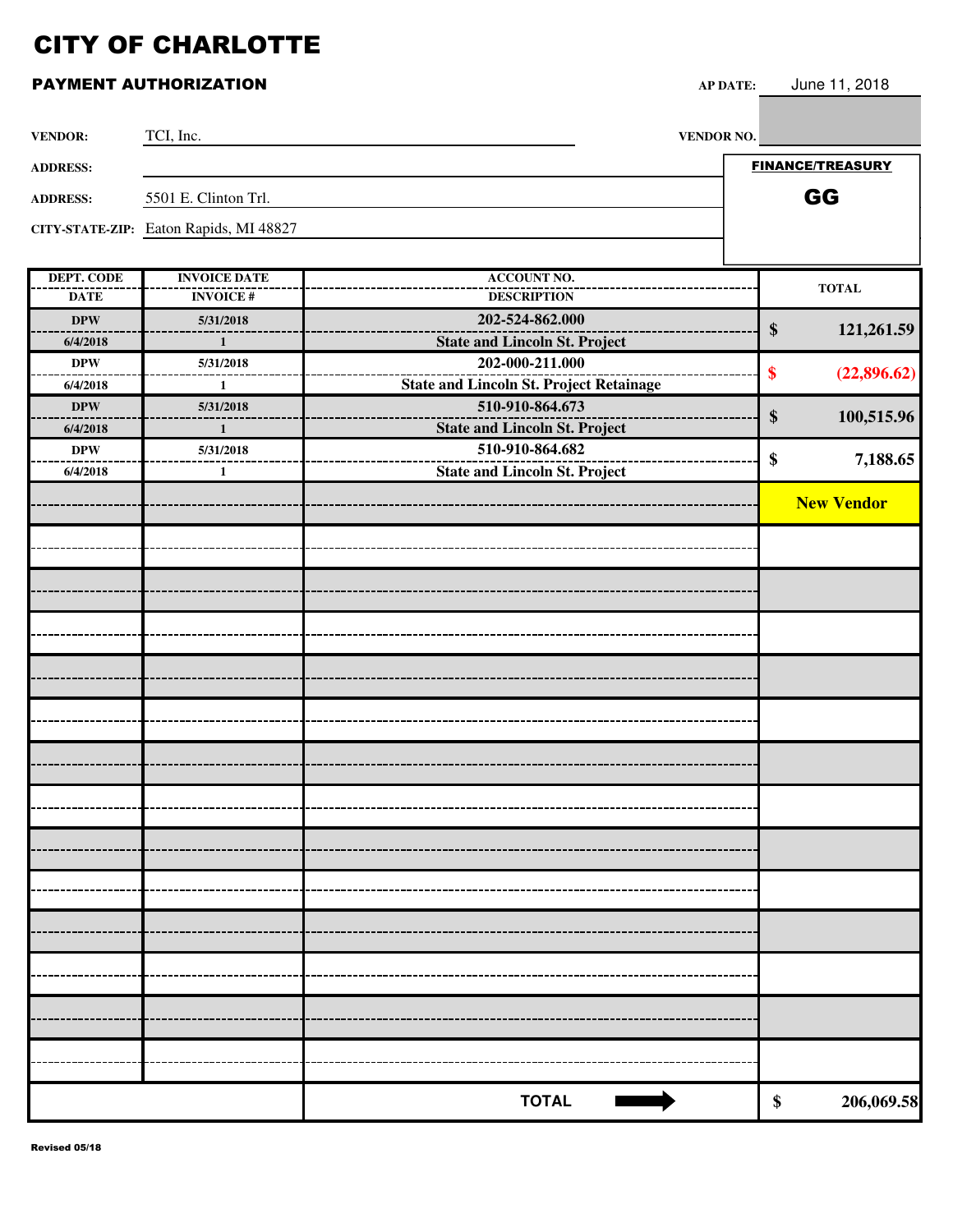| <b>VENDOR:</b>         | TCI, Inc.                              | VENDOR NO.                                                        |                         |
|------------------------|----------------------------------------|-------------------------------------------------------------------|-------------------------|
| <b>ADDRESS:</b>        |                                        |                                                                   | <b>FINANCE/TREASURY</b> |
| <b>ADDRESS:</b>        | 5501 E. Clinton Trl.                   |                                                                   | GG                      |
|                        | CITY-STATE-ZIP: Eaton Rapids, MI 48827 |                                                                   |                         |
|                        |                                        |                                                                   |                         |
| <b>DEPT. CODE</b>      | <b>INVOICE DATE</b>                    | <b>ACCOUNT NO.</b>                                                | <b>TOTAL</b>            |
| <b>DATE</b>            | <b>INVOICE#</b>                        | <b>DESCRIPTION</b>                                                |                         |
| <b>DPW</b>             | 5/31/2018                              | 202-524-862.000                                                   | 121,261.59<br>$\$\$     |
| 6/4/2018               | $\mathbf{1}$                           | <b>State and Lincoln St. Project</b>                              |                         |
| <b>DPW</b>             | 5/31/2018                              | 202-000-211.000                                                   | \$<br>(22,896.62)       |
| 6/4/2018<br><b>DPW</b> | $\mathbf{1}$<br>5/31/2018              | <b>State and Lincoln St. Project Retainage</b><br>510-910-864.673 |                         |
| 6/4/2018               | $\mathbf{1}$                           | <b>State and Lincoln St. Project</b>                              | \$<br>100,515.96        |
| <b>DPW</b>             | 5/31/2018                              | 510-910-864.682                                                   |                         |
| 6/4/2018               | $\mathbf{1}$                           | <b>State and Lincoln St. Project</b>                              | \$<br>7,188.65          |
|                        |                                        |                                                                   | <b>New Vendor</b>       |
|                        |                                        |                                                                   |                         |
|                        |                                        |                                                                   |                         |
|                        |                                        |                                                                   |                         |
|                        |                                        |                                                                   |                         |
|                        |                                        |                                                                   |                         |
|                        |                                        |                                                                   |                         |
|                        |                                        |                                                                   |                         |
|                        |                                        |                                                                   |                         |
|                        |                                        |                                                                   |                         |
|                        |                                        |                                                                   |                         |
|                        |                                        |                                                                   |                         |
|                        |                                        |                                                                   |                         |
|                        |                                        |                                                                   |                         |
|                        |                                        |                                                                   |                         |
|                        |                                        |                                                                   |                         |
|                        |                                        |                                                                   |                         |
|                        |                                        |                                                                   |                         |
|                        |                                        |                                                                   |                         |
|                        |                                        |                                                                   |                         |
|                        |                                        |                                                                   |                         |
|                        |                                        |                                                                   |                         |
|                        |                                        |                                                                   |                         |
|                        |                                        |                                                                   |                         |
|                        |                                        |                                                                   |                         |
|                        |                                        | <b>TOTAL</b>                                                      | 206,069.58<br>\$        |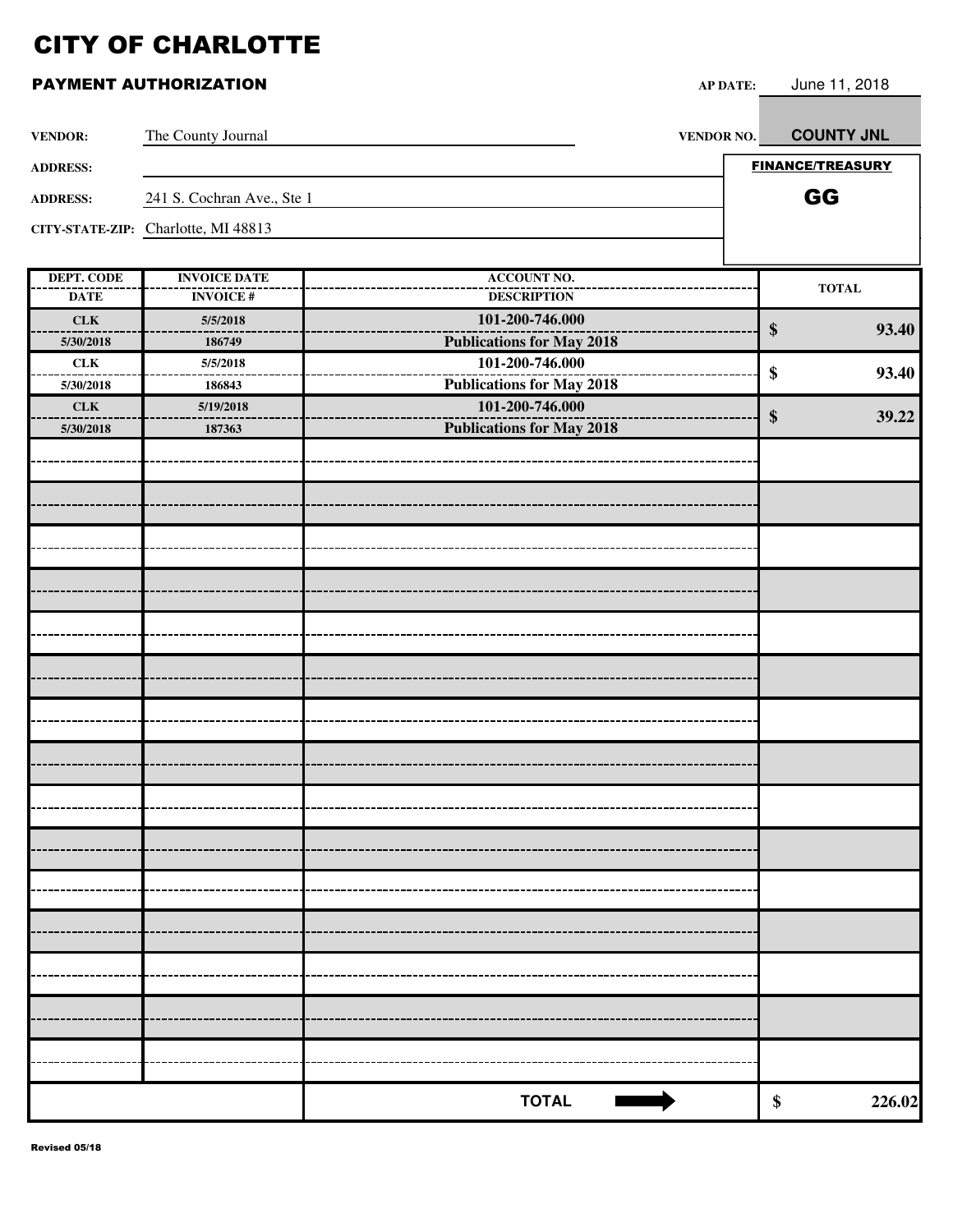| <b>VENDOR:</b>    | The County Journal                  |                                  | VENDOR NO. | <b>COUNTY JNL</b>       |
|-------------------|-------------------------------------|----------------------------------|------------|-------------------------|
| <b>ADDRESS:</b>   |                                     |                                  |            | <b>FINANCE/TREASURY</b> |
| <b>ADDRESS:</b>   | 241 S. Cochran Ave., Ste 1          |                                  |            | GG                      |
|                   | CITY-STATE-ZIP: Charlotte, MI 48813 |                                  |            |                         |
|                   |                                     |                                  |            |                         |
| <b>DEPT. CODE</b> | <b>INVOICE DATE</b>                 | <b>ACCOUNT NO.</b>               |            |                         |
| <b>DATE</b>       | <b>INVOICE#</b>                     | <b>DESCRIPTION</b>               |            | <b>TOTAL</b>            |
| CLK               | 5/5/2018                            | 101-200-746.000                  |            | 93.40<br>\$             |
| 5/30/2018         | 186749                              | <b>Publications for May 2018</b> |            |                         |
| ${\rm \bf CLK}$   | 5/5/2018                            | 101-200-746.000                  |            | \$<br>93.40             |
| 5/30/2018         | 186843                              | <b>Publications for May 2018</b> |            |                         |
| CLK               | 5/19/2018                           | 101-200-746.000                  |            | \$<br>39.22             |
| 5/30/2018         | 187363                              | <b>Publications for May 2018</b> |            |                         |
|                   |                                     |                                  |            |                         |
|                   |                                     |                                  |            |                         |
|                   |                                     |                                  |            |                         |
|                   |                                     |                                  |            |                         |
|                   |                                     |                                  |            |                         |
|                   |                                     |                                  |            |                         |
|                   |                                     |                                  |            |                         |
|                   |                                     |                                  |            |                         |
|                   |                                     |                                  |            |                         |
|                   |                                     |                                  |            |                         |
|                   |                                     |                                  |            |                         |
|                   |                                     |                                  |            |                         |
|                   |                                     |                                  |            |                         |
|                   |                                     |                                  |            |                         |
|                   |                                     |                                  |            |                         |
|                   |                                     |                                  |            |                         |
|                   |                                     |                                  |            |                         |
|                   |                                     |                                  |            |                         |
|                   |                                     |                                  |            |                         |
|                   |                                     |                                  |            |                         |
|                   |                                     |                                  |            |                         |
|                   |                                     |                                  |            |                         |
|                   |                                     |                                  |            |                         |
|                   |                                     |                                  |            |                         |
|                   |                                     |                                  |            |                         |
|                   |                                     |                                  |            |                         |
|                   |                                     |                                  |            |                         |
|                   |                                     |                                  |            |                         |
|                   |                                     |                                  |            |                         |
|                   |                                     | <b>TOTAL</b>                     |            | 226.02<br>\$            |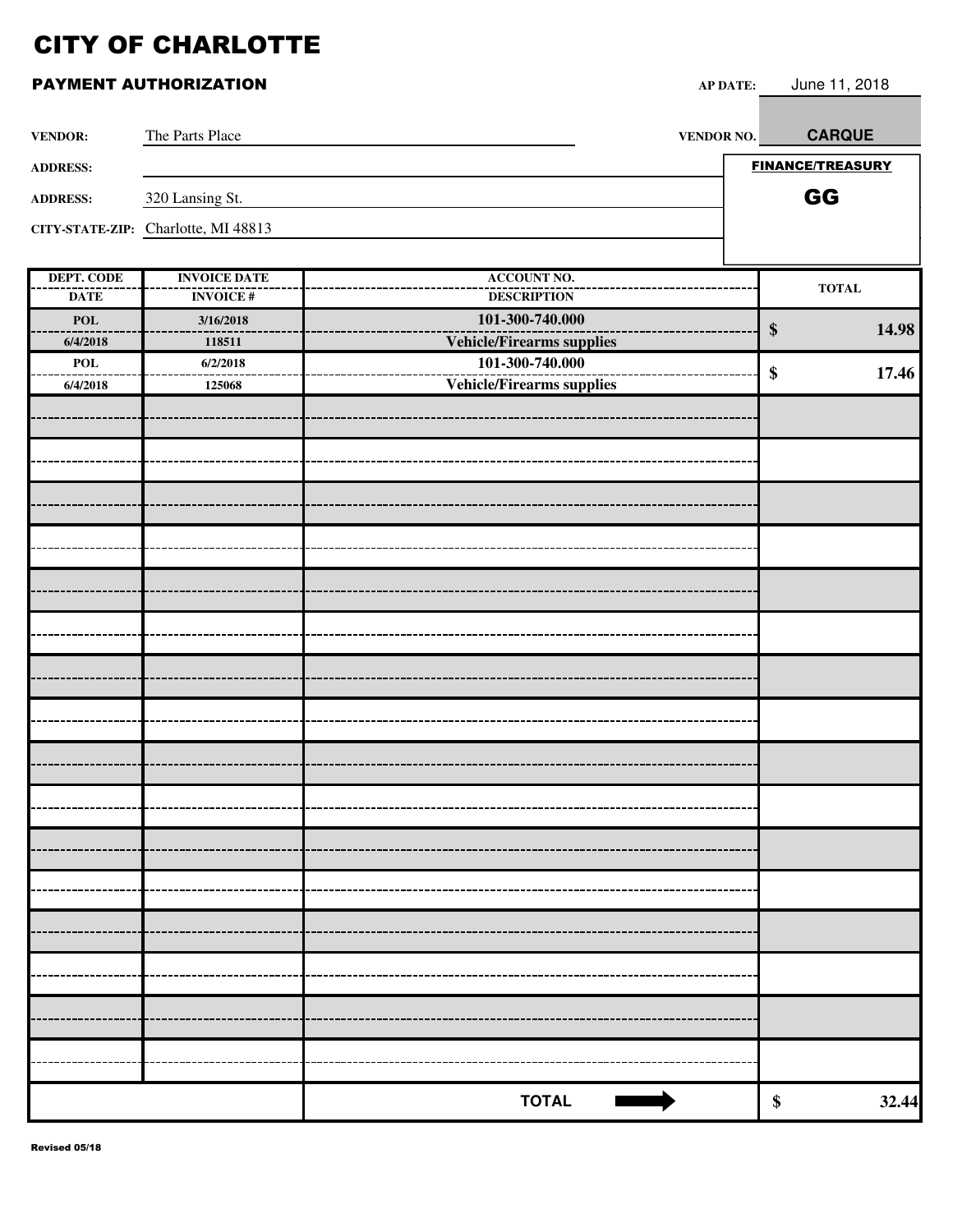| <b>VENDOR:</b>  | The Parts Place                     | VENDOR NO.                       | <b>CARQUE</b>              |
|-----------------|-------------------------------------|----------------------------------|----------------------------|
| <b>ADDRESS:</b> |                                     |                                  | <b>FINANCE/TREASURY</b>    |
| <b>ADDRESS:</b> | 320 Lansing St.                     |                                  | GG                         |
|                 | CITY-STATE-ZIP: Charlotte, MI 48813 |                                  |                            |
|                 |                                     |                                  |                            |
| DEPT. CODE      | <b>INVOICE DATE</b>                 | <b>ACCOUNT NO.</b>               | $\bf TOTAL$                |
| <b>DATE</b>     | <b>INVOICE#</b>                     | <b>DESCRIPTION</b>               |                            |
| <b>POL</b>      | 3/16/2018                           | 101-300-740.000                  | $\boldsymbol{\$}$<br>14.98 |
| 6/4/2018        | 118511                              | <b>Vehicle/Firearms supplies</b> |                            |
| POL             | 6/2/2018                            | 101-300-740.000                  | 17.46<br>\$                |
| 6/4/2018        | 125068                              | <b>Vehicle/Firearms supplies</b> |                            |
|                 |                                     |                                  |                            |
|                 |                                     |                                  |                            |
|                 |                                     |                                  |                            |
|                 |                                     |                                  |                            |
|                 |                                     |                                  |                            |
|                 |                                     |                                  |                            |
|                 |                                     |                                  |                            |
|                 |                                     |                                  |                            |
|                 |                                     |                                  |                            |
|                 |                                     |                                  |                            |
|                 |                                     |                                  |                            |
|                 |                                     |                                  |                            |
|                 |                                     |                                  |                            |
|                 |                                     |                                  |                            |
|                 |                                     |                                  |                            |
|                 |                                     |                                  |                            |
|                 |                                     |                                  |                            |
|                 |                                     |                                  |                            |
|                 |                                     | <b>TOTAL</b>                     | 32.44<br>\$                |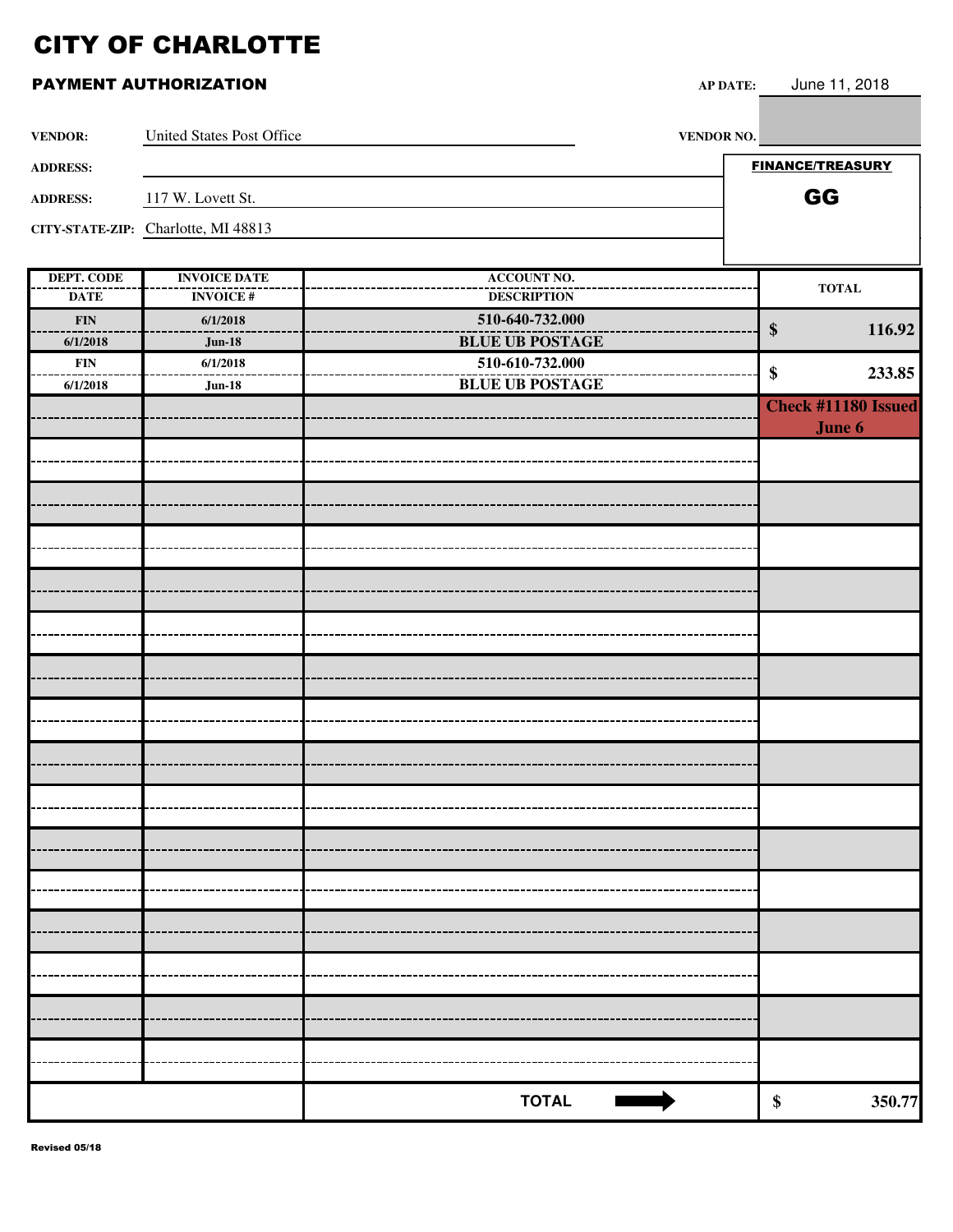### **PAYMENT AUTHORIZATION AP**

| June 11, 2018<br>' DATE: |
|--------------------------|
|--------------------------|

| <b>VENDOR:</b>            | <b>United States Post Office</b>       | VENDOR NO.                               |                             |
|---------------------------|----------------------------------------|------------------------------------------|-----------------------------|
| <b>ADDRESS:</b>           |                                        |                                          | <b>FINANCE/TREASURY</b>     |
|                           |                                        |                                          | GG                          |
| <b>ADDRESS:</b>           | 117 W. Lovett St.                      |                                          |                             |
|                           | CITY-STATE-ZIP: Charlotte, MI 48813    |                                          |                             |
|                           |                                        |                                          |                             |
| DEPT. CODE<br><b>DATE</b> | <b>INVOICE DATE</b><br><b>INVOICE#</b> | <b>ACCOUNT NO.</b><br><b>DESCRIPTION</b> | <b>TOTAL</b>                |
| <b>FIN</b>                | 6/1/2018                               | 510-640-732.000                          |                             |
| 6/1/2018                  | <b>Jun-18</b>                          | <b>BLUE UB POSTAGE</b>                   | 116.92<br>$\boldsymbol{\$}$ |
| <b>FIN</b>                | 6/1/2018                               | 510-610-732.000                          |                             |
| 6/1/2018                  | <b>Jun-18</b>                          | <b>BLUE UB POSTAGE</b>                   | \$<br>233.85                |
|                           |                                        |                                          | <b>Check #11180 Issued</b>  |
|                           |                                        |                                          | June 6                      |
|                           |                                        |                                          |                             |
|                           |                                        |                                          |                             |
|                           |                                        |                                          |                             |
|                           |                                        |                                          |                             |
|                           |                                        |                                          |                             |
|                           |                                        |                                          |                             |
|                           |                                        |                                          |                             |
|                           |                                        |                                          |                             |
|                           |                                        |                                          |                             |
|                           |                                        |                                          |                             |
|                           |                                        |                                          |                             |
|                           |                                        |                                          |                             |
|                           |                                        |                                          |                             |
|                           |                                        |                                          |                             |
|                           |                                        |                                          |                             |
|                           |                                        |                                          |                             |
|                           |                                        |                                          |                             |
|                           |                                        |                                          |                             |
|                           |                                        |                                          |                             |
|                           |                                        |                                          |                             |
|                           |                                        |                                          |                             |
|                           |                                        |                                          |                             |
|                           |                                        |                                          |                             |
|                           |                                        |                                          |                             |
|                           |                                        |                                          |                             |
|                           |                                        |                                          |                             |
|                           |                                        |                                          |                             |
|                           |                                        | <b>TOTAL</b>                             | 350.77<br>\$                |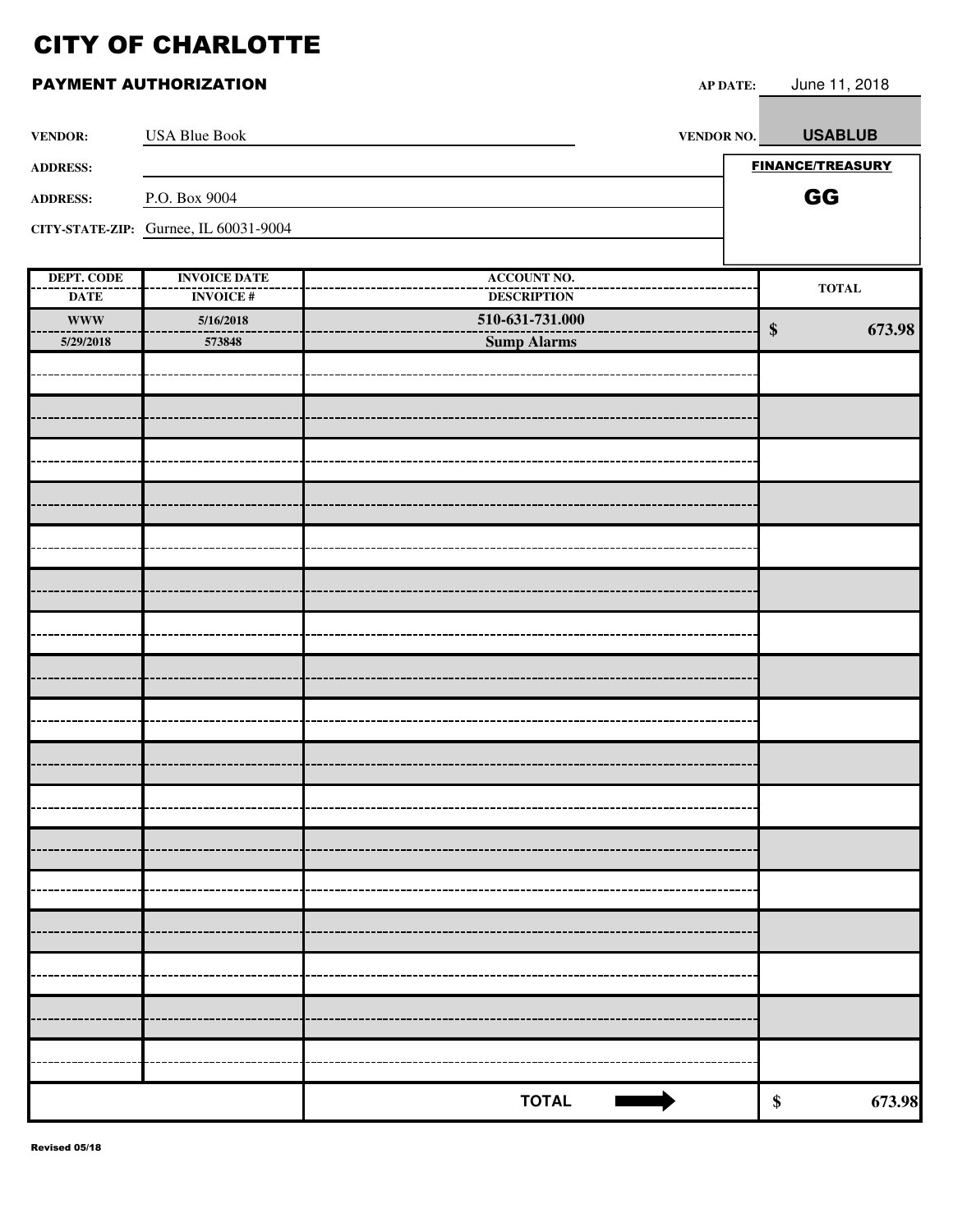|                                  | PAYMENT AUTHORIZATION                  | <b>AP DATE:</b>                          | June 11, 2018               |
|----------------------------------|----------------------------------------|------------------------------------------|-----------------------------|
| <b>VENDOR:</b>                   | <b>USA Blue Book</b>                   | VENDOR NO.                               | <b>USABLUB</b>              |
| <b>ADDRESS:</b>                  |                                        |                                          | <b>FINANCE/TREASURY</b>     |
| <b>ADDRESS:</b>                  | P.O. Box 9004                          |                                          | GG                          |
|                                  | CITY-STATE-ZIP: Gurnee, IL 60031-9004  |                                          |                             |
| <b>DEPT. CODE</b><br><b>DATE</b> | <b>INVOICE DATE</b><br><b>INVOICE#</b> | <b>ACCOUNT NO.</b><br><b>DESCRIPTION</b> | <b>TOTAL</b>                |
| <b>WWW</b><br>5/29/2018          | 5/16/2018<br>573848                    | 510-631-731.000<br><b>Sump Alarms</b>    | 673.98<br>$\boldsymbol{\$}$ |
|                                  |                                        |                                          |                             |
|                                  |                                        |                                          |                             |
|                                  |                                        |                                          |                             |
|                                  |                                        |                                          |                             |
|                                  |                                        |                                          |                             |
|                                  |                                        |                                          |                             |
|                                  |                                        |                                          |                             |
|                                  |                                        |                                          |                             |
|                                  |                                        |                                          |                             |
|                                  |                                        |                                          |                             |
|                                  |                                        |                                          |                             |
|                                  |                                        |                                          |                             |
|                                  |                                        |                                          |                             |
|                                  |                                        |                                          |                             |
|                                  |                                        |                                          |                             |
|                                  |                                        |                                          |                             |
|                                  |                                        |                                          |                             |
|                                  |                                        |                                          |                             |
|                                  |                                        |                                          |                             |
|                                  |                                        | <b>TOTAL</b>                             | \$<br>673.98                |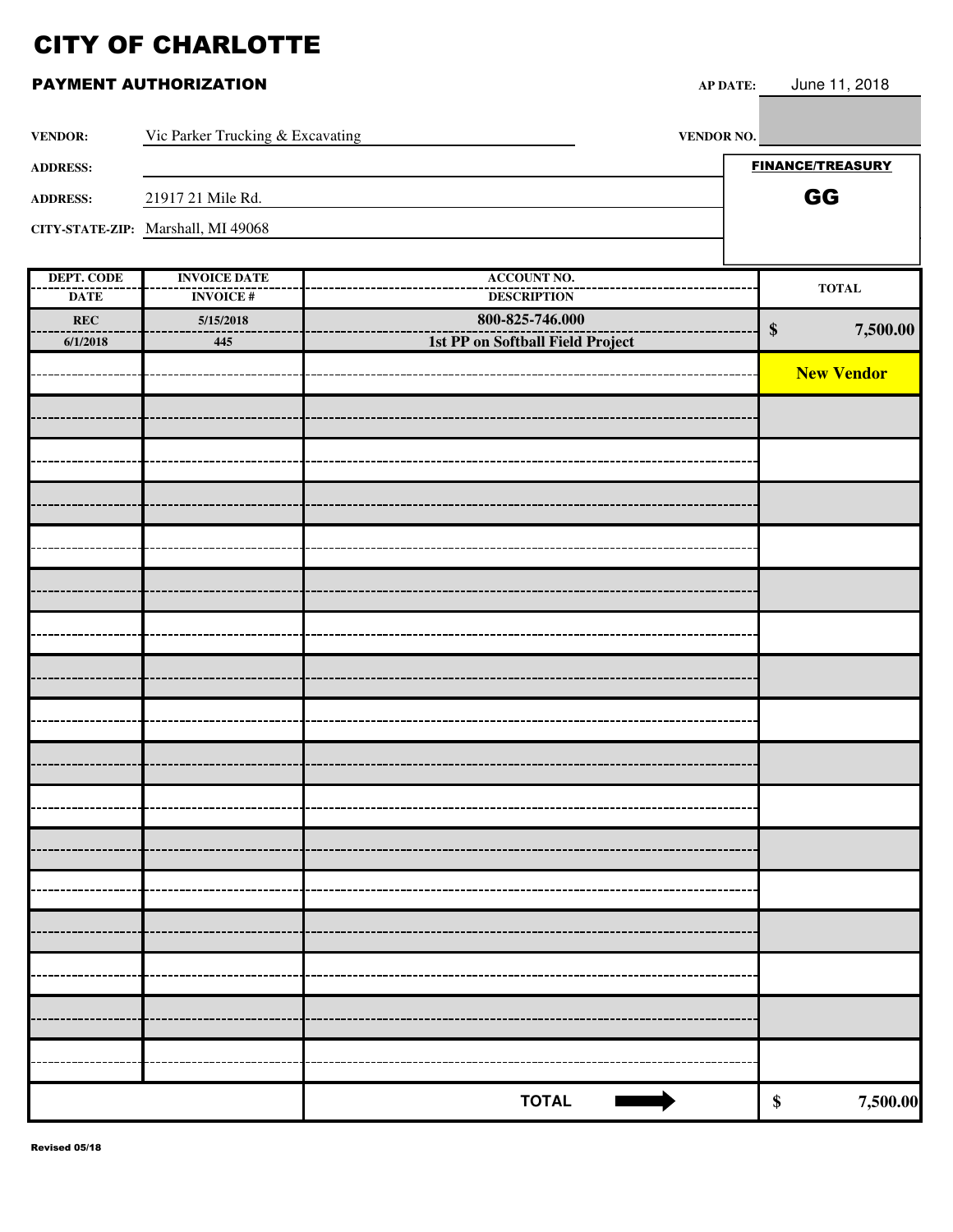### **PAYMENT AUTHORIZATION AP**:

|  | DATE: | June 11, 2018 |  |
|--|-------|---------------|--|
|--|-------|---------------|--|

г

| <b>VENDOR:</b>     | Vic Parker Trucking & Excavating   | VENDOR NO.                            |                         |                   |
|--------------------|------------------------------------|---------------------------------------|-------------------------|-------------------|
| <b>ADDRESS:</b>    |                                    |                                       | <b>FINANCE/TREASURY</b> |                   |
| <b>ADDRESS:</b>    | 21917 21 Mile Rd.                  |                                       | GG                      |                   |
|                    | CITY-STATE-ZIP: Marshall, MI 49068 |                                       |                         |                   |
|                    |                                    |                                       |                         |                   |
| <b>DEPT. CODE</b>  | <b>INVOICE DATE</b>                | <b>ACCOUNT NO.</b>                    |                         | <b>TOTAL</b>      |
| <b>DATE</b><br>REC | <b>INVOICE#</b><br>5/15/2018       | <b>DESCRIPTION</b><br>800-825-746.000 |                         |                   |
| 6/1/2018           | 445                                | 1st PP on Softball Field Project      | $\boldsymbol{\$}$       | 7,500.00          |
|                    |                                    |                                       |                         | <b>New Vendor</b> |
|                    |                                    |                                       |                         |                   |
|                    |                                    |                                       |                         |                   |
|                    |                                    |                                       |                         |                   |
|                    |                                    |                                       |                         |                   |
|                    |                                    |                                       |                         |                   |
|                    |                                    |                                       |                         |                   |
|                    |                                    |                                       |                         |                   |
|                    |                                    |                                       |                         |                   |
|                    |                                    |                                       |                         |                   |
|                    |                                    |                                       |                         |                   |
|                    |                                    |                                       |                         |                   |
|                    |                                    |                                       |                         |                   |
|                    |                                    |                                       |                         |                   |
|                    |                                    |                                       |                         |                   |
|                    |                                    |                                       |                         |                   |
|                    |                                    |                                       |                         |                   |
|                    |                                    |                                       |                         |                   |
|                    |                                    |                                       |                         |                   |
|                    |                                    |                                       |                         |                   |
|                    |                                    |                                       |                         |                   |
|                    |                                    |                                       |                         |                   |
|                    |                                    |                                       |                         |                   |
|                    |                                    |                                       |                         |                   |
|                    |                                    |                                       |                         |                   |
|                    |                                    |                                       |                         |                   |
|                    |                                    |                                       |                         |                   |
|                    |                                    | <b>TOTAL</b>                          | \$                      | 7,500.00          |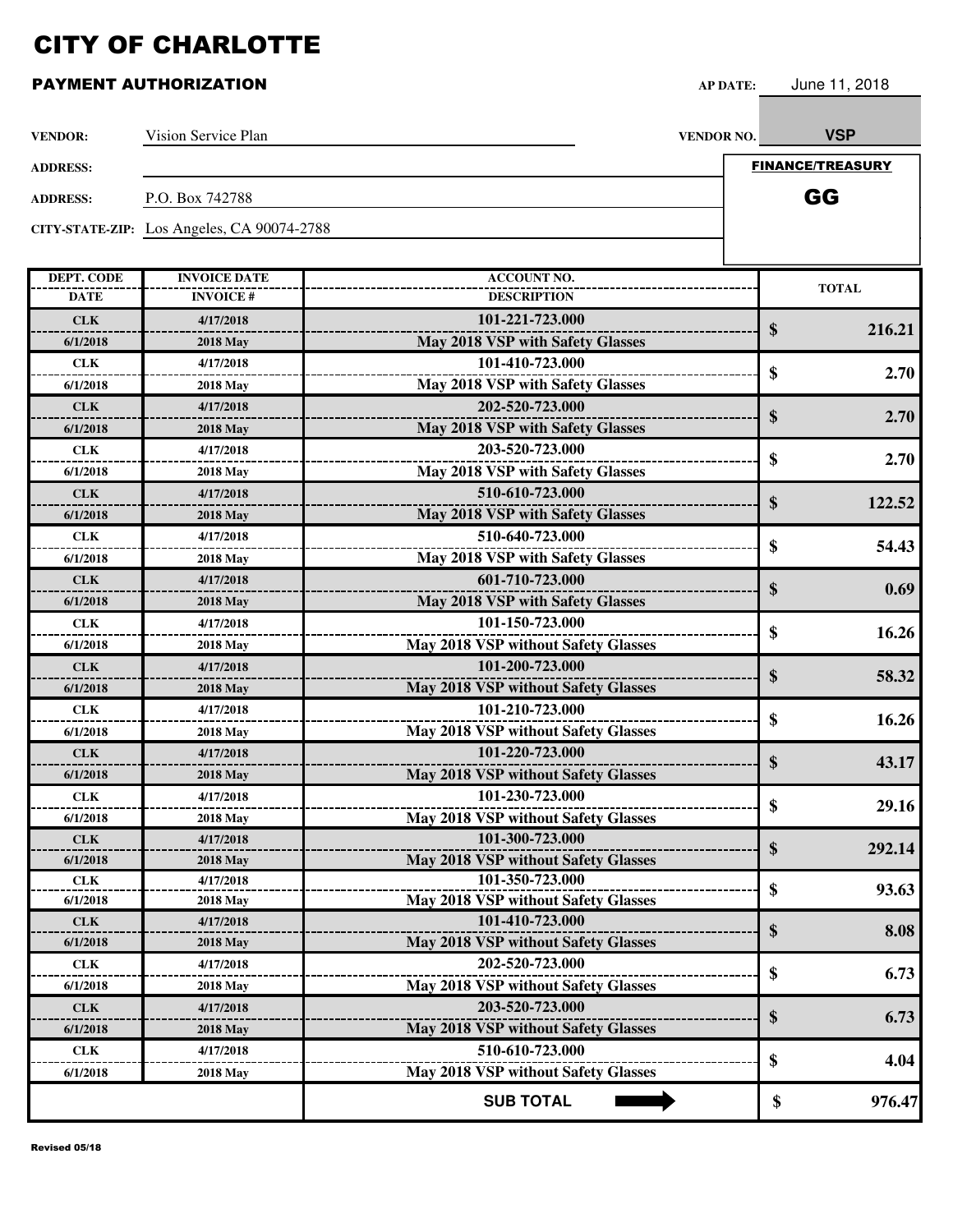| <b>VENDOR:</b>    | Vision Service Plan                        |                                            | VENDOR NO. | <b>VSP</b>              |
|-------------------|--------------------------------------------|--------------------------------------------|------------|-------------------------|
| <b>ADDRESS:</b>   |                                            |                                            |            | <b>FINANCE/TREASURY</b> |
| <b>ADDRESS:</b>   | P.O. Box 742788                            |                                            |            | GG                      |
|                   |                                            |                                            |            |                         |
|                   | CITY-STATE-ZIP: Los Angeles, CA 90074-2788 |                                            |            |                         |
|                   |                                            |                                            |            |                         |
| <b>DEPT. CODE</b> | <b>INVOICE DATE</b>                        | <b>ACCOUNT NO.</b>                         |            | <b>TOTAL</b>            |
| <b>DATE</b>       | <b>INVOICE#</b>                            | <b>DESCRIPTION</b>                         |            |                         |
| <b>CLK</b>        | 4/17/2018                                  | 101-221-723.000                            |            | \$<br>216.21            |
| 6/1/2018          | <b>2018 May</b>                            | May 2018 VSP with Safety Glasses           |            |                         |
| <b>CLK</b>        | 4/17/2018                                  | 101-410-723.000                            |            | \$<br>2.70              |
| 6/1/2018          | <b>2018 May</b>                            | May 2018 VSP with Safety Glasses           |            |                         |
| <b>CLK</b>        | 4/17/2018                                  | 202-520-723.000                            |            | \$<br>2.70              |
| 6/1/2018          | <b>2018 May</b>                            | May 2018 VSP with Safety Glasses           |            |                         |
| <b>CLK</b>        | 4/17/2018                                  | 203-520-723.000                            |            |                         |
| 6/1/2018          | <b>2018 May</b>                            | May 2018 VSP with Safety Glasses           |            | \$<br>2.70              |
| <b>CLK</b>        | 4/17/2018                                  | 510-610-723.000                            |            |                         |
| 6/1/2018          | <b>2018 May</b>                            | May 2018 VSP with Safety Glasses           |            | \$<br>122.52            |
| <b>CLK</b>        | 4/17/2018                                  | 510-640-723.000                            |            |                         |
| 6/1/2018          | <b>2018 May</b>                            | May 2018 VSP with Safety Glasses           |            | \$<br>54.43             |
| <b>CLK</b>        | 4/17/2018                                  | 601-710-723.000                            |            |                         |
| 6/1/2018          | <b>2018 May</b>                            | May 2018 VSP with Safety Glasses           |            | \$<br>0.69              |
| <b>CLK</b>        | 4/17/2018                                  | 101-150-723.000                            |            |                         |
| 6/1/2018          | <b>2018 May</b>                            | <b>May 2018 VSP without Safety Glasses</b> |            | \$<br>16.26             |
| <b>CLK</b>        | 4/17/2018                                  | 101-200-723.000                            |            |                         |
| 6/1/2018          | <b>2018 May</b>                            | May 2018 VSP without Safety Glasses        |            | \$<br>58.32             |
| <b>CLK</b>        | 4/17/2018                                  | 101-210-723.000                            |            |                         |
| 6/1/2018          | <b>2018 May</b>                            | <b>May 2018 VSP without Safety Glasses</b> |            | \$<br>16.26             |
| <b>CLK</b>        | 4/17/2018                                  | 101-220-723.000                            |            |                         |
| 6/1/2018          | <b>2018 May</b>                            | May 2018 VSP without Safety Glasses        |            | \$<br>43.17             |
| <b>CLK</b>        | 4/17/2018                                  | 101-230-723.000                            |            |                         |
| 6/1/2018          | <b>2018 May</b>                            | May 2018 VSP without Safety Glasses        |            | 29.16<br>\$             |
| <b>CLK</b>        | 4/17/2018                                  | 101-300-723.000                            |            |                         |
| 6/1/2018          | <b>2018 May</b>                            | <b>May 2018 VSP without Safety Glasses</b> |            | \$<br>292.14            |
| <b>CLK</b>        | 4/17/2018                                  | 101-350-723.000                            |            |                         |
| 6/1/2018          | <b>2018 May</b>                            | <b>May 2018 VSP without Safety Glasses</b> |            | \$<br>93.63             |
| <b>CLK</b>        | 4/17/2018                                  | 101-410-723.000                            |            |                         |
| 6/1/2018          | <b>2018 May</b>                            | <b>May 2018 VSP without Safety Glasses</b> |            | \$<br>8.08              |
| <b>CLK</b>        | 4/17/2018                                  | 202-520-723.000                            |            |                         |
| 6/1/2018          | <b>2018 May</b>                            | <b>May 2018 VSP without Safety Glasses</b> |            | \$<br>6.73              |
| <b>CLK</b>        | 4/17/2018                                  | 203-520-723.000                            |            |                         |
| 6/1/2018          | <b>2018 May</b>                            | <b>May 2018 VSP without Safety Glasses</b> |            | \$<br>6.73              |
| <b>CLK</b>        | 4/17/2018                                  | 510-610-723.000                            |            |                         |
| 6/1/2018          | <b>2018 May</b>                            | May 2018 VSP without Safety Glasses        |            | \$<br>4.04              |
|                   |                                            | <b>SUB TOTAL</b>                           |            | 976.47                  |
|                   |                                            |                                            |            | \$                      |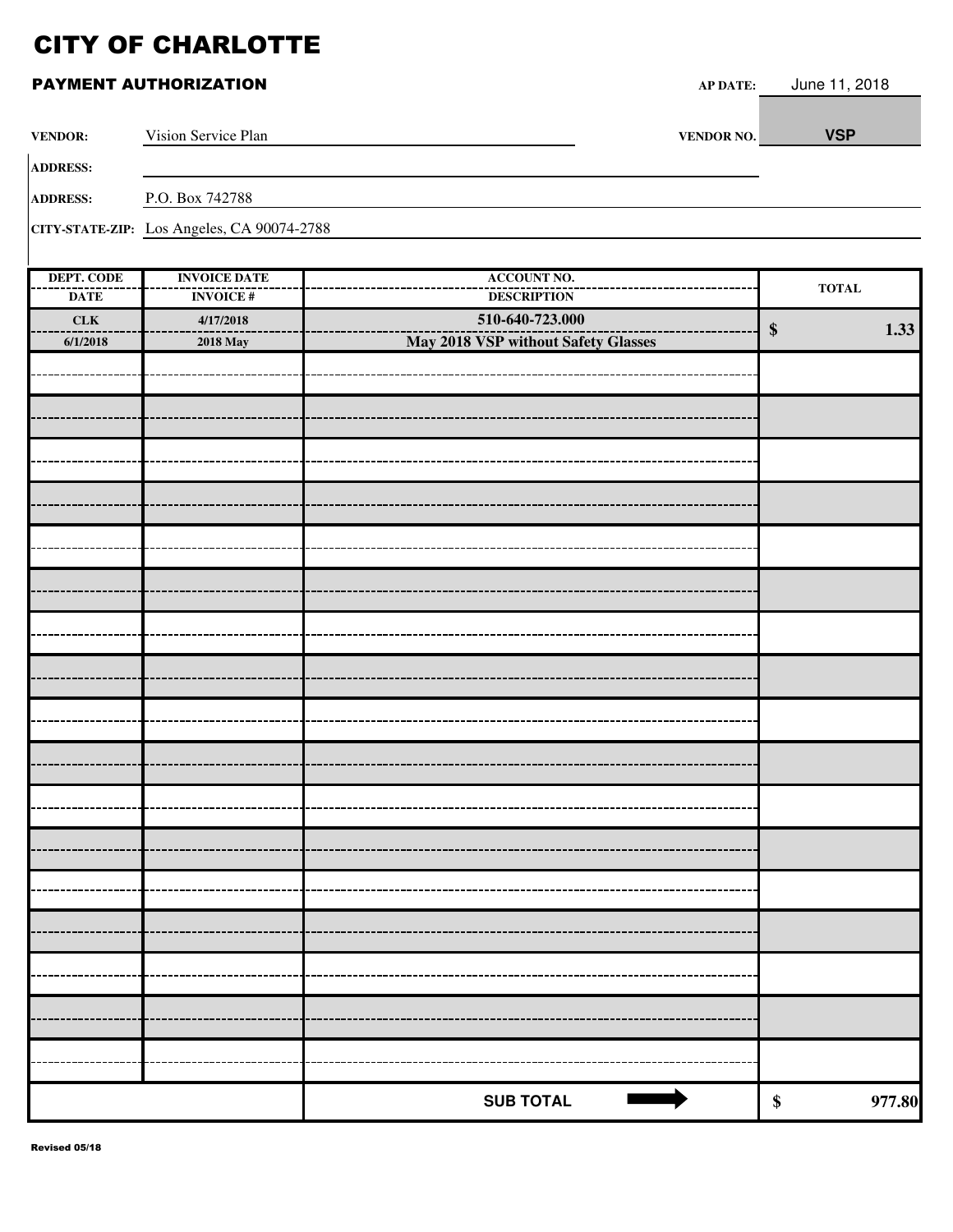| <b>VENDOR:</b>                   | Vision Service Plan                        | VENDOR NO.                               | <b>VSP</b>                      |
|----------------------------------|--------------------------------------------|------------------------------------------|---------------------------------|
| <b>ADDRESS:</b>                  |                                            |                                          |                                 |
| <b>ADDRESS:</b>                  | P.O. Box 742788                            |                                          |                                 |
|                                  | CITY-STATE-ZIP: Los Angeles, CA 90074-2788 |                                          |                                 |
|                                  |                                            |                                          |                                 |
| <b>DEPT. CODE</b><br><b>DATE</b> | <b>INVOICE DATE</b><br><b>INVOICE#</b>     | <b>ACCOUNT NO.</b><br><b>DESCRIPTION</b> | $\operatorname{\mathbf{TOTAL}}$ |
| ${\bf C L K}$                    | 4/17/2018                                  | 510-640-723.000                          |                                 |
| 6/1/2018                         | <b>2018 May</b>                            | May 2018 VSP without Safety Glasses      | 1.33<br>$\boldsymbol{\$}$       |
|                                  |                                            |                                          |                                 |
|                                  |                                            |                                          |                                 |
|                                  |                                            |                                          |                                 |
|                                  |                                            |                                          |                                 |
|                                  |                                            |                                          |                                 |
|                                  |                                            |                                          |                                 |
|                                  |                                            |                                          |                                 |
|                                  |                                            |                                          |                                 |
|                                  |                                            |                                          |                                 |
|                                  |                                            |                                          |                                 |
|                                  |                                            |                                          |                                 |
|                                  |                                            |                                          |                                 |
|                                  |                                            |                                          |                                 |
|                                  |                                            |                                          |                                 |
|                                  |                                            |                                          |                                 |
|                                  |                                            |                                          |                                 |
|                                  |                                            |                                          |                                 |
|                                  |                                            |                                          |                                 |
|                                  |                                            |                                          |                                 |
|                                  |                                            |                                          |                                 |
|                                  |                                            |                                          |                                 |
|                                  |                                            |                                          |                                 |
|                                  |                                            |                                          |                                 |
|                                  |                                            |                                          |                                 |
|                                  |                                            |                                          |                                 |
|                                  |                                            |                                          |                                 |
|                                  |                                            | <b>SUB TOTAL</b>                         | 977.80<br>\$                    |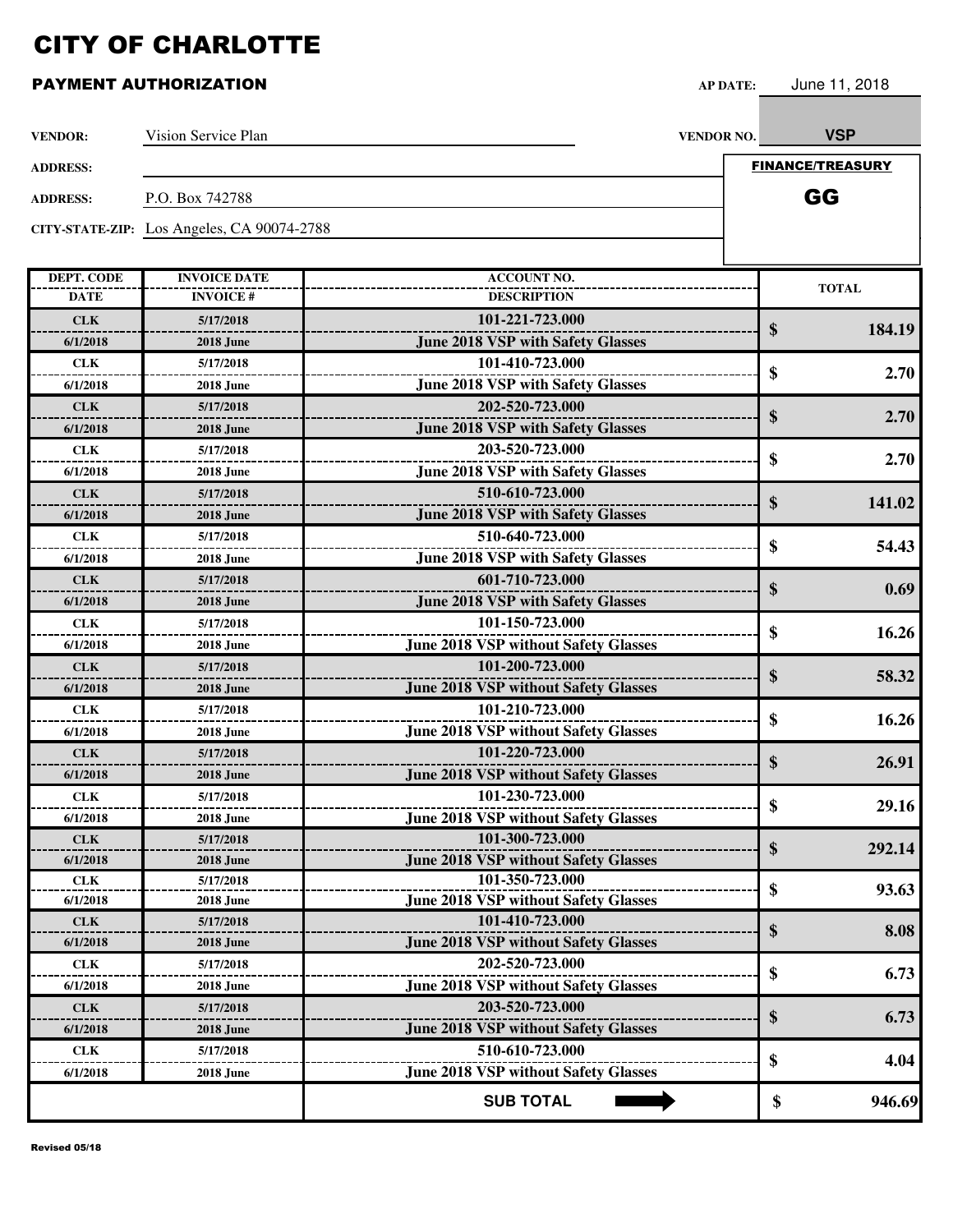| <b>VENDOR:</b>         | Vision Service Plan                        |                                             | VENDOR NO. | <b>VSP</b>              |
|------------------------|--------------------------------------------|---------------------------------------------|------------|-------------------------|
| <b>ADDRESS:</b>        |                                            |                                             |            | <b>FINANCE/TREASURY</b> |
| <b>ADDRESS:</b>        | P.O. Box 742788                            |                                             |            | GG                      |
|                        |                                            |                                             |            |                         |
|                        | CITY-STATE-ZIP: Los Angeles, CA 90074-2788 |                                             |            |                         |
|                        |                                            |                                             |            |                         |
| <b>DEPT. CODE</b>      | <b>INVOICE DATE</b>                        | <b>ACCOUNT NO.</b>                          |            | <b>TOTAL</b>            |
| <b>DATE</b>            | <b>INVOICE#</b>                            | <b>DESCRIPTION</b>                          |            |                         |
| <b>CLK</b>             | 5/17/2018                                  | 101-221-723.000                             |            | \$<br>184.19            |
| 6/1/2018               | <b>2018 June</b>                           | <b>June 2018 VSP with Safety Glasses</b>    |            |                         |
| <b>CLK</b>             | 5/17/2018                                  | 101-410-723.000                             |            | \$<br>2.70              |
| 6/1/2018               | <b>2018 June</b>                           | <b>June 2018 VSP with Safety Glasses</b>    |            |                         |
| <b>CLK</b>             | 5/17/2018                                  | 202-520-723.000                             |            | \$<br>2.70              |
| 6/1/2018               | <b>2018 June</b>                           | <b>June 2018 VSP with Safety Glasses</b>    |            |                         |
| <b>CLK</b>             | 5/17/2018                                  | 203-520-723.000                             |            | \$<br>2.70              |
| 6/1/2018               | <b>2018 June</b>                           | <b>June 2018 VSP with Safety Glasses</b>    |            |                         |
| <b>CLK</b>             | 5/17/2018                                  | 510-610-723.000                             |            | 141.02                  |
| 6/1/2018               | <b>2018 June</b>                           | <b>June 2018 VSP with Safety Glasses</b>    |            | \$                      |
| <b>CLK</b>             | 5/17/2018                                  | 510-640-723.000                             |            |                         |
| 6/1/2018               | <b>2018 June</b>                           | <b>June 2018 VSP with Safety Glasses</b>    |            | \$<br>54.43             |
| <b>CLK</b>             | 5/17/2018                                  | 601-710-723.000                             |            |                         |
| 6/1/2018               | <b>2018 June</b>                           | <b>June 2018 VSP with Safety Glasses</b>    |            | \$<br>0.69              |
| <b>CLK</b>             | 5/17/2018                                  | 101-150-723.000                             |            |                         |
| 6/1/2018               | <b>2018 June</b>                           | <b>June 2018 VSP without Safety Glasses</b> |            | \$<br>16.26             |
| <b>CLK</b>             | 5/17/2018                                  | 101-200-723.000                             |            |                         |
| 6/1/2018               | <b>2018 June</b>                           | <b>June 2018 VSP without Safety Glasses</b> |            | \$<br>58.32             |
| <b>CLK</b>             | 5/17/2018                                  | 101-210-723.000                             |            |                         |
| 6/1/2018               | <b>2018 June</b>                           | <b>June 2018 VSP without Safety Glasses</b> |            | \$<br>16.26             |
| <b>CLK</b>             | 5/17/2018                                  | 101-220-723.000                             |            |                         |
| 6/1/2018               | <b>2018 June</b>                           | <b>June 2018 VSP without Safety Glasses</b> |            | \$<br>26.91             |
|                        |                                            | 101-230-723.000                             |            |                         |
| <b>CLK</b><br>6/1/2018 | 5/17/2018                                  | <b>June 2018 VSP without Safety Glasses</b> |            | \$<br>29.16             |
|                        | <b>2018 June</b><br>5/17/2018              | 101-300-723.000                             |            |                         |
| <b>CLK</b>             |                                            | <b>June 2018 VSP without Safety Glasses</b> |            | \$<br>292.14            |
| 6/1/2018               | <b>2018 June</b>                           | 101-350-723.000                             |            |                         |
| <b>CLK</b><br>6/1/2018 | 5/17/2018<br><b>2018 June</b>              | <b>June 2018 VSP without Safety Glasses</b> |            | \$<br>93.63             |
| <b>CLK</b>             | 5/17/2018                                  | 101-410-723.000                             |            |                         |
| 6/1/2018               | <b>2018 June</b>                           | <b>June 2018 VSP without Safety Glasses</b> |            | \$<br>8.08              |
|                        |                                            | 202-520-723.000                             |            |                         |
| <b>CLK</b>             | 5/17/2018                                  |                                             |            | \$<br>6.73              |
| 6/1/2018               | <b>2018 June</b>                           | <b>June 2018 VSP without Safety Glasses</b> |            |                         |
| <b>CLK</b>             | 5/17/2018                                  | 203-520-723.000                             |            | \$<br>6.73              |
| 6/1/2018               | <b>2018 June</b>                           | <b>June 2018 VSP without Safety Glasses</b> |            |                         |
| <b>CLK</b>             | 5/17/2018                                  | 510-610-723.000                             |            | \$<br>4.04              |
| 6/1/2018               | <b>2018 June</b>                           | <b>June 2018 VSP without Safety Glasses</b> |            |                         |
|                        |                                            | <b>SUB TOTAL</b>                            |            | \$<br>946.69            |